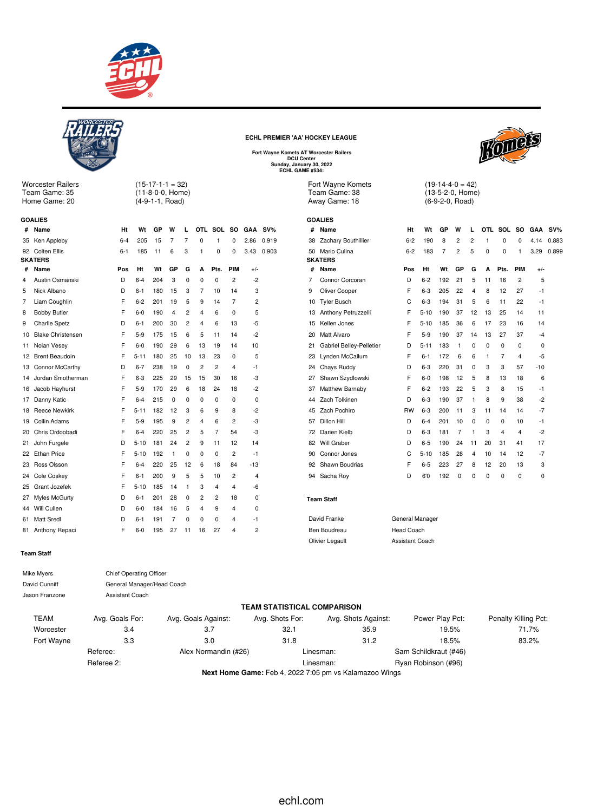



Worcester Railers Team Game: 35 Home Game: 20

 $(15-17-1-1 = 32)$ 

(11-8-0-0, Home) (4-9-1-1, Road)

|    | <b>GOALIES</b>           |         |          |     |    |                |             |          |                |            |        |
|----|--------------------------|---------|----------|-----|----|----------------|-------------|----------|----------------|------------|--------|
| #  | Name                     | Ht      | Wt       | GP  | W  | L              |             | OTL SOL  | SO.            | <b>GAA</b> | $SV\%$ |
| 35 | Ken Appleby              | $6 - 4$ | 205      | 15  | 7  | 7              | $\mathbf 0$ | 1        | $\mathbf 0$    | 2.86       | 0.919  |
| 92 | Colten Ellis             | $6 - 1$ | 185      | 11  | 6  | 3              | 1           | 0        | 0              | 3.43       | 0.903  |
|    | <b>SKATERS</b>           |         |          |     |    |                |             |          |                |            |        |
| #  | Name                     | Pos     | Ht       | Wt  | GP | G              | A           | Pts.     | PIM            | $+/-$      |        |
| 4  | Austin Osmanski          | D       | $6 - 4$  | 204 | 3  | $\Omega$       | 0           | 0        | $\overline{c}$ | $-2$       |        |
| 5  | Nick Albano              | D       | 6-1      | 180 | 15 | 3              | 7           | 10       | 14             | 3          |        |
| 7  | Liam Coughlin            | F       | $6 - 2$  | 201 | 19 | 5              | 9           | 14       | 7              | 2          |        |
| 8  | <b>Bobby Butler</b>      | F       | $6-0$    | 190 | 4  | 2              | 4           | 6        | 0              | 5          |        |
| 9  | <b>Charlie Spetz</b>     | D       | $6 - 1$  | 200 | 30 | 2              | 4           | 6        | 13             | -5         |        |
| 10 | <b>Blake Christensen</b> | F       | $5-9$    | 175 | 15 | 6              | 5           | 11       | 14             | $-2$       |        |
| 11 | Nolan Vesey              | F       | $6-0$    | 190 | 29 | 6              | 13          | 19       | 14             | 10         |        |
| 12 | <b>Brent Beaudoin</b>    | F       | 5-11     | 180 | 25 | 10             | 13          | 23       | 0              | 5          |        |
| 13 | Connor McCarthy          | D       | $6 - 7$  | 238 | 19 | 0              | 2           | 2        | $\overline{4}$ | $-1$       |        |
| 14 | Jordan Smotherman        | F       | $6 - 3$  | 225 | 29 | 15             | 15          | 30       | 16             | -3         |        |
| 16 | Jacob Hayhurst           | F       | $5-9$    | 170 | 29 | 6              | 18          | 24       | 18             | $-2$       |        |
| 17 | Danny Katic              | F       | $6 - 4$  | 215 | 0  | 0              | 0           | 0        | 0              | 0          |        |
| 18 | <b>Reece Newkirk</b>     | F       | $5 - 11$ | 182 | 12 | 3              | 6           | 9        | 8              | $-2$       |        |
| 19 | Collin Adams             | F       | $5-9$    | 195 | 9  | $\overline{2}$ | 4           | 6        | $\overline{2}$ | -3         |        |
| 20 | Chris Ordoobadi          | F       | $6 - 4$  | 220 | 25 | $\overline{c}$ | 5           | 7        | 54             | -3         |        |
| 21 | John Furgele             | D       | $5 - 10$ | 181 | 24 | $\overline{c}$ | 9           | 11       | 12             | 14         |        |
| 22 | <b>Ethan Price</b>       | F       | $5 - 10$ | 192 | 1  | 0              | 0           | 0        | $\overline{c}$ | $-1$       |        |
| 23 | Ross Olsson              | F       | $6 - 4$  | 220 | 25 | 12             | 6           | 18       | 84             | $-13$      |        |
| 24 | Cole Coskey              | F       | 6-1      | 200 | 9  | 5              | 5           | 10       | 2              | 4          |        |
| 25 | Grant Jozefek            | F       | $5 - 10$ | 185 | 14 | 1              | 3           | 4        | $\overline{4}$ | -6         |        |
| 27 | <b>Myles McGurty</b>     | D       | $6 - 1$  | 201 | 28 | 0              | 2           | 2        | 18             | 0          |        |
| 44 | Will Cullen              | D       | $6-0$    | 184 | 16 | 5              | 4           | 9        | 4              | 0          |        |
| 61 | <b>Matt Sredl</b>        | D       | $6 - 1$  | 191 | 7  | 0              | 0           | $\Omega$ | 4              | -1         |        |
| 81 | Anthony Repaci           | F       | $6-0$    | 195 | 27 | 11             | 16          | 27       | $\overline{4}$ | 2          |        |

#### **ECHL PREMIER 'AA' HOCKEY LEAGUE**

**Fort Wayne Komets AT Worcester Railers DCU Center Sunday, January 30, 2022 ECHL GAME #534:**

Fort Wayne Komets Team Game: 38 Away Game: 18

|    | <b>GOALIES</b>           |           |          |     |                |                |     |                |                |             |        |
|----|--------------------------|-----------|----------|-----|----------------|----------------|-----|----------------|----------------|-------------|--------|
| #  | Name                     | Ht        | Wt       | GP  | w              | L              | OTL | <b>SOL</b>     | SO.            | <b>GAA</b>  | $SV\%$ |
| 38 | Zachary Bouthillier      | $6 - 2$   | 190      | 8   | $\overline{2}$ | $\overline{2}$ | 1   | $\Omega$       | $\Omega$       | 4.14        | 0.883  |
| 50 | Mario Culina             | $6 - 2$   | 183      | 7   | $\overline{2}$ | 5              | 0   | 0              | 1              | 3.29        | 0.899  |
|    | <b>SKATERS</b>           |           |          |     |                |                |     |                |                |             |        |
| #  | Name                     | Pos       | Ht       | Wt  | GP             | G              | A   | Pts.           | PIM            | $+/-$       |        |
| 7  | Connor Corcoran          | D         | $6 - 2$  | 192 | 21             | 5              | 11  | 16             | $\overline{2}$ | 5           |        |
| 9  | Oliver Cooper            | F         | $6 - 3$  | 205 | 22             | $\overline{4}$ | 8   | 12             | 27             | $-1$        |        |
| 10 | <b>Tyler Busch</b>       | C         | $6 - 3$  | 194 | 31             | 5              | 6   | 11             | 22             | $-1$        |        |
| 13 | Anthony Petruzzelli      | F         | $5 - 10$ | 190 | 37             | 12             | 13  | 25             | 14             | 11          |        |
| 15 | Kellen Jones             | F         | $5 - 10$ | 185 | 36             | 6              | 17  | 23             | 16             | 14          |        |
| 20 | Matt Alvaro              | F         | $5-9$    | 190 | 37             | 14             | 13  | 27             | 37             | $-4$        |        |
| 21 | Gabriel Belley-Pelletier | D         | $5 - 11$ | 183 | 1              | 0              | 0   | $\mathbf 0$    | 0              | $\mathbf 0$ |        |
| 23 | Lynden McCallum          | F         | $6 - 1$  | 172 | 6              | 6              | 1   | $\overline{7}$ | 4              | -5          |        |
| 24 | Chays Ruddy              | D         | $6 - 3$  | 220 | 31             | $\Omega$       | 3   | 3              | 57             | $-10$       |        |
| 27 | Shawn Szydlowski         | F         | $6 - 0$  | 198 | 12             | 5              | 8   | 13             | 18             | 6           |        |
| 37 | Matthew Barnaby          | F         | $6 - 2$  | 193 | 22             | 5              | 3   | 8              | 15             | -1          |        |
| 44 | Zach Tolkinen            | D         | $6 - 3$  | 190 | 37             | 1              | 8   | 9              | 38             | $-2$        |        |
| 45 | Zach Pochiro             | <b>RW</b> | $6 - 3$  | 200 | 11             | 3              | 11  | 14             | 14             | $-7$        |        |
| 57 | Dillon Hill              | D         | $6 - 4$  | 201 | 10             | 0              | 0   | 0              | 10             | $-1$        |        |
| 72 | Darien Kielb             | D         | $6 - 3$  | 181 | 7              | 1              | 3   | 4              | 4              | $-2$        |        |
| 82 | Will Graber              | D         | $6 - 5$  | 190 | 24             | 11             | 20  | 31             | 41             | 17          |        |
| 90 | Connor Jones             | C         | $5 - 10$ | 185 | 28             | $\overline{4}$ | 10  | 14             | 12             | $-7$        |        |
| 92 | Shawn Boudrias           | F         | $6 - 5$  | 223 | 27             | 8              | 12  | 20             | 13             | 3           |        |
| 94 | Sacha Roy                | D         | 6'0      | 192 | 0              | $\Omega$       | 0   | 0              | 0              | 0           |        |
|    |                          |           |          |     |                |                |     |                |                |             |        |

#### **Team Staff**

| David Franke    | Genera  |
|-----------------|---------|
| Ben Boudreau    | Head C  |
| Olivier Legault | Assista |

al Manager Coach ant Coach

### Mike Myers **Chief Operating Officer** David Cunniff **General Manager/Head Coach** Jason Franzone **Assistant Coach**

**Team Staff**

#### **TEAM STATISTICAL COMPARISON**

| TEAM       | Avg. Goals For: | Avg. Goals Against:  | Avg. Shots For: | Avg. Shots Against:                                    | Power Play Pct:       | Penalty Killing Pct: |
|------------|-----------------|----------------------|-----------------|--------------------------------------------------------|-----------------------|----------------------|
| Worcester  | 3.4             | 3.7                  | 32.1            | 35.9                                                   | 19.5%                 | 71.7%                |
| Fort Wayne | 3.3             | 3.0                  | 31.8            | 31.2                                                   | 18.5%                 | 83.2%                |
|            | Referee:        | Alex Normandin (#26) |                 | Linesman:                                              | Sam Schildkraut (#46) |                      |
|            | Referee 2:      |                      |                 | Linesman:                                              | Ryan Robinson (#96)   |                      |
|            |                 |                      |                 | Next Hema Came: Eab 4, 0000 7:05 am us Kelemazea Wings |                       |                      |

**Next Home Game:** Feb 4, 2022 7:05 pm vs Kalamazoo Wings



 $(19-14-4-0 = 42)$ (13-5-2-0, Home) (6-9-2-0, Road)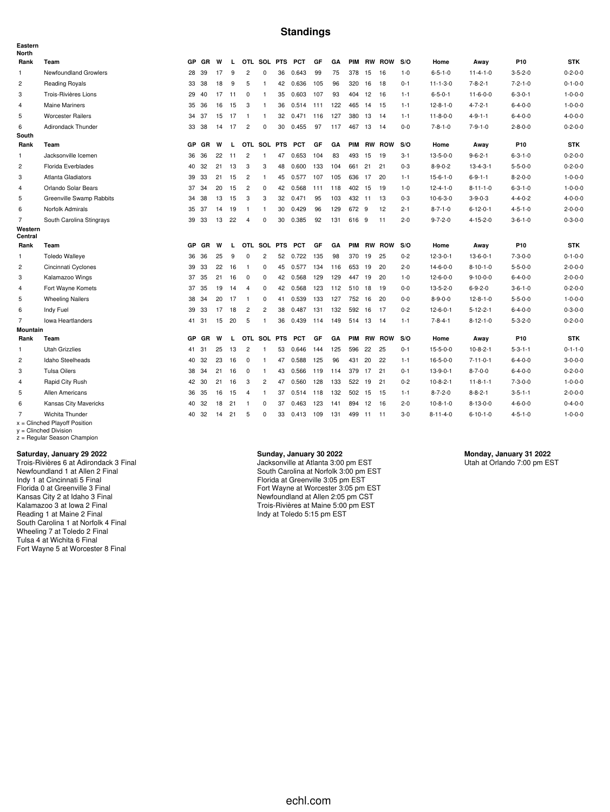### **Standings**

| Eastern<br><b>North</b> |                                                    |           |           |    |    |                |                |    |                |     |     |            |           |               |         |                  |                  |                 |                 |
|-------------------------|----------------------------------------------------|-----------|-----------|----|----|----------------|----------------|----|----------------|-----|-----|------------|-----------|---------------|---------|------------------|------------------|-----------------|-----------------|
| Rank                    | Team                                               | <b>GP</b> | GR        | W  | L  |                | OTL SOL PTS    |    | <b>PCT</b>     | GF  | GA  | <b>PIM</b> |           | <b>RW ROW</b> | S/O     | Home             | Away             | P <sub>10</sub> | <b>STK</b>      |
| $\mathbf{1}$            | Newfoundland Growlers                              |           | 28 39     | 17 | 9  | $\overline{c}$ | 0              | 36 | 0.643          | 99  | 75  | 378        | 15        | 16            | $1 - 0$ | $6 - 5 - 1 - 0$  | $11 - 4 - 1 - 0$ | $3 - 5 - 2 - 0$ | $0 - 2 - 0 - 0$ |
| $\overline{c}$          | <b>Reading Royals</b>                              | 33        | 38        | 18 | 9  | 5              | $\overline{1}$ |    | 42 0.636       | 105 | 96  | 320        | 16        | 18            | $0 - 1$ | $11 - 1 - 3 - 0$ | $7 - 8 - 2 - 1$  | $7 - 2 - 1 - 0$ | $0 - 1 - 0 - 0$ |
| 3                       | Trois-Rivières Lions                               |           | 29 40     | 17 | 11 | 0              | $\mathbf{1}$   | 35 | 0.603          | 107 | 93  | 404        | 12        | 16            | $1 - 1$ | $6 - 5 - 0 - 1$  | $11 - 6 - 0 - 0$ | $6 - 3 - 0 - 1$ | $1 - 0 - 0 - 0$ |
| 4                       | <b>Maine Mariners</b>                              |           | 35 36     | 16 | 15 | 3              | -1             |    | 36  0.514  111 |     | 122 | 465        | 14        | -15           | $1 - 1$ | $12 - 8 - 1 - 0$ | $4 - 7 - 2 - 1$  | $6 - 4 - 0 - 0$ | $1 - 0 - 0 - 0$ |
| 5                       | <b>Worcester Railers</b>                           |           | 34 37     | 15 | 17 | $\overline{1}$ | $\mathbf{1}$   | 32 | 0.471          | 116 | 127 | 380        | 13        | -14           | $1 - 1$ | $11 - 8 - 0 - 0$ | $4 - 9 - 1 - 1$  | $6 - 4 - 0 - 0$ | $4 - 0 - 0 - 0$ |
| 6                       | Adirondack Thunder                                 |           | 33 38     | 14 | 17 | 2              | $\Omega$       | 30 | 0.455          | 97  | 117 | 467        | 13        | 14            | $0 - 0$ | $7 - 8 - 1 - 0$  | $7 - 9 - 1 - 0$  | $2 - 8 - 0 - 0$ | $0 - 2 - 0 - 0$ |
| South                   |                                                    |           |           |    |    |                |                |    |                |     |     |            |           |               |         |                  |                  |                 |                 |
| Rank                    | Team                                               | <b>GP</b> | GR        | W  | L  |                | OTL SOL PTS    |    | <b>PCT</b>     | GF  | GA  | <b>PIM</b> |           | <b>RW ROW</b> | S/O     | Home             | Away             | P10             | <b>STK</b>      |
| 1                       | Jacksonville Icemen                                | 36        | 36        | 22 | 11 | $\overline{2}$ | $\mathbf{1}$   | 47 | 0.653          | 104 | 83  | 493        | 15        | 19            | $3 - 1$ | $13 - 5 - 0 - 0$ | $9 - 6 - 2 - 1$  | $6 - 3 - 1 - 0$ | $0 - 2 - 0 - 0$ |
| $\overline{c}$          | Florida Everblades                                 | 40        | 32        | 21 | 13 | 3              | 3              | 48 | 0.600          | 133 | 104 | 661        | 21        | 21            | $0 - 3$ | $8 - 9 - 0 - 2$  | $13 - 4 - 3 - 1$ | $5 - 5 - 0 - 0$ | $0 - 2 - 0 - 0$ |
| 3                       | <b>Atlanta Gladiators</b>                          | 39        | 33        | 21 | 15 | $\overline{2}$ | $\mathbf{1}$   | 45 | 0.577 107      |     | 105 | 636        | 17        | 20            | $1 - 1$ | $15 - 6 - 1 - 0$ | $6 - 9 - 1 - 1$  | $8 - 2 - 0 - 0$ | $1 - 0 - 0 - 0$ |
| 4                       | Orlando Solar Bears                                | 37        | 34        | 20 | 15 | $\overline{2}$ | 0              | 42 | 0.568          | 111 | 118 | 402 15     |           | 19            | $1 - 0$ | $12 - 4 - 1 - 0$ | $8 - 11 - 1 - 0$ | $6 - 3 - 1 - 0$ | $1 - 0 - 0 - 0$ |
| 5                       | Greenville Swamp Rabbits                           | 34        | 38        | 13 | 15 | 3              | 3              |    | 32 0.471       | 95  | 103 | 432 11     |           | 13            | $0 - 3$ | $10-6-3-0$       | $3 - 9 - 0 - 3$  | $4 - 4 - 0 - 2$ | $4 - 0 - 0 - 0$ |
| 6                       | Norfolk Admirals                                   |           | 35 37     | 14 | 19 | $\overline{1}$ | $\mathbf{1}$   | 30 | 0.429          | 96  | 129 | 672 9      |           | 12            | $2 - 1$ | $8 - 7 - 1 - 0$  | $6 - 12 - 0 - 1$ | $4 - 5 - 1 - 0$ | $2 - 0 - 0 - 0$ |
| $\overline{7}$          | South Carolina Stingrays                           | 39        | -33       | 13 | 22 | 4              | $\Omega$       | 30 | 0.385          | 92  | 131 | 616        | -9        | 11            | $2 - 0$ | $9 - 7 - 2 - 0$  | $4 - 15 - 2 - 0$ | $3 - 6 - 1 - 0$ | $0 - 3 - 0 - 0$ |
| Western<br>Central      |                                                    |           |           |    |    |                |                |    |                |     |     |            |           |               |         |                  |                  |                 |                 |
| Rank                    | Team                                               | <b>GP</b> | GR        | W  | L  |                | OTL SOL PTS    |    | <b>PCT</b>     | GF  | GA  | <b>PIM</b> |           | <b>RW ROW</b> | S/O     | Home             | Away             | P10             | <b>STK</b>      |
| $\mathbf{1}$            | <b>Toledo Walleye</b>                              | 36        | 36        | 25 | 9  | 0              | $\overline{c}$ | 52 | 0.722          | 135 | 98  | 370        | 19        | 25            | $0 - 2$ | $12 - 3 - 0 - 1$ | $13-6-0-1$       | $7 - 3 - 0 - 0$ | $0 - 1 - 0 - 0$ |
| $\overline{c}$          | Cincinnati Cyclones                                | 39        | 33        | 22 | 16 | $\overline{1}$ | 0              | 45 | 0.577          | 134 | 116 | 653        | 19        | 20            | $2 - 0$ | $14 - 6 - 0 - 0$ | $8 - 10 - 1 - 0$ | $5 - 5 - 0 - 0$ | $2 - 0 - 0 - 0$ |
| 3                       | Kalamazoo Wings                                    | 37        | 35        | 21 | 16 | $\mathbf 0$    | $\mathbf 0$    | 42 | 0.568          | 129 | 129 | 447        | 19        | -20           | $1 - 0$ | $12 - 6 - 0 - 0$ | $9 - 10 - 0 - 0$ | $6 - 4 - 0 - 0$ | $2 - 0 - 0 - 0$ |
| $\overline{4}$          | Fort Wayne Komets                                  | 37        | 35        | 19 | 14 | $\overline{4}$ | $\mathbf 0$    | 42 | 0.568          | 123 | 112 | 510        | 18        | 19            | $0 - 0$ | $13 - 5 - 2 - 0$ | $6 - 9 - 2 - 0$  | $3 - 6 - 1 - 0$ | $0 - 2 - 0 - 0$ |
| 5                       | <b>Wheeling Nailers</b>                            |           | 38 34     | 20 | 17 | $\overline{1}$ | 0              | 41 | 0.539          | 133 | 127 | 752        | 16        | -20           | $0-0$   | $8 - 9 - 0 - 0$  | $12 - 8 - 1 - 0$ | $5 - 5 - 0 - 0$ | $1 - 0 - 0 - 0$ |
| 6                       | Indy Fuel                                          | 39        | 33        | 17 | 18 | $\overline{2}$ | $\overline{2}$ | 38 | 0.487          | 131 | 132 | 592        | 16        | -17           | $0 - 2$ | $12 - 6 - 0 - 1$ | $5 - 12 - 2 - 1$ | $6 - 4 - 0 - 0$ | $0 - 3 - 0 - 0$ |
| $\overline{7}$          | <b>Iowa Heartlanders</b>                           |           | 41 31     | 15 | 20 | 5              | $\overline{1}$ | 36 | 0.439          | 114 | 149 |            | 514 13 14 |               | $1 - 1$ | $7 - 8 - 4 - 1$  | $8 - 12 - 1 - 0$ | $5 - 3 - 2 - 0$ | $0 - 2 - 0 - 0$ |
| <b>Mountain</b>         |                                                    |           |           |    |    |                |                |    |                |     |     |            |           |               |         |                  |                  |                 |                 |
| Rank                    | Team                                               | <b>GP</b> | <b>GR</b> | W  | L  |                | OTL SOL PTS    |    | <b>PCT</b>     | GF  | GA  | PIM        | <b>RW</b> | <b>ROW</b>    | S/O     | Home             | Away             | P10             | <b>STK</b>      |
| $\mathbf{1}$            | <b>Utah Grizzlies</b>                              |           | 41 31     | 25 | 13 | $\overline{2}$ | $\mathbf{1}$   | 53 | 0.646          | 144 | 125 | 596        | 22        | 25            | $0 - 1$ | $15 - 5 - 0 - 0$ | $10-8-2-1$       | $5 - 3 - 1 - 1$ | $0 - 1 - 1 - 0$ |
| $\overline{c}$          | Idaho Steelheads                                   | 40        | 32        | 23 | 16 | $^{\circ}$     | $\mathbf{1}$   | 47 | 0.588          | 125 | 96  | 431        | 20        | 22            | $1 - 1$ | $16 - 5 - 0 - 0$ | $7 - 11 - 0 - 1$ | $6 - 4 - 0 - 0$ | $3 - 0 - 0 - 0$ |
| 3                       | <b>Tulsa Oilers</b>                                |           | 38 34     | 21 | 16 | $\mathbf 0$    | $\overline{1}$ | 43 | 0.566          | 119 | 114 | 379        | 17        | 21            | $0 - 1$ | $13-9-0-1$       | $8 - 7 - 0 - 0$  | $6 - 4 - 0 - 0$ | $0 - 2 - 0 - 0$ |
| $\overline{4}$          | Rapid City Rush                                    |           | 42 30     | 21 | 16 | 3              | $\overline{2}$ | 47 | 0.560          | 128 | 133 | 522        | 19        | 21            | $0 - 2$ | $10-8-2-1$       | $11 - 8 - 1 - 1$ | $7 - 3 - 0 - 0$ | $1 - 0 - 0 - 0$ |
| 5                       | Allen Americans                                    |           | 36 35     | 16 | 15 | $\overline{4}$ | $\overline{1}$ | 37 | 0.514 118      |     | 132 | 502        | 15        | 15            | $1 - 1$ | $8 - 7 - 2 - 0$  | $8 - 8 - 2 - 1$  | $3 - 5 - 1 - 1$ | $2 - 0 - 0 - 0$ |
| 6                       | Kansas City Mavericks                              | 40        | 32        | 18 | 21 | $\overline{1}$ | 0              | 37 | 0.463          | 123 | 141 | 894        | 12        | 16            | $2 - 0$ | $10-8-1-0$       | $8 - 13 - 0 - 0$ | $4 - 6 - 0 - 0$ | $0 - 4 - 0 - 0$ |
| $\overline{7}$          | Wichita Thunder<br>$x =$ Clinched Playoff Position | 40        | 32        | 14 | 21 | 5              | $\Omega$       | 33 | 0.413 109      |     | 131 |            | 499 11 11 |               | $3 - 0$ | $8 - 11 - 4 - 0$ | $6 - 10 - 1 - 0$ | $4 - 5 - 1 - 0$ | $1 - 0 - 0 - 0$ |

x = Clinched Playoff Position y = Clinched Division z = Regular Season Champion

**Saturday, January 29 2022** Trois-Rivières 6 at Adirondack 3 Final Newfoundland 1 at Allen 2 Final Indy 1 at Cincinnati 5 Final Florida 0 at Greenville 3 Final Kansas City 2 at Idaho 3 Final Kalamazoo 3 at Iowa 2 Final Reading 1 at Maine 2 Final South Carolina 1 at Norfolk 4 Final

Wheeling 7 at Toledo 2 Final Tulsa 4 at Wichita 6 Final Fort Wayne 5 at Worcester 8 Final **Sunday, January 30 2022**

Jacksonville at Atlanta 3:00 pm EST South Carolina at Norfolk 3:00 pm EST Florida at Greenville 3:05 pm EST Fort Wayne at Worcester 3:05 pm EST Newfoundland at Allen 2:05 pm CST Trois-Rivières at Maine 5:00 pm EST Indy at Toledo 5:15 pm EST

**Monday, January 31 2022** Utah at Orlando 7:00 pm EST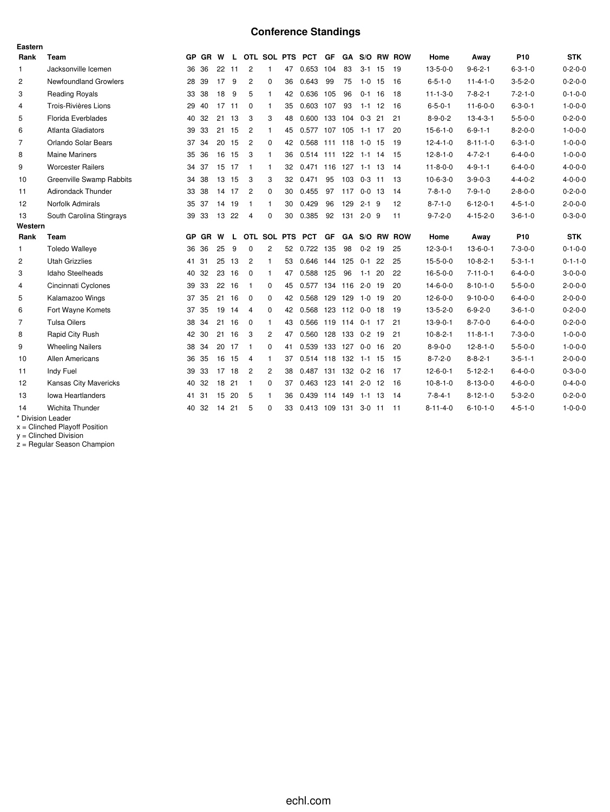# **Conference Standings**

| Eastern        |                                 |    |           |       |       |                |                |    |                      |           |                |            |    |                      |                  |                  |                 |                 |
|----------------|---------------------------------|----|-----------|-------|-------|----------------|----------------|----|----------------------|-----------|----------------|------------|----|----------------------|------------------|------------------|-----------------|-----------------|
| Rank           | Team                            |    | GP GR     | W     | L.    |                |                |    | OTL SOL PTS PCT      | GF        |                |            |    | GA S/O RW ROW        | Home             | Away             | P <sub>10</sub> | <b>STK</b>      |
| $\mathbf{1}$   | Jacksonville Icemen             |    | 36 36     | 22    | 11    | 2              | $\mathbf{1}$   | 47 | 0.653 104            |           | 83             | $3-1$ 15   |    | -19                  | $13 - 5 - 0 - 0$ | $9 - 6 - 2 - 1$  | $6 - 3 - 1 - 0$ | $0 - 2 - 0 - 0$ |
| $\overline{c}$ | <b>Newfoundland Growlers</b>    |    | 28 39     | 17    | 9     | 2              | 0              | 36 | 0.643                | 99        | 75             | $1-0$ 15   |    | 16                   | $6 - 5 - 1 - 0$  | $11 - 4 - 1 - 0$ | $3 - 5 - 2 - 0$ | $0 - 2 - 0 - 0$ |
| 3              | <b>Reading Royals</b>           |    | 33 38     | 18    | 9     | 5              | $\mathbf{1}$   | 42 | 0.636                | 105       | 96             | $0-1$ 16   |    | 18                   | $11 - 1 - 3 - 0$ | $7 - 8 - 2 - 1$  | $7 - 2 - 1 - 0$ | $0 - 1 - 0 - 0$ |
| $\overline{4}$ | Trois-Rivières Lions            |    | 29 40     | 17    | 11    | $\mathbf 0$    | $\mathbf{1}$   | 35 | 0.603 107            |           | 93             | $1-1$ 12   |    | -16                  | $6 - 5 - 0 - 1$  | $11 - 6 - 0 - 0$ | $6 - 3 - 0 - 1$ | $1 - 0 - 0 - 0$ |
| 5              | Florida Everblades              |    | 40 32     | 21    | 13    | 3              | 3              | 48 | 0.600 133 104        |           |                | $0-3$ 21   |    | 21                   | $8 - 9 - 0 - 2$  | $13 - 4 - 3 - 1$ | $5 - 5 - 0 - 0$ | $0 - 2 - 0 - 0$ |
| 6              | Atlanta Gladiators              |    | 39 33     |       | 21 15 | $\overline{c}$ | 1              | 45 | 0.577 107 105 1-1 17 |           |                |            |    | 20                   | $15 - 6 - 1 - 0$ | $6 - 9 - 1 - 1$  | $8 - 2 - 0 - 0$ | $1 - 0 - 0 - 0$ |
| $\overline{7}$ | Orlando Solar Bears             |    | 37 34     |       | 20 15 | $\overline{c}$ | $\mathbf 0$    | 42 | 0.568 111 118 1-0 15 |           |                |            |    | 19                   | $12 - 4 - 1 - 0$ | $8 - 11 - 1 - 0$ | $6 - 3 - 1 - 0$ | $1 - 0 - 0 - 0$ |
| 8              | <b>Maine Mariners</b>           |    | 35 36     | 16    | 15    | 3              | 1              | 36 | 0.514                |           | 111 122 1-1 14 |            |    | -15                  | $12 - 8 - 1 - 0$ | $4 - 7 - 2 - 1$  | $6 - 4 - 0 - 0$ | $1 - 0 - 0 - 0$ |
| 9              | <b>Worcester Railers</b>        |    | 34 37     | 15 17 |       | - 1            | 1              | 32 | 0.471 116 127 1-1 13 |           |                |            |    | -14                  | $11 - 8 - 0 - 0$ | $4 - 9 - 1 - 1$  | $6 - 4 - 0 - 0$ | $4 - 0 - 0 - 0$ |
| 10             | <b>Greenville Swamp Rabbits</b> |    | 34 38     | 13    | 15    | 3              | 3              | 32 | 0.471                | 95        | 103            | $0-3$ 11   |    | 13                   | $10-6-3-0$       | $3 - 9 - 0 - 3$  | $4 - 4 - 0 - 2$ | $4 - 0 - 0 - 0$ |
| 11             | <b>Adirondack Thunder</b>       |    | 33 38     | 14 17 |       | $\overline{2}$ | $\Omega$       | 30 | 0.455                | 97        | 117            | $0 - 0$ 13 |    | 14                   | $7 - 8 - 1 - 0$  | $7 - 9 - 1 - 0$  | $2 - 8 - 0 - 0$ | $0 - 2 - 0 - 0$ |
| 12             | Norfolk Admirals                |    | 35 37     | 14 19 |       | -1             | $\mathbf{1}$   | 30 | 0.429                | 96        | 129            | $2 - 1$ 9  |    | 12                   | $8 - 7 - 1 - 0$  | $6 - 12 - 0 - 1$ | $4 - 5 - 1 - 0$ | $2 - 0 - 0 - 0$ |
| 13             | South Carolina Stingrays        | 39 | -33       |       | 13 22 | $\overline{4}$ | $\Omega$       | 30 | 0.385                | 92        | 131            | $2 - 0$ 9  |    | 11                   | $9 - 7 - 2 - 0$  | $4 - 15 - 2 - 0$ | $3 - 6 - 1 - 0$ | $0 - 3 - 0 - 0$ |
| Western        |                                 |    |           |       |       |                |                |    |                      |           |                |            |    |                      |                  |                  |                 |                 |
| Rank           | Team                            | GP | <b>GR</b> | W     | L     |                | OTL SOL PTS    |    | <b>PCT</b>           | <b>GF</b> |                |            |    | <b>GA S/O RW ROW</b> | Home             | Away             | P <sub>10</sub> | <b>STK</b>      |
| $\mathbf{1}$   | <b>Toledo Walleye</b>           |    | 36 36     | 25    | 9     | 0              | 2              | 52 | 0.722 135            |           | 98             | $0 - 2$ 19 |    | 25                   | $12 - 3 - 0 - 1$ | $13-6-0-1$       | $7 - 3 - 0 - 0$ | $0 - 1 - 0 - 0$ |
| 2              | <b>Utah Grizzlies</b>           |    | 41 31     | 25    | 13    | $\overline{c}$ | $\mathbf{1}$   | 53 | 0.646                |           | 144 125        | $0 - 1$    | 22 | 25                   | $15 - 5 - 0 - 0$ | $10-8-2-1$       | $5 - 3 - 1 - 1$ | $0 - 1 - 1 - 0$ |
| 3              | Idaho Steelheads                |    | 40 32     | 23 16 |       | $\Omega$       | 1              | 47 | 0.588 125            |           | 96             | $1 - 1$ 20 |    | 22                   | $16 - 5 - 0 - 0$ | $7 - 11 - 0 - 1$ | $6 - 4 - 0 - 0$ | $3 - 0 - 0 - 0$ |
| $\overline{4}$ | Cincinnati Cyclones             | 39 | -33       | 22    | 16    | -1             | 0              | 45 | 0.577                |           | 134 116        | $2 - 0$ 19 |    | 20                   | $14-6-0-0$       | $8 - 10 - 1 - 0$ | $5 - 5 - 0 - 0$ | $2 - 0 - 0 - 0$ |
| 5              | Kalamazoo Wings                 |    | 37 35     | 21    | 16    | 0              | 0              | 42 | 0.568 129 129        |           |                | $1 - 0$ 19 |    | 20                   | $12 - 6 - 0 - 0$ | $9 - 10 - 0 - 0$ | $6 - 4 - 0 - 0$ | $2 - 0 - 0 - 0$ |
| 6              | Fort Wayne Komets               | 37 | 35        | 19    | 14    | $\overline{4}$ | 0              | 42 | 0.568                |           | 123 112 0-0 18 |            |    | 19                   | $13 - 5 - 2 - 0$ | $6 - 9 - 2 - 0$  | $3 - 6 - 1 - 0$ | $0 - 2 - 0 - 0$ |
| $\overline{7}$ | <b>Tulsa Oilers</b>             |    | 38 34     | 21    | 16    | $\Omega$       | 1              | 43 | 0.566 119 114 0-1 17 |           |                |            |    | 21                   | $13-9-0-1$       | $8 - 7 - 0 - 0$  | $6 - 4 - 0 - 0$ | $0 - 2 - 0 - 0$ |
| 8              | Rapid City Rush                 |    | 42 30     | 21 16 |       | 3              | $\overline{c}$ | 47 | 0.560 128 133        |           |                | $0-2$ 19   |    | 21                   | $10-8-2-1$       | $11 - 8 - 1 - 1$ | $7 - 3 - 0 - 0$ | $1 - 0 - 0 - 0$ |
| 9              | <b>Wheeling Nailers</b>         |    | 38 34     | 20    | 17    | -1             | 0              | 41 | 0.539                |           | 133 127        | $0 - 0$ 16 |    | 20                   | $8 - 9 - 0 - 0$  | $12 - 8 - 1 - 0$ | $5 - 5 - 0 - 0$ | $1 - 0 - 0 - 0$ |
| 10             | <b>Allen Americans</b>          |    | 36 35     |       | 16 15 | $\overline{4}$ | 1              | 37 | 0.514 118 132 1-1 15 |           |                |            |    | -15                  | $8 - 7 - 2 - 0$  | $8 - 8 - 2 - 1$  | $3 - 5 - 1 - 1$ | $2 - 0 - 0 - 0$ |
| 11             | Indy Fuel                       |    | 39 33     | 17    | 18    | $\overline{2}$ | $\overline{2}$ | 38 | 0.487 131 132 0-2 16 |           |                |            |    | -17                  | $12 - 6 - 0 - 1$ | $5 - 12 - 2 - 1$ | $6 - 4 - 0 - 0$ | $0 - 3 - 0 - 0$ |
| 12             | <b>Kansas City Mavericks</b>    |    | 40 32     | 18    | 21    | $\mathbf{1}$   | $\Omega$       | 37 | 0.463 123 141        |           |                | $2 - 0$ 12 |    | 16                   | $10-8-1-0$       | $8 - 13 - 0 - 0$ | $4 - 6 - 0 - 0$ | $0 - 4 - 0 - 0$ |
| 13             | <b>Iowa Heartlanders</b>        | 41 | -31       | 15    | 20    | 5              | 1              | 36 | 0.439 114 149        |           |                | $1 - 1$ 13 |    | 14                   | $7 - 8 - 4 - 1$  | $8 - 12 - 1 - 0$ | $5 - 3 - 2 - 0$ | $0 - 2 - 0 - 0$ |
| 14             | <b>Wichita Thunder</b>          | 40 | -32       | 14    | 21    | 5              | $\Omega$       | 33 | 0.413                | 109       | 131            | $3-0$ 11   |    | 11                   | $8 - 11 - 4 - 0$ | $6 - 10 - 1 - 0$ | $4 - 5 - 1 - 0$ | $1 - 0 - 0 - 0$ |
|                | * Division Leader               |    |           |       |       |                |                |    |                      |           |                |            |    |                      |                  |                  |                 |                 |

x = Clinched Playoff Position

y = Clinched Division

z = Regular Season Champion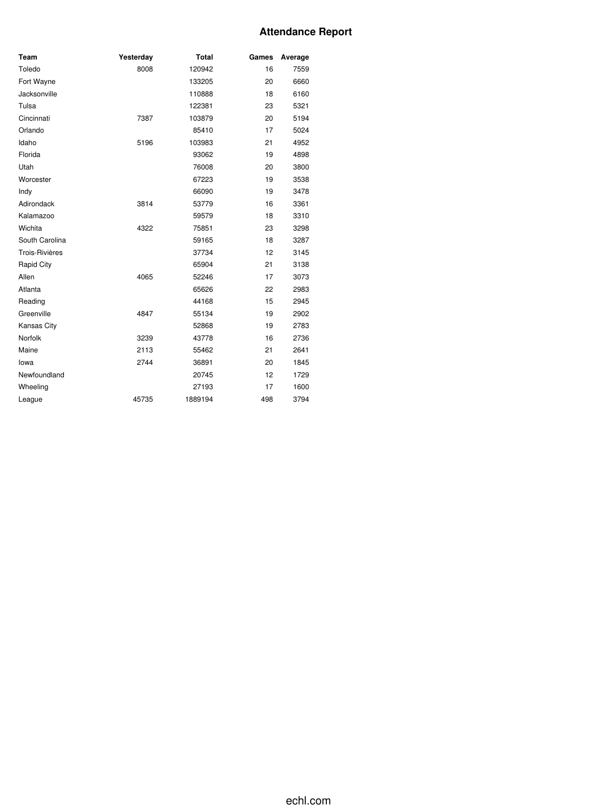### **Attendance Report**

| Team                  | Yesterday | <b>Total</b> | Games | Average |
|-----------------------|-----------|--------------|-------|---------|
| Toledo                | 8008      | 120942       | 16    | 7559    |
| Fort Wayne            |           | 133205       | 20    | 6660    |
| Jacksonville          |           | 110888       | 18    | 6160    |
| Tulsa                 |           | 122381       | 23    | 5321    |
| Cincinnati            | 7387      | 103879       | 20    | 5194    |
| Orlando               |           | 85410        | 17    | 5024    |
| Idaho                 | 5196      | 103983       | 21    | 4952    |
| Florida               |           | 93062        | 19    | 4898    |
| Utah                  |           | 76008        | 20    | 3800    |
| Worcester             |           | 67223        | 19    | 3538    |
| Indy                  |           | 66090        | 19    | 3478    |
| Adirondack            | 3814      | 53779        | 16    | 3361    |
| Kalamazoo             |           | 59579        | 18    | 3310    |
| Wichita               | 4322      | 75851        | 23    | 3298    |
| South Carolina        |           | 59165        | 18    | 3287    |
| <b>Trois-Rivières</b> |           | 37734        | 12    | 3145    |
| Rapid City            |           | 65904        | 21    | 3138    |
| Allen                 | 4065      | 52246        | 17    | 3073    |
| Atlanta               |           | 65626        | 22    | 2983    |
| Reading               |           | 44168        | 15    | 2945    |
| Greenville            | 4847      | 55134        | 19    | 2902    |
| Kansas City           |           | 52868        | 19    | 2783    |
| Norfolk               | 3239      | 43778        | 16    | 2736    |
| Maine                 | 2113      | 55462        | 21    | 2641    |
| lowa                  | 2744      | 36891        | 20    | 1845    |
| Newfoundland          |           | 20745        | 12    | 1729    |
| Wheeling              |           | 27193        | 17    | 1600    |
| League                | 45735     | 1889194      | 498   | 3794    |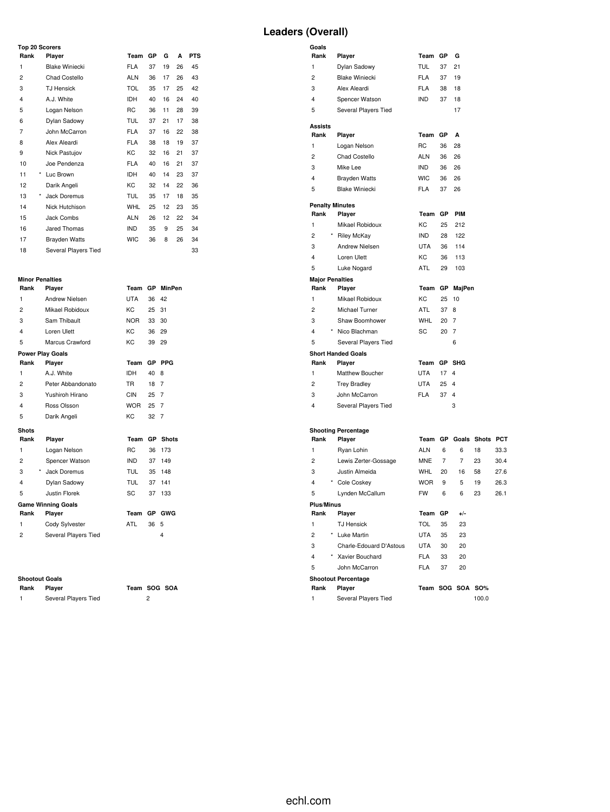# **Leaders (Overall)**

| <b>Top 20 Scorers</b> |         |                       |            |    |    |    |            |  |  |  |  |  |  |
|-----------------------|---------|-----------------------|------------|----|----|----|------------|--|--|--|--|--|--|
| Rank                  |         | Player                | Team       | GР | G  | A  | <b>PTS</b> |  |  |  |  |  |  |
| 1                     |         | <b>Blake Winiecki</b> | <b>FLA</b> | 37 | 19 | 26 | 45         |  |  |  |  |  |  |
| 2                     |         | Chad Costello         | <b>ALN</b> | 36 | 17 | 26 | 43         |  |  |  |  |  |  |
| 3                     |         | <b>TJ Hensick</b>     | <b>TOL</b> | 35 | 17 | 25 | 42         |  |  |  |  |  |  |
| $\overline{4}$        |         | A.J. White            | <b>IDH</b> | 40 | 16 | 24 | 40         |  |  |  |  |  |  |
| 5                     |         | Logan Nelson          | RC         | 36 | 11 | 28 | 39         |  |  |  |  |  |  |
| 6                     |         | Dylan Sadowy          | <b>TUL</b> | 37 | 21 | 17 | 38         |  |  |  |  |  |  |
| $\overline{7}$        |         | John McCarron         | <b>FLA</b> | 37 | 16 | 22 | 38         |  |  |  |  |  |  |
| 8                     |         | Alex Aleardi          | <b>FLA</b> | 38 | 18 | 19 | 37         |  |  |  |  |  |  |
| 9                     |         | Nick Pastujov         | KC.        | 32 | 16 | 21 | 37         |  |  |  |  |  |  |
| 10                    |         | Joe Pendenza          | <b>FLA</b> | 40 | 16 | 21 | 37         |  |  |  |  |  |  |
| 11                    | *       | Luc Brown             | <b>IDH</b> | 40 | 14 | 23 | 37         |  |  |  |  |  |  |
| 12                    |         | Darik Angeli          | KC         | 32 | 14 | 22 | 36         |  |  |  |  |  |  |
| 13                    | $\star$ | Jack Doremus          | <b>TUL</b> | 35 | 17 | 18 | 35         |  |  |  |  |  |  |
| 14                    |         | Nick Hutchison        | <b>WHL</b> | 25 | 12 | 23 | 35         |  |  |  |  |  |  |
| 15                    |         | Jack Combs            | <b>ALN</b> | 26 | 12 | 22 | 34         |  |  |  |  |  |  |
| 16                    |         | Jared Thomas          | <b>IND</b> | 35 | 9  | 25 | 34         |  |  |  |  |  |  |
| 17                    |         | Brayden Watts         | <b>WIC</b> | 36 | 8  | 26 | 34         |  |  |  |  |  |  |
| 18                    |         | Several Players Tied  |            |    |    | 33 |            |  |  |  |  |  |  |

# **Minor Penalties**

| Rank                    | Player                    | Team           |           | GP MinPen               |
|-------------------------|---------------------------|----------------|-----------|-------------------------|
| $\mathbf{1}$            | Andrew Nielsen            | <b>UTA</b>     | 36        | 42                      |
| $\overline{2}$          | Mikael Robidoux           | KC             | 25        | 31                      |
| 3                       | Sam Thibault              | <b>NOR</b>     | 33        | 30                      |
| $\overline{\mathbf{4}}$ | Loren Ulett               | KC             | 36        | 29                      |
| 5                       | Marcus Crawford           | KC             | 39        | 29                      |
|                         | <b>Power Play Goals</b>   |                |           |                         |
| Rank                    | Player                    | Team           | <b>GP</b> | <b>PPG</b>              |
| 1                       | A.J. White                | <b>IDH</b>     | 40        | 8                       |
| $\overline{2}$          | Peter Abbandonato         | <b>TR</b>      | 18        | 7                       |
| 3                       | Yushiroh Hirano           | CIN            | 25 7      |                         |
| $\overline{\mathbf{4}}$ | Ross Olsson               | WOR            | 25        | 7                       |
| 5                       | Darik Angeli              | KC             | 32        | 7                       |
| <b>Shots</b>            |                           |                |           |                         |
| Rank                    | Player                    | Team           | <b>GP</b> | <b>Shots</b>            |
| 1                       | Logan Nelson              | R <sub>C</sub> | 36        | 173                     |
| $\overline{2}$          | Spencer Watson            | IND.           | 37        | 149                     |
| 3                       | $\star$<br>Jack Doremus   | <b>TUL</b>     | 35        | 148                     |
| $\overline{\mathbf{4}}$ | Dylan Sadowy              | <b>TUL</b>     | 37        | 141                     |
| 5                       | <b>Justin Florek</b>      | SC             | 37        | 133                     |
|                         | <b>Game Winning Goals</b> |                |           |                         |
| Rank                    | Player                    | Team           | GP        | <b>GWG</b>              |
| 1                       | Cody Sylvester            | ATL            | 36        | 5                       |
| 2                       | Several Players Tied      |                |           | $\overline{\mathbf{4}}$ |

#### **Shootout Goals**

| Rank | Player               | Team SC |  |
|------|----------------------|---------|--|
|      | Several Players Tied |         |  |

**Rank Player Team SOG SOA**

| Goals                          |                                      |            |    |                         |    |      |
|--------------------------------|--------------------------------------|------------|----|-------------------------|----|------|
| Rank                           | Player                               | Team       | GР | G                       |    |      |
| 1                              | Dylan Sadowy                         | <b>TUL</b> | 37 | 21                      |    |      |
| $\overline{c}$                 | <b>Blake Winiecki</b>                | <b>FLA</b> | 37 | 19                      |    |      |
| 3                              | Alex Aleardi                         | <b>FLA</b> | 38 | 18                      |    |      |
| 4                              | Spencer Watson                       | <b>IND</b> | 37 | 18                      |    |      |
| 5                              | Several Players Tied                 |            |    | 17                      |    |      |
| Assists                        |                                      |            |    |                         |    |      |
| Rank                           | Player                               | Team       | GP | A                       |    |      |
| 1                              | Logan Nelson                         | <b>RC</b>  | 36 | 28                      |    |      |
| $\overline{c}$                 | <b>Chad Costello</b>                 | <b>ALN</b> | 36 | 26                      |    |      |
| 3                              | Mike Lee                             | <b>IND</b> | 36 | 26                      |    |      |
| 4                              | <b>Brayden Watts</b>                 | <b>WIC</b> | 36 | 26                      |    |      |
| 5                              | <b>Blake Winiecki</b>                | <b>FLA</b> | 37 | 26                      |    |      |
|                                |                                      |            |    |                         |    |      |
| <b>Penalty Minutes</b>         |                                      |            | GP | PIM                     |    |      |
| Rank                           | Player                               | Team       |    |                         |    |      |
| 1                              | Mikael Robidoux                      | KC         | 25 | 212                     |    |      |
| $\overline{c}$                 | * Riley McKay                        | <b>IND</b> | 28 | 122                     |    |      |
| 3                              | Andrew Nielsen                       | <b>UTA</b> | 36 | 114                     |    |      |
| 4                              | Loren Ulett                          | KC         | 36 | 113                     |    |      |
| 5                              | Luke Nogard                          | ATL        | 29 | 103                     |    |      |
| <b>Major Penalties</b><br>Rank | Player                               | Team       | GР | MajPen                  |    |      |
| 1                              | Mikael Robidoux                      | KC         | 25 | 10                      |    |      |
| 2                              | Michael Turner                       | ATL        | 37 | 8                       |    |      |
| 3                              | Shaw Boomhower                       | <b>WHL</b> | 20 | 7                       |    |      |
| 4                              | * Nico Blachman                      | SC         | 20 | 7                       |    |      |
| 5                              | Several Players Tied                 |            |    | 6                       |    |      |
|                                |                                      |            |    |                         |    |      |
| Rank                           | <b>Short Handed Goals</b><br>Player  | Team       | GР | SHG                     |    |      |
| 1                              | Matthew Boucher                      | <b>UTA</b> | 17 | 4                       |    |      |
| 2                              | <b>Trey Bradley</b>                  | <b>UTA</b> | 25 | $\overline{4}$          |    |      |
| 3                              | John McCarron                        | <b>FLA</b> | 37 | 4                       |    |      |
| 4                              | Several Players Tied                 |            |    | 3                       |    |      |
|                                |                                      |            |    |                         |    |      |
|                                |                                      |            |    |                         |    |      |
| Rank                           | <b>Shooting Percentage</b><br>Player |            |    | Team GP Goals Shots PCT |    |      |
| 1                              | Ryan Lohin                           | <b>ALN</b> | 6  | 6                       | 18 | 33.3 |
| 2                              | Lewis Zerter-Gossage                 | <b>MNE</b> | 7  | 7                       | 23 | 30.4 |
| 3                              | Justin Almeida                       | WHL        | 20 | 16                      | 58 | 27.6 |
| 4                              | * Cole Coskey                        | <b>WOR</b> | 9  | 5                       | 19 | 26.3 |
| 5                              | Lynden McCallum                      | <b>FW</b>  | 6  | 6                       | 23 | 26.1 |
|                                |                                      |            |    |                         |    |      |
| <b>Plus/Minus</b><br>Rank      | Player                               | Team       | GP | $+/-$                   |    |      |
| 1                              | <b>TJ Hensick</b>                    | <b>TOL</b> | 35 | 23                      |    |      |
| $\overline{c}$                 | * Luke Martin                        | <b>UTA</b> | 35 | 23                      |    |      |
| 3                              | Charle-Edouard D'Astous              | <b>UTA</b> | 30 | 20                      |    |      |
| 4                              | * Xavier Bouchard                    | <b>FLA</b> | 33 | 20                      |    |      |
| 5                              | John McCarron                        | <b>FLA</b> | 37 | 20                      |    |      |
|                                | <b>Shootout Percentage</b>           |            |    |                         |    |      |
|                                |                                      |            |    |                         |    |      |

**Rank Player Team SOG SOA SO%** 1 Several Players Tied 100.0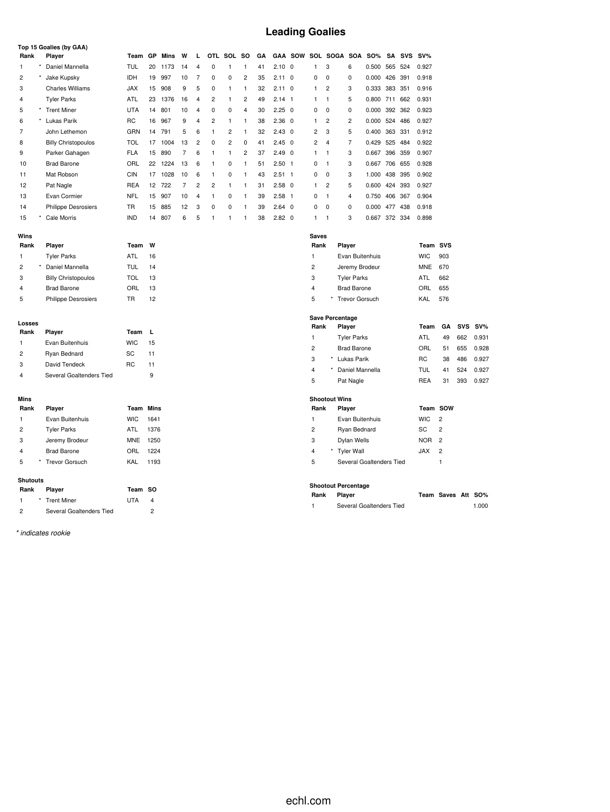# **Leading Goalies**

|                |   | Top 15 Goalies (by GAA)    |                  |      |         |                |                |                |                |                |    |                |                |                      |                      |                    |               |         |            |            |                |            |        |
|----------------|---|----------------------------|------------------|------|---------|----------------|----------------|----------------|----------------|----------------|----|----------------|----------------|----------------------|----------------------|--------------------|---------------|---------|------------|------------|----------------|------------|--------|
| Rank           |   | Player                     | Team             | GP   | Mins    | w              | L              | OTL            | SOL            | <b>SO</b>      | GΑ |                | <b>GAA SOW</b> |                      | SOL SOGA             | <b>SOA</b>         | <b>SO%</b>    | SΑ      | <b>SVS</b> | $SV\%$     |                |            |        |
| 1              |   | Daniel Mannella            | <b>TUL</b>       | 20   | 1173    | 14             | 4              | 0              | 1              | 1              | 41 | $2.10 \quad 0$ |                | $\mathbf{1}$         | 3                    | 6                  | 0.500 565 524 |         |            | 0.927      |                |            |        |
| $\overline{c}$ |   | Jake Kupsky                | <b>IDH</b>       | 19   | 997     | 10             | 7              | 0              | 0              | $\overline{c}$ | 35 | $2.11 \quad 0$ |                | 0                    | $\mathbf 0$          | 0                  | 0.000         | 426     | 391        | 0.918      |                |            |        |
| 3              |   | <b>Charles Williams</b>    | <b>JAX</b>       | 15   | 908     | 9              | 5              | $\mathbf 0$    | $\mathbf{1}$   | $\mathbf{1}$   | 32 | $2.11 \quad 0$ |                | $\mathbf{1}$         | $\overline{2}$       | 3                  | 0.333         | 383     | 351        | 0.916      |                |            |        |
| 4              |   | <b>Tyler Parks</b>         | ATL              | 23   | 1376    | 16             | $\overline{4}$ | $\overline{c}$ | 1              | $\overline{c}$ | 49 | $2.14$ 1       |                | $\mathbf{1}$         | $\mathbf{1}$         | 5                  | 0.800 711 662 |         |            | 0.931      |                |            |        |
| 5              |   | * Trent Miner              | <b>UTA</b>       | 14   | 801     | 10             | $\overline{4}$ | 0              | 0              | $\overline{4}$ | 30 | $2.25 \quad 0$ |                | 0                    | $\mathbf 0$          | 0                  | 0.000 392 362 |         |            | 0.923      |                |            |        |
| 6              |   | Lukas Parik                | <b>RC</b>        |      | 16 967  | 9              | 4              | $\overline{c}$ | 1              | 1              | 38 | $2.36$ 0       |                | $\mathbf{1}$         | $\overline{c}$       | $\overline{c}$     | 0.000         |         | 524 486    | 0.927      |                |            |        |
| 7              |   | John Lethemon              | GRN              |      | 14 791  | 5              | 6              | $\mathbf{1}$   | $\overline{c}$ | $\mathbf{1}$   | 32 | $2.43 \quad 0$ |                | $\overline{c}$       | 3                    | 5                  | 0.400         |         | 363 331    | 0.912      |                |            |        |
| 8              |   | <b>Billy Christopoulos</b> | <b>TOL</b>       |      | 17 1004 | 13             | $\overline{2}$ | 0              | $\overline{2}$ | 0              | 41 | $2.45$ 0       |                | $\overline{2}$       | $\overline{4}$       | $\overline{7}$     | 0.429 525 484 |         |            | 0.922      |                |            |        |
| 9              |   | Parker Gahagen             | <b>FLA</b>       | 15   | 890     | $\overline{7}$ | 6              | $\mathbf{1}$   | $\mathbf{1}$   | $\overline{2}$ | 37 | $2.49$ 0       |                | $\mathbf{1}$         | $\mathbf{1}$         | 3                  | 0.667         | 396 359 |            | 0.907      |                |            |        |
| 10             |   | <b>Brad Barone</b>         | ORL              | 22   | 1224    | 13             | 6              | $\mathbf{1}$   | 0              | $\mathbf{1}$   | 51 | $2.50$ 1       |                | 0                    | $\mathbf{1}$         | 3                  | 0.667 706 655 |         |            | 0.928      |                |            |        |
| 11             |   | Mat Robson                 | <b>CIN</b>       | 17   | 1028    | 10             | 6              | $\mathbf{1}$   | 0              | $\mathbf{1}$   | 43 | $2.51 \quad 1$ |                | $\mathbf 0$          | $\mathbf 0$          | 3                  | 1.000         | 438     | 395        | 0.902      |                |            |        |
| 12             |   | Pat Nagle                  | <b>REA</b>       |      | 12 722  | $\overline{7}$ | $\overline{2}$ | $\overline{c}$ | $\mathbf{1}$   | $\mathbf{1}$   | 31 | $2.58$ 0       |                | $\mathbf{1}$         | $\overline{2}$       | 5                  | 0.600         |         | 424 393    | 0.927      |                |            |        |
| 13             |   | Evan Cormier               | <b>NFL</b>       | 15   | 907     | 10             | $\overline{4}$ | $\mathbf{1}$   | 0              | $\mathbf{1}$   | 39 | $2.58$ 1       |                | 0                    | $\overline{1}$       | $\overline{4}$     | 0.750         |         | 406 367    | 0.904      |                |            |        |
| 14             |   | <b>Philippe Desrosiers</b> | TR               | 15   | 885     | 12             | 3              | 0              | 0              | $\mathbf{1}$   | 39 | $2.64$ 0       |                | 0                    | $\mathbf 0$          | 0                  | 0.000         |         | 477 438    | 0.918      |                |            |        |
| 15             |   | Cale Morris                | <b>IND</b>       | 14   | 807     | 6              | 5              | $\mathbf{1}$   | 1              | 1              | 38 | $2.82 \quad 0$ |                | $\mathbf{1}$         | $\mathbf{1}$         | 3                  | 0.667 372 334 |         |            | 0.898      |                |            |        |
|                |   |                            |                  |      |         |                |                |                |                |                |    |                |                |                      |                      |                    |               |         |            |            |                |            |        |
| Wins<br>Rank   |   | Player                     | Team             | W    |         |                |                |                |                |                |    |                |                | <b>Saves</b><br>Rank |                      | Player             |               |         |            | Team SVS   |                |            |        |
| 1              |   | <b>Tyler Parks</b>         | <b>ATL</b>       | 16   |         |                |                |                |                |                |    |                |                | 1                    |                      | Evan Buitenhuis    |               |         |            | <b>WIC</b> | 903            |            |        |
| $\overline{c}$ | * | Daniel Mannella            | <b>TUL</b>       | 14   |         |                |                |                |                |                |    |                |                | $\overline{c}$       |                      | Jeremy Brodeur     |               |         |            | <b>MNE</b> | 670            |            |        |
| 3              |   | <b>Billy Christopoulos</b> | <b>TOL</b>       | 13   |         |                |                |                |                |                |    |                |                | 3                    |                      | <b>Tyler Parks</b> |               |         |            | ATL        | 662            |            |        |
| 4              |   | <b>Brad Barone</b>         | ORL              | 13   |         |                |                |                |                |                |    |                |                | 4                    |                      | <b>Brad Barone</b> |               |         |            | ORL        | 655            |            |        |
| 5              |   | <b>Philippe Desrosiers</b> | TR               | 12   |         |                |                |                |                |                |    |                |                | 5                    |                      | * Trevor Gorsuch   |               |         |            | KAL        | 576            |            |        |
|                |   |                            |                  |      |         |                |                |                |                |                |    |                |                |                      |                      |                    |               |         |            |            |                |            |        |
|                |   |                            |                  |      |         |                |                |                |                |                |    |                |                |                      | Save Percentage      |                    |               |         |            |            |                |            |        |
| Losses<br>Rank |   | Player                     | Team             | L    |         |                |                |                |                |                |    |                |                | Rank                 |                      | Player             |               |         |            | Team       | GА             | <b>SVS</b> | $SV\%$ |
| 1              |   | Evan Buitenhuis            | <b>WIC</b>       | 15   |         |                |                |                |                |                |    |                |                | $\mathbf{1}$         |                      | <b>Tyler Parks</b> |               |         |            | ATL        | 49             | 662        | 0.931  |
| 2              |   | Ryan Bednard               | SC               | 11   |         |                |                |                |                |                |    |                |                | 2                    |                      | <b>Brad Barone</b> |               |         |            | ORL        | 51             | 655        | 0.928  |
| 3              |   | David Tendeck              | <b>RC</b>        | 11   |         |                |                |                |                |                |    |                |                | 3                    |                      | * Lukas Parik      |               |         |            | RC         | 38             | 486        | 0.927  |
| 4              |   | Several Goaltenders Tied   |                  | 9    |         |                |                |                |                |                |    |                |                | 4                    |                      | Daniel Mannella    |               |         |            | <b>TUL</b> | 41             | 524        | 0.927  |
|                |   |                            |                  |      |         |                |                |                |                |                |    |                |                | 5                    |                      | Pat Nagle          |               |         |            | <b>REA</b> | 31             | 393        | 0.927  |
| Mins           |   |                            |                  |      |         |                |                |                |                |                |    |                |                |                      | <b>Shootout Wins</b> |                    |               |         |            |            |                |            |        |
| Rank           |   | Player                     | <b>Team Mins</b> |      |         |                |                |                |                |                |    |                |                | Rank                 |                      | Player             |               |         |            | Team SOW   |                |            |        |
| $\mathbf{1}$   |   | Evan Buitenhuis            | <b>WIC</b>       | 1641 |         |                |                |                |                |                |    |                |                | 1                    |                      | Evan Buitenhuis    |               |         |            | <b>WIC</b> | $\overline{2}$ |            |        |
| 2              |   | <b>Tyler Parks</b>         | ATL              | 1376 |         |                |                |                |                |                |    |                |                | 2                    |                      | Ryan Bednard       |               |         |            | SC         | $\overline{2}$ |            |        |
| 3              |   | Jeremy Brodeur             | <b>MNE</b>       | 1250 |         |                |                |                |                |                |    |                |                | 3                    |                      | Dylan Wells        |               |         |            | <b>NOR</b> | $\overline{c}$ |            |        |
| 4              |   | <b>Brad Barone</b>         | ORL              | 1224 |         |                |                |                |                |                |    |                |                | 4                    |                      | * Tyler Wall       |               |         |            | <b>JAX</b> | $\overline{2}$ |            |        |
|                |   |                            |                  |      |         |                |                |                |                |                |    |                |                |                      |                      |                    |               |         |            |            |                |            |        |

#### **Shutouts**

| Rank          | <b>Plaver</b>            | Team SO    |   |
|---------------|--------------------------|------------|---|
|               | * Trent Miner            | <b>UTA</b> | 4 |
| $\mathcal{P}$ | Several Goaltenders Tied |            |   |

 Brad Barone ORL 1224 \* Trevor Gorsuch KAL 1193

*\* indicates rookie*

Several Goaltenders Tied 1

**Rank Player Team Saves Att SO%** 1 Several Goaltenders Tied 1.000

**Shootout Percentage**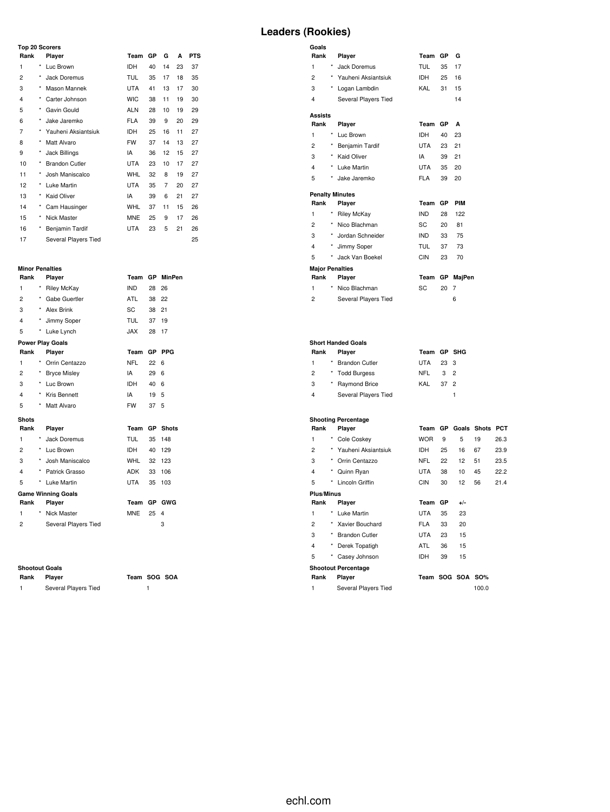### **Top 20 Scorers**

| Rank           |            | Player                | Team       | GP | G  | A  | <b>PTS</b> |
|----------------|------------|-----------------------|------------|----|----|----|------------|
| 1              | *          | Luc Brown             | <b>IDH</b> | 40 | 14 | 23 | 37         |
| $\overline{2}$ | $\star$    | Jack Doremus          | TUL        | 35 | 17 | 18 | 35         |
| 3              | $^{\star}$ | Mason Mannek          | <b>UTA</b> | 41 | 13 | 17 | 30         |
| $\overline{4}$ | *          | Carter Johnson        | <b>WIC</b> | 38 | 11 | 19 | 30         |
| 5              | $\star$    | Gavin Gould           | <b>ALN</b> | 28 | 10 | 19 | 29         |
| 6              | $\star$    | Jake Jaremko          | <b>FLA</b> | 39 | 9  | 20 | 29         |
| 7              | $\star$    | Yauheni Aksiantsiuk   | <b>IDH</b> | 25 | 16 | 11 | 27         |
| 8              | $\star$    | Matt Alvaro           | <b>FW</b>  | 37 | 14 | 13 | 27         |
| 9              | $^{\star}$ | Jack Billings         | IA         | 36 | 12 | 15 | 27         |
| 10             | $\star$    | <b>Brandon Cutler</b> | UTA        | 23 | 10 | 17 | 27         |
| 11             | $^{\star}$ | Josh Maniscalco       | <b>WHL</b> | 32 | 8  | 19 | 27         |
| 12             | $^{\star}$ | Luke Martin           | <b>UTA</b> | 35 | 7  | 20 | 27         |
| 13             | $^{\star}$ | <b>Kaid Oliver</b>    | IA         | 39 | 6  | 21 | 27         |
| 14             | $^{\star}$ | Cam Hausinger         | <b>WHL</b> | 37 | 11 | 15 | 26         |
| 15             | *          | Nick Master           | <b>MNE</b> | 25 | 9  | 17 | 26         |
| 16             | *          | Benjamin Tardif       | <b>UTA</b> | 23 | 5  | 21 | 26         |
| 17             |            | Several Players Tied  |            |    |    |    | 25         |

# **Minor Penalties**

| Rank                    |            | Player                    | Team        | <b>GP</b> | <b>MinPen</b>   |
|-------------------------|------------|---------------------------|-------------|-----------|-----------------|
| 1                       | $^{\star}$ | <b>Riley McKay</b>        | <b>IND</b>  | 28        | 26              |
| $\overline{2}$          |            | * Gabe Guertler           | ATL         | 38        | 22              |
| 3                       | $\star$    | <b>Alex Brink</b>         | SC          | 38        | 21              |
| $\overline{\mathbf{4}}$ | $^\star$   | Jimmy Soper               | <b>TUL</b>  | 37        | 19              |
| 5                       | *          | Luke Lynch                | <b>XAL.</b> | 28        | 17              |
|                         |            | <b>Power Play Goals</b>   |             |           |                 |
| Rank                    |            | Player                    | Team        | <b>GP</b> | <b>PPG</b>      |
| 1                       |            | Orrin Centazzo            | <b>NFL</b>  | 22        | 6               |
| 2                       |            | * Bryce Misley            | IA          | 29        | 6               |
| 3                       | $\star$    | Luc Brown                 | <b>IDH</b>  | 40        | 6               |
| $\overline{\mathbf{4}}$ | $^{\star}$ | Kris Bennett              | IA          | 19        | 5               |
| 5                       | $\star$    | Matt Alvaro               | <b>FW</b>   | 37        | 5               |
| <b>Shots</b>            |            |                           |             |           |                 |
| Rank                    |            | Player                    | Team        |           | <b>GP</b> Shots |
| 1                       |            | * Jack Doremus            | <b>TUL</b>  | 35        | 148             |
| 2                       |            | * Luc Brown               | IDH         | 40        | 129             |
| 3                       | $\star$    | Josh Maniscalco           | WHL         | 32        | 123             |
| $\overline{\mathbf{4}}$ | $\star$    | Patrick Grasso            | ADK         | 33        | 106             |
| 5                       | $^{\star}$ | Luke Martin               | UTA         | 35        | 103             |
|                         |            | <b>Game Winning Goals</b> |             |           |                 |
| Rank                    |            | Player                    | Team        | <b>GP</b> | GWG             |
| 1                       | ×          | Nick Master               | <b>MNE</b>  | 25        | 4               |
| $\overline{2}$          |            | Several Players Tied      |             |           | 3               |
|                         |            |                           |             |           |                 |

#### **Shootout Goals**

| Player |
|--------|
|        |

**Rank Player Team SOG SOA** 1 Several Players Tied 1

# **Leaders (Rookies)**

| Goals<br>Rank          |          | Player                    | Team       | GP | G              |
|------------------------|----------|---------------------------|------------|----|----------------|
| 1                      | *        | Jack Doremus              | TUL        | 35 | 17             |
| $\overline{2}$         |          | Yauheni Aksiantsiuk       | IDH        | 25 | 16             |
| 3                      |          |                           | KAL        |    |                |
|                        |          | * Logan Lambdin           |            | 31 | 15             |
| 4                      |          | Several Players Tied      |            |    | 14             |
| Assists                |          |                           |            |    |                |
| Rank                   |          | Player                    | Team       | GР | A              |
| 1                      | ×        | Luc Brown                 | <b>IDH</b> | 40 | 23             |
| $\overline{c}$         | ×        | Benjamin Tardif           | <b>UTA</b> | 23 | 21             |
| 3                      |          | * Kaid Oliver             | IA         | 39 | 21             |
| 4                      |          | * Luke Martin             | UTA        | 35 | 20             |
| 5                      | $^\star$ | Jake Jaremko              | <b>FLA</b> | 39 | 20             |
|                        |          | <b>Penalty Minutes</b>    |            |    |                |
| Rank                   |          | Player                    | Team       | GР | PIM            |
| 1                      | ×        | <b>Riley McKay</b>        | <b>IND</b> | 28 | 122            |
| $\overline{c}$         |          | * Nico Blachman           | SC         | 20 | 81             |
| 3                      |          | * Jordan Schneider        | <b>IND</b> | 33 | 75             |
| 4                      | $\star$  | Jimmy Soper               | <b>TUL</b> | 37 | 73             |
| 5                      | $\star$  | Jack Van Boekel           | <b>CIN</b> | 23 | 70             |
| <b>Major Penalties</b> |          |                           |            |    |                |
| Rank                   |          | Player                    | Team       | GР | MajPen         |
| 1                      | ×        | Nico Blachman             | SC         | 20 | $\overline{7}$ |
| $\overline{c}$         |          | Several Players Tied      |            |    | 6              |
|                        |          |                           |            |    |                |
|                        |          | <b>Short Handed Goals</b> |            |    |                |
| Rank                   |          | Player                    | Team       |    | GP SHG         |
| 1                      |          | * Brandon Cutler          | <b>UTA</b> | 23 | 3              |
| $\overline{2}$         |          | * Todd Burgess            | NFL        | 3  | $\overline{2}$ |
| 3                      | $^\star$ | <b>Raymond Brice</b>      | KAL        | 37 | $\overline{2}$ |
| 4                      |          | Several Players Tied      |            |    | $\mathbf{1}$   |
|                        |          |                           |            |    |                |

#### **Shooting Percentage**

| Rank              |            | Player                     | Team       | GP | Goals       | <b>Shots</b> | РСТ  |
|-------------------|------------|----------------------------|------------|----|-------------|--------------|------|
| 1                 | $^{\star}$ | Cole Coskey                | <b>WOR</b> | 9  | 5           | 19           | 26.3 |
| 2                 | *          | Yauheni Aksiantsiuk        | <b>IDH</b> | 25 | 16          | 67           | 23.9 |
| 3                 | $\star$    | Orrin Centazzo             | NFL        | 22 | 12          | 51           | 23.5 |
| 4                 | *          | Quinn Ryan                 | <b>UTA</b> | 38 | 10          | 45           | 22.2 |
| 5                 | $\star$    | Lincoln Griffin            | <b>CIN</b> | 30 | 12          | 56           | 21.4 |
| <b>Plus/Minus</b> |            |                            |            |    |             |              |      |
| Rank<br>Player    |            |                            | Team       | GР | $+/-$       |              |      |
| 1                 | $^{\star}$ | Luke Martin                | <b>UTA</b> | 35 | 23          |              |      |
| $\overline{c}$    | $\star$    | Xavier Bouchard            | <b>FLA</b> | 33 | 20          |              |      |
| 3                 | $\star$    | <b>Brandon Cutler</b>      | <b>UTA</b> | 23 | 15          |              |      |
| 4                 | $^\star$   | Derek Topatigh             | ATL        | 36 | 15          |              |      |
| 5                 | *          | Casey Johnson              | <b>IDH</b> | 39 | 15          |              |      |
|                   |            | <b>Shootout Percentage</b> |            |    |             |              |      |
| Rank              |            | Player                     | Team       |    | SOG SOA SO% |              |      |
| 1                 |            | Several Players Tied       |            |    |             | 100.0        |      |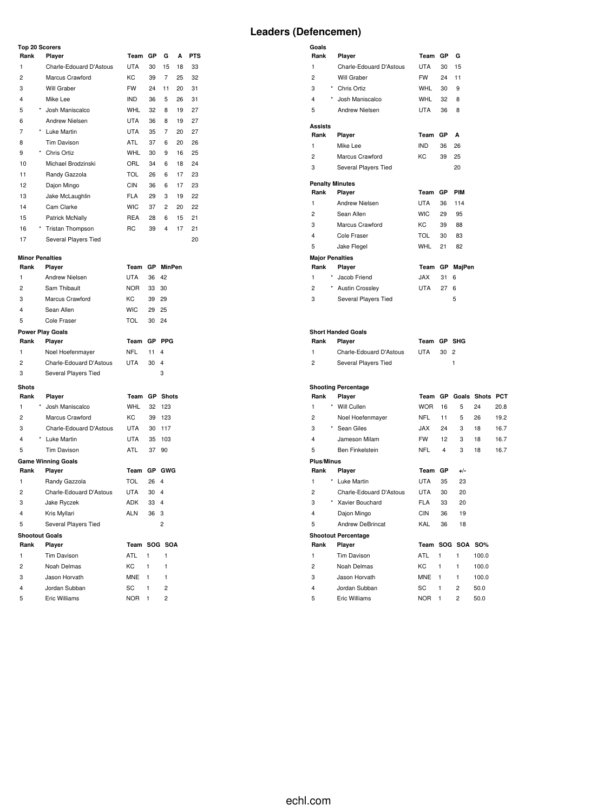### **Top 20 Scorers**

|  | Leaders (Defencemen) |
|--|----------------------|
|--|----------------------|

|                | <b>Top 20 Scorers</b>     |                |      |                         |    |            |
|----------------|---------------------------|----------------|------|-------------------------|----|------------|
| Rank           | Player                    | Team           | GР   | G                       | А  | <b>PTS</b> |
| 1              | Charle-Edouard D'Astous   | <b>UTA</b>     | 30   | 15                      | 18 | 33         |
| 2              | Marcus Crawford           | KC             | 39   | 7                       | 25 | 32         |
| 3              | Will Graber               | FW             | 24   | 11                      | 20 | 31         |
| 4              | Mike Lee                  | IND            | 36   | 5                       | 26 | 31         |
| 5              | * Josh Maniscalco         | <b>WHL</b>     | 32   | 8                       | 19 | 27         |
| 6              | Andrew Nielsen            | UTA            | 36   | 8                       | 19 | 27         |
| 7              | * Luke Martin             | UTA            | 35   | 7                       | 20 | 27         |
| 8              | Tim Davison               | ATL            | 37   | 6                       | 20 | 26         |
| 9              | * Chris Ortiz             | <b>WHL</b>     | 30   | 9                       | 16 | 25         |
| 10             | Michael Brodzinski        | ORL            | 34   | 6                       | 18 | 24         |
| 11             | Randy Gazzola             | <b>TOL</b>     | 26   | 6                       | 17 | 23         |
| 12             | Dajon Mingo               | <b>CIN</b>     | 36   | 6                       | 17 | 23         |
| 13             | Jake McLaughlin           | <b>FLA</b>     | 29   | 3                       | 19 | 22         |
| 14             | Cam Clarke                | <b>WIC</b>     | 37   | 2                       | 20 | 22         |
| 15             | Patrick McNally           | REA            | 28   | 6                       | 15 | 21         |
| 16             | * Tristan Thompson        | RC             | 39   | 4                       | 17 | 21         |
| 17             | Several Players Tied      |                |      |                         |    | 20         |
|                |                           |                |      |                         |    |            |
|                | <b>Minor Penalties</b>    |                |      |                         |    |            |
| Rank           | Player                    | Team GP MinPen |      |                         |    |            |
| 1              | Andrew Nielsen            | <b>UTA</b>     | 36   | 42                      |    |            |
| 2              | Sam Thibault              | <b>NOR</b>     | 33   | 30                      |    |            |
| 3              | Marcus Crawford           | KC             | 39   | 29                      |    |            |
| 4              | Sean Allen                | <b>WIC</b>     | 29   | 25                      |    |            |
| 5              | Cole Fraser               | <b>TOL</b>     | 30   | 24                      |    |            |
|                | <b>Power Play Goals</b>   |                |      |                         |    |            |
| Rank           | Player                    | Team           |      | GP PPG                  |    |            |
| 1              | Noel Hoefenmayer          | <b>NFL</b>     | 11   | 4                       |    |            |
| 2              | Charle-Edouard D'Astous   | UTA            | 30   | 4                       |    |            |
| 3              | Several Players Tied      |                |      | 3                       |    |            |
| <b>Shots</b>   |                           |                |      |                         |    |            |
| Rank           | Player                    | Team GP Shots  |      |                         |    |            |
| 1              | Josh Maniscalco           | <b>WHL</b>     | 32   | 123                     |    |            |
| 2              | Marcus Crawford           | KC             | 39   | 123                     |    |            |
| 3              | Charle-Edouard D'Astous   | UTA            | 30   | 117                     |    |            |
| 4              | * Luke Martin             | UTA            | 35   | 103                     |    |            |
| 5              | <b>Tim Davison</b>        | ATL            | 37   | 90                      |    |            |
|                | <b>Game Winning Goals</b> |                |      |                         |    |            |
| Rank           | Player                    | Team GP GWG    |      |                         |    |            |
| 1              | Randy Gazzola             | TOL            | 26   | 4                       |    |            |
| $\overline{c}$ | Charle-Edouard D'Astous   | UTA            | 30   | 4                       |    |            |
| 3              | Jake Ryczek               | <b>ADK</b>     | 33   | $\overline{\mathbf{4}}$ |    |            |
| 4              | Kris Myllari              | ALN            | 36 3 |                         |    |            |
| 5              | Several Players Tied      |                |      | 2                       |    |            |
|                | <b>Shootout Goals</b>     |                |      |                         |    |            |
| Rank           | Player                    | Team SOG SOA   |      |                         |    |            |
| 1              | Tim Davison               | ATL            | 1    | 1                       |    |            |
| 2              | Noah Delmas               | KC             | 1    | 1                       |    |            |
| 3              | Jason Horvath             | <b>MNE</b>     | 1    | 1                       |    |            |
| 4              | Jordan Subban             | SC             | 1    | $\overline{c}$          |    |            |
| 5              | Eric Williams             | <b>NOR</b>     | 1    | $\overline{c}$          |    |            |

| Goals                  |                                     |                  |              |                  |                         |      |
|------------------------|-------------------------------------|------------------|--------------|------------------|-------------------------|------|
| Rank                   | Player                              | Team GP          |              | G                |                         |      |
| 1                      | Charle-Edouard D'Astous             | <b>UTA</b>       | 30           | 15               |                         |      |
| 2                      | Will Graber                         | <b>FW</b>        | 24           | 11               |                         |      |
| 3                      | * Chris Ortiz                       | WHL              | 30           | 9                |                         |      |
| 4                      | * Josh Maniscalco                   | WHL              | 32           | 8                |                         |      |
| 5                      | Andrew Nielsen                      | UTA              | 36           | 8                |                         |      |
| Assists                |                                     |                  |              |                  |                         |      |
| Rank                   | Player                              | Team GP          |              | A                |                         |      |
| 1                      | Mike Lee                            | IND              | 36           | 26               |                         |      |
| $\overline{2}$         | Marcus Crawford                     | КC               | 39           | 25               |                         |      |
| 3                      | Several Players Tied                |                  |              | 20               |                         |      |
| <b>Penalty Minutes</b> |                                     |                  |              |                  |                         |      |
| Rank                   | Player                              | Team GP          |              | <b>PIM</b>       |                         |      |
| 1                      | Andrew Nielsen                      | UTA              | 36           | 114              |                         |      |
| 2                      | Sean Allen                          | <b>WIC</b>       | 29           | 95               |                         |      |
| 3                      | Marcus Crawford                     | KC               | 39           | 88               |                         |      |
| 4                      | Cole Fraser                         | <b>TOL</b>       | 30           | 83               |                         |      |
| 5                      | Jake Flegel                         | <b>WHL</b>       | 21           | 82               |                         |      |
| <b>Major Penalties</b> |                                     |                  |              |                  |                         |      |
| Rank                   | Player                              | Team             |              | GP MajPen        |                         |      |
| 1                      | Jacob Friend                        | JAX              | 31           | 6                |                         |      |
| 2                      | * Austin Crossley                   | <b>UTA</b>       | 27           | 6                |                         |      |
| 3                      | Several Players Tied                |                  |              | 5                |                         |      |
| Rank<br>1              | <b>Short Handed Goals</b><br>Player | Team GP SHG      |              | $\overline{2}$   |                         |      |
|                        | Charle-Edouard D'Astous             | UTA              | 30           |                  |                         |      |
| 2                      | Several Players Tied                |                  |              | 1                |                         |      |
|                        | <b>Shooting Percentage</b>          |                  |              |                  |                         |      |
| Rank                   | Player                              |                  |              |                  | Team GP Goals Shots PCT |      |
| 1                      | * Will Cullen                       | <b>WOR</b>       | 16           | 5                | 24                      | 20.8 |
| 2                      | Noel Hoefenmayer                    | <b>NFL</b>       | 11           | 5                | 26                      | 19.2 |
| 3                      | * Sean Giles                        | <b>JAX</b>       | 24           | 3                | 18                      | 16.7 |
| 4                      | Jameson Milam                       | FW               | 12           | 3                | 18                      | 16.7 |
| 5                      | Ben Finkelstein                     | <b>NFL</b>       | 4            | 3                | 18                      | 16.7 |
| Plus/Minus             |                                     |                  |              |                  |                         |      |
| Rank                   | Player                              | Team GP          |              | +/-              |                         |      |
| 1                      |                                     |                  |              |                  |                         |      |
| 2                      | Luke Martin                         | UTA              | 35           | 23               |                         |      |
|                        | Charle-Edouard D'Astous             | UTA              | 30           | 20               |                         |      |
| 3                      | Xavier Bouchard                     | FLA              | 33           | 20               |                         |      |
| 4                      | Dajon Mingo                         | CIN              | 36           | 19               |                         |      |
| 5                      | <b>Andrew DeBrincat</b>             | KAL              | 36           | 18               |                         |      |
|                        | <b>Shootout Percentage</b>          |                  |              |                  |                         |      |
| Rank                   | Player                              |                  |              | Team SOG SOA SO% |                         |      |
| 1                      | Tim Davison                         | ATL              | $\mathbf{1}$ | $\mathbf{1}$     | 100.0                   |      |
| $\overline{c}$         | Noah Delmas                         | КC               | 1            | 1                | 100.0                   |      |
| 3                      | Jason Horvath                       | <b>MNE</b>       | 1            | 1                | 100.0                   |      |
| 4<br>5                 | Jordan Subban<br>Eric Williams      | SC<br><b>NOR</b> | 1<br>1       | 2<br>2           | 50.0<br>50.0            |      |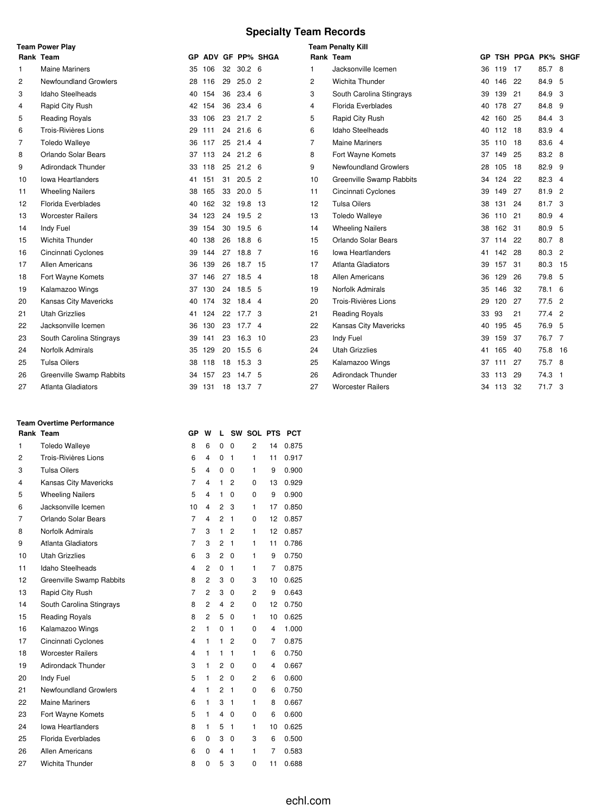# **Specialty Team Records**

|    | <b>Team Power Play</b>       |     |        |    |                   |                 |                | <b>Team Penalty Kill</b>     |     |        |                      |         |                |
|----|------------------------------|-----|--------|----|-------------------|-----------------|----------------|------------------------------|-----|--------|----------------------|---------|----------------|
|    | Rank Team                    | GP. |        |    |                   | ADV GF PP% SHGA |                | Rank Team                    |     |        | GP TSH PPGA PK% SHGF |         |                |
| -1 | <b>Maine Mariners</b>        | 35  | 106    | 32 | 30.2 <sub>6</sub> |                 | 1              | Jacksonville Icemen          | 36  | 119    | 17                   | 85.7 8  |                |
| 2  | <b>Newfoundland Growlers</b> | 28  | 116    | 29 | $25.0$ 2          |                 | $\overline{c}$ | <b>Wichita Thunder</b>       | 40. | 146    | 22                   | 84.9    | 5              |
| 3  | Idaho Steelheads             | 40  | 154    | 36 | 23.4 6            |                 | 3              | South Carolina Stingrays     | 39  | 139    | 21                   | 84.9 3  |                |
| 4  | Rapid City Rush              | 42  | 154    | 36 | $23.4\quad 6$     |                 | 4              | Florida Everblades           | 40  | 178    | 27                   | 84.8    | 9              |
| 5  | <b>Reading Royals</b>        | 33  | 106    | 23 | 21.7 <sup>2</sup> |                 | 5              | Rapid City Rush              |     | 42 160 | 25                   | 84.4 3  |                |
| 6  | Trois-Rivières Lions         | 29  | 111    | 24 | 21.6 <sub>6</sub> |                 | 6              | Idaho Steelheads             | 40  | 112    | - 18                 | 83.9    | $\overline{4}$ |
| 7  | <b>Toledo Walleye</b>        | 36  | 117    | 25 | $21.4$ 4          |                 | $\overline{7}$ | <b>Maine Mariners</b>        | 35  | 110    | 18                   | 83.6    | $\overline{4}$ |
| 8  | Orlando Solar Bears          |     | 37 113 | 24 | $21.2 \quad 6$    |                 | 8              | Fort Wayne Komets            | 37  | 149    | 25                   | 83.2 8  |                |
| 9  | <b>Adirondack Thunder</b>    | 33  | 118    | 25 | $21.2\quad$ 6     |                 | 9              | <b>Newfoundland Growlers</b> | 28  | 105    | 18                   | 82.9 9  |                |
| 10 | lowa Heartlanders            | 41  | 151    | 31 | $20.5$ 2          |                 | 10             | Greenville Swamp Rabbits     | 34  | 124    | -22                  | 82.3    | $\overline{4}$ |
| 11 | <b>Wheeling Nailers</b>      | 38  | 165    | 33 | 20.05             |                 | 11             | Cincinnati Cyclones          | 39  | 149    | 27                   | 81.9    | $\overline{c}$ |
| 12 | <b>Florida Everblades</b>    | 40  | 162    | 32 | 19.8 13           |                 | 12             | <b>Tulsa Oilers</b>          | 38  | 131    | 24                   | 81.7    | 3              |
| 13 | <b>Worcester Railers</b>     | 34  | 123    | 24 | $19.5$ 2          |                 | 13             | <b>Toledo Walleye</b>        | 36  | 110 21 |                      | 80.9    | $\overline{4}$ |
| 14 | Indy Fuel                    | 39  | 154    | 30 | 19.5 <sub>6</sub> |                 | 14             | <b>Wheeling Nailers</b>      | 38  | 162    | -31                  | 80.9    | 5              |
| 15 | <b>Wichita Thunder</b>       | 40  | 138    | 26 | 18.8 6            |                 | 15             | Orlando Solar Bears          | 37  | 114    | 22                   | 80.7 8  |                |
| 16 | Cincinnati Cyclones          | 39  | 144    | 27 | 18.8 7            |                 | 16             | <b>Iowa Heartlanders</b>     | 41  | 142    | 28                   | 80.3 2  |                |
| 17 | <b>Allen Americans</b>       | 36  | 139    | 26 | 18.7 15           |                 | 17             | Atlanta Gladiators           | 39  | 157    | 31                   | 80.3    | - 15           |
| 18 | Fort Wayne Komets            | 37  | 146    | 27 | $18.5$ 4          |                 | 18             | <b>Allen Americans</b>       | 36  | 129    | 26                   | 79.8 5  |                |
| 19 | Kalamazoo Wings              | 37  | 130    | 24 | 18.5 <sub>5</sub> |                 | 19             | Norfolk Admirals             | 35  | 146    | 32                   | 78.1    | 6              |
| 20 | <b>Kansas City Mavericks</b> | 40  | 174    | 32 | 18.4 4            |                 | 20             | Trois-Rivières Lions         | 29  | 120    | 27                   | 77.5    | $\overline{2}$ |
| 21 | <b>Utah Grizzlies</b>        | 41  | 124    | 22 | 17.7 3            |                 | 21             | <b>Reading Royals</b>        | 33  | 93     | 21                   | 77.4 2  |                |
| 22 | Jacksonville Icemen          | 36  | 130    | 23 | 17.74             |                 | 22             | Kansas City Mavericks        | 40  | 195    | 45                   | 76.9 5  |                |
| 23 | South Carolina Stingrays     | 39  | 141    | 23 | 16.3              | -10             | 23             | Indy Fuel                    | 39  | 159    | 37                   | 76.7 7  |                |
| 24 | <b>Norfolk Admirals</b>      | 35  | 129    | 20 | $15.5\quad 6$     |                 | 24             | <b>Utah Grizzlies</b>        | 41  | 165    | 40                   | 75.8 16 |                |
| 25 | <b>Tulsa Oilers</b>          | 38  | 118    | 18 | 15.3 <sup>3</sup> |                 | 25             | Kalamazoo Wings              | 37  | 111    | 27                   | 75.7 8  |                |
| 26 | Greenville Swamp Rabbits     | 34  | 157    | 23 | 14.7 <sub>5</sub> |                 | 26             | Adirondack Thunder           | 33  | 113    | 29                   | 74.3 1  |                |
| 27 | <b>Atlanta Gladiators</b>    | 39  | 131    | 18 | 13.7 7            |                 | 27             | <b>Worcester Railers</b>     |     | 34 113 | -32                  | 71.7 3  |                |

### **Team Overtime Performance**

|    | Rank Team                | GP             | W              | L              | SW           | <b>SOL PTS</b> |    | <b>PCT</b> |
|----|--------------------------|----------------|----------------|----------------|--------------|----------------|----|------------|
| 1  | <b>Toledo Walleye</b>    | 8              | 6              | 0              | 0            | 2              | 14 | 0.875      |
| 2  | Trois-Rivières Lions     | 6              | 4              | 0              | 1            | 1              | 11 | 0.917      |
| 3  | <b>Tulsa Oilers</b>      | 5              | 4              | 0              | 0            | 1              | 9  | 0.900      |
| 4  | Kansas City Mavericks    | $\overline{7}$ | 4              | 1              | 2            | 0              | 13 | 0.929      |
| 5  | <b>Wheeling Nailers</b>  | 5              | 4              | 1              | 0            | 0              | 9  | 0.900      |
| 6  | Jacksonville Icemen      | 10             | 4              | $\overline{2}$ | 3            | 1              | 17 | 0.850      |
| 7  | Orlando Solar Bears      | $\overline{7}$ | 4              | $\overline{2}$ | $\mathbf{1}$ | 0              | 12 | 0.857      |
| 8  | Norfolk Admirals         | $\overline{7}$ | 3              | 1              | 2            | 1              | 12 | 0.857      |
| 9  | Atlanta Gladiators       | $\overline{7}$ | 3              | $\overline{2}$ | $\mathbf{1}$ | 1              | 11 | 0.786      |
| 10 | <b>Utah Grizzlies</b>    | 6              | 3              | $\overline{2}$ | 0            | 1              | 9  | 0.750      |
| 11 | <b>Idaho Steelheads</b>  | 4              | $\overline{2}$ | 0              | 1            | 1              | 7  | 0.875      |
| 12 | Greenville Swamp Rabbits | 8              | $\overline{2}$ | 3              | 0            | 3              | 10 | 0.625      |
| 13 | Rapid City Rush          | $\overline{7}$ | $\overline{2}$ | 3              | 0            | 2              | 9  | 0.643      |
| 14 | South Carolina Stingrays | 8              | 2              | 4              | 2            | 0              | 12 | 0.750      |
| 15 | <b>Reading Royals</b>    | 8              | $\overline{2}$ | 5              | 0            | 1              | 10 | 0.625      |
| 16 | Kalamazoo Wings          | $\overline{c}$ | 1              | 0              | 1            | 0              | 4  | 1.000      |
| 17 | Cincinnati Cyclones      | 4              | 1              | 1              | 2            | 0              | 7  | 0.875      |
| 18 | <b>Worcester Railers</b> | $\overline{4}$ | $\mathbf{1}$   | 1              | 1            | 1              | 6  | 0.750      |
| 19 | Adirondack Thunder       | 3              | 1              | 2              | 0            | 0              | 4  | 0.667      |
| 20 | Indy Fuel                | 5              | 1              | $\overline{2}$ | 0            | 2              | 6  | 0.600      |
| 21 | Newfoundland Growlers    | $\overline{4}$ | 1              | $\overline{2}$ | 1            | 0              | 6  | 0.750      |
| 22 | <b>Maine Mariners</b>    | 6              | 1              | 3              | $\mathbf{1}$ | 1              | 8  | 0.667      |
| 23 | Fort Wayne Komets        | 5              | 1              | 4              | 0            | 0              | 6  | 0.600      |
| 24 | <b>Iowa Heartlanders</b> | 8              | 1              | 5              | 1            | 1              | 10 | 0.625      |
| 25 | Florida Everblades       | 6              | 0              | 3              | 0            | 3              | 6  | 0.500      |
| 26 | <b>Allen Americans</b>   | 6              | 0              | 4              | 1            | 1              | 7  | 0.583      |
| 27 | Wichita Thunder          | 8              | 0              | 5              | 3            | 0              | 11 | 0.688      |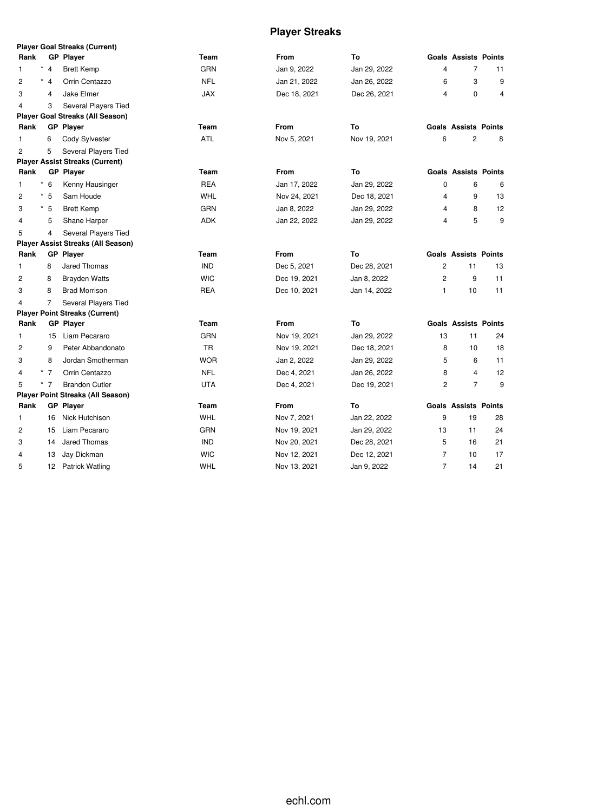# **Player Streaks**

|                         |                | <b>Player Goal Streaks (Current)</b>      |            |              |              |                         |                             |                |
|-------------------------|----------------|-------------------------------------------|------------|--------------|--------------|-------------------------|-----------------------------|----------------|
| Rank                    |                | <b>GP Player</b>                          | Team       | From         | To           |                         | <b>Goals Assists Points</b> |                |
| $\star$<br>1.           | $\overline{4}$ | <b>Brett Kemp</b>                         | <b>GRN</b> | Jan 9, 2022  | Jan 29, 2022 | 4                       | $\overline{7}$              | 11             |
| $\star$<br>2            | $\overline{4}$ | Orrin Centazzo                            | <b>NFL</b> | Jan 21, 2022 | Jan 26, 2022 | 6                       | 3                           | 9              |
| 3                       | $\overline{4}$ | Jake Elmer                                | <b>JAX</b> | Dec 18, 2021 | Dec 26, 2021 | $\overline{\mathbf{4}}$ | $\mathbf 0$                 | $\overline{4}$ |
| $\overline{\mathbf{4}}$ | 3              | Several Players Tied                      |            |              |              |                         |                             |                |
|                         |                | Player Goal Streaks (All Season)          |            |              |              |                         |                             |                |
| Rank                    |                | <b>GP Player</b>                          | Team       | From         | To           |                         | <b>Goals Assists Points</b> |                |
| $\mathbf{1}$            | 6              | Cody Sylvester                            | ATL        | Nov 5, 2021  | Nov 19, 2021 | 6                       | $\overline{c}$              | 8              |
| $\overline{2}$          | 5              | Several Players Tied                      |            |              |              |                         |                             |                |
|                         |                | <b>Player Assist Streaks (Current)</b>    |            |              |              |                         |                             |                |
| Rank                    |                | <b>GP Player</b>                          | Team       | From         | To           |                         | <b>Goals Assists Points</b> |                |
| $^\star$<br>1           | 6              | Kenny Hausinger                           | <b>REA</b> | Jan 17, 2022 | Jan 29, 2022 | $\mathbf 0$             | 6                           | 6              |
| $^\star$<br>2           | 5              | Sam Houde                                 | WHL        | Nov 24, 2021 | Dec 18, 2021 | 4                       | 9                           | 13             |
| 3                       | $*5$           | <b>Brett Kemp</b>                         | <b>GRN</b> | Jan 8, 2022  | Jan 29, 2022 | 4                       | 8                           | 12             |
| 4                       | 5              | Shane Harper                              | <b>ADK</b> | Jan 22, 2022 | Jan 29, 2022 | 4                       | 5                           | 9              |
| 5                       | 4              | Several Players Tied                      |            |              |              |                         |                             |                |
|                         |                | <b>Player Assist Streaks (All Season)</b> |            |              |              |                         |                             |                |
| Rank                    |                | <b>GP Player</b>                          | Team       | <b>From</b>  | To           |                         | <b>Goals Assists Points</b> |                |
| 1                       | 8              | Jared Thomas                              | <b>IND</b> | Dec 5, 2021  | Dec 28, 2021 | $\overline{c}$          | 11                          | 13             |
| 2                       | 8              | <b>Brayden Watts</b>                      | <b>WIC</b> | Dec 19, 2021 | Jan 8, 2022  | 2                       | 9                           | 11             |
| 3                       | 8              | <b>Brad Morrison</b>                      | REA        | Dec 10, 2021 | Jan 14, 2022 | 1                       | 10                          | 11             |
| 4                       | $\overline{7}$ | Several Players Tied                      |            |              |              |                         |                             |                |
|                         |                | <b>Player Point Streaks (Current)</b>     |            |              |              |                         |                             |                |
| Rank                    |                | <b>GP Player</b>                          | Team       | From         | To           |                         | <b>Goals Assists Points</b> |                |
| 1                       |                | 15 Liam Pecararo                          | <b>GRN</b> | Nov 19, 2021 | Jan 29, 2022 | 13                      | 11                          | 24             |
| 2                       | 9              | Peter Abbandonato                         | TR         | Nov 19, 2021 | Dec 18, 2021 | 8                       | 10                          | 18             |
| 3                       | 8              | Jordan Smotherman                         | <b>WOR</b> | Jan 2, 2022  | Jan 29, 2022 | 5                       | 6                           | 11             |
| 4                       | $*$ 7          | Orrin Centazzo                            | <b>NFL</b> | Dec 4, 2021  | Jan 26, 2022 | 8                       | $\overline{4}$              | 12             |
| 5                       | $*$ 7          | <b>Brandon Cutler</b>                     | <b>UTA</b> | Dec 4, 2021  | Dec 19, 2021 | $\overline{2}$          | $\overline{7}$              | 9              |
|                         |                | <b>Player Point Streaks (All Season)</b>  |            |              |              |                         |                             |                |
| Rank                    |                | <b>GP Player</b>                          | Team       | From         | To           |                         | <b>Goals Assists Points</b> |                |
| 1                       | 16             | Nick Hutchison                            | <b>WHL</b> | Nov 7, 2021  | Jan 22, 2022 | 9                       | 19                          | 28             |
| 2                       | 15             | Liam Pecararo                             | <b>GRN</b> | Nov 19, 2021 | Jan 29, 2022 | 13                      | 11                          | 24             |
| 3                       | 14             | Jared Thomas                              | <b>IND</b> | Nov 20, 2021 | Dec 28, 2021 | 5                       | 16                          | 21             |
| 4                       | 13             | Jay Dickman                               | <b>WIC</b> | Nov 12, 2021 | Dec 12, 2021 | $\overline{7}$          | 10                          | 17             |
| 5                       | 12             | <b>Patrick Watling</b>                    | <b>WHL</b> | Nov 13, 2021 | Jan 9, 2022  | $\overline{7}$          | 14                          | 21             |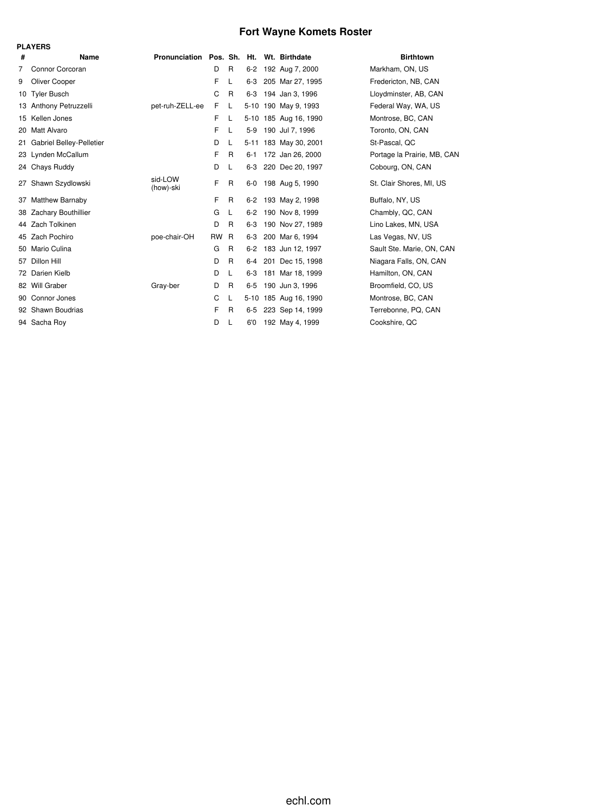# **Fort Wayne Komets Roster**

|    | <b>PLAYERS</b>                  |                                          |      |              |          |                       |                             |
|----|---------------------------------|------------------------------------------|------|--------------|----------|-----------------------|-----------------------------|
| #  | Name                            | Pronunciation Pos. Sh. Ht. Wt. Birthdate |      |              |          |                       | <b>Birthtown</b>            |
| 7  | Connor Corcoran                 |                                          | D    | $\mathsf{R}$ | $6 - 2$  | 192 Aug 7, 2000       | Markham, ON, US             |
| 9  | Oliver Cooper                   |                                          | F    | L            | 6-3      | 205 Mar 27, 1995      | Fredericton, NB, CAN        |
| 10 | <b>Tyler Busch</b>              |                                          | C    | R            | $6 - 3$  | 194 Jan 3, 1996       | Lloydminster, AB, CAN       |
|    | 13 Anthony Petruzzelli          | pet-ruh-ZELL-ee                          | F    | L            |          | 5-10 190 May 9, 1993  | Federal Way, WA, US         |
|    | 15 Kellen Jones                 |                                          | F    | L            |          | 5-10 185 Aug 16, 1990 | Montrose, BC, CAN           |
| 20 | Matt Alvaro                     |                                          | F    | L            | $5-9$    | 190 Jul 7, 1996       | Toronto, ON, CAN            |
| 21 | <b>Gabriel Belley-Pelletier</b> |                                          | D    | L            |          | 5-11 183 May 30, 2001 | St-Pascal, QC               |
| 23 | Lynden McCallum                 |                                          | F    | R.           | $6 - 1$  | 172 Jan 26, 2000      | Portage la Prairie, MB, CAN |
|    | 24 Chays Ruddy                  |                                          | D    | L            | 6-3      | 220 Dec 20, 1997      | Cobourg, ON, CAN            |
| 27 | Shawn Szydlowski                | sid-LOW<br>(how)-ski                     | F    | R            | $6-0$    | 198 Aug 5, 1990       | St. Clair Shores, MI, US    |
| 37 | Matthew Barnaby                 |                                          | F    | R            | $6 - 2$  | 193 May 2, 1998       | Buffalo, NY, US             |
| 38 | Zachary Bouthillier             |                                          | G    | L            | $6 - 2$  | 190 Nov 8, 1999       | Chambly, QC, CAN            |
| 44 | Zach Tolkinen                   |                                          | D    | R            | $6 - 3$  | 190 Nov 27, 1989      | Lino Lakes, MN, USA         |
|    | 45 Zach Pochiro                 | poe-chair-OH                             | RW R |              | 6-3      | 200 Mar 6, 1994       | Las Vegas, NV, US           |
| 50 | Mario Culina                    |                                          | G    | R            | $6 - 2$  | 183 Jun 12, 1997      | Sault Ste. Marie, ON, CAN   |
| 57 | Dillon Hill                     |                                          | D    | R            | 6-4      | 201 Dec 15, 1998      | Niagara Falls, ON, CAN      |
|    | 72 Darien Kielb                 |                                          | D    | L            | $6 - 3$  | 181 Mar 18, 1999      | Hamilton, ON, CAN           |
|    | 82 Will Graber                  | Gray-ber                                 | D    | R            | $6 - 5$  | 190 Jun 3, 1996       | Broomfield, CO, US          |
|    | 90 Connor Jones                 |                                          | C    | L            | $5 - 10$ | 185 Aug 16, 1990      | Montrose, BC, CAN           |
|    | 92 Shawn Boudrias               |                                          | F    | R            | $6 - 5$  | 223 Sep 14, 1999      | Terrebonne, PQ, CAN         |
|    | 94 Sacha Roy                    |                                          | D    | L            | 6'0      | 192 May 4, 1999       | Cookshire, QC               |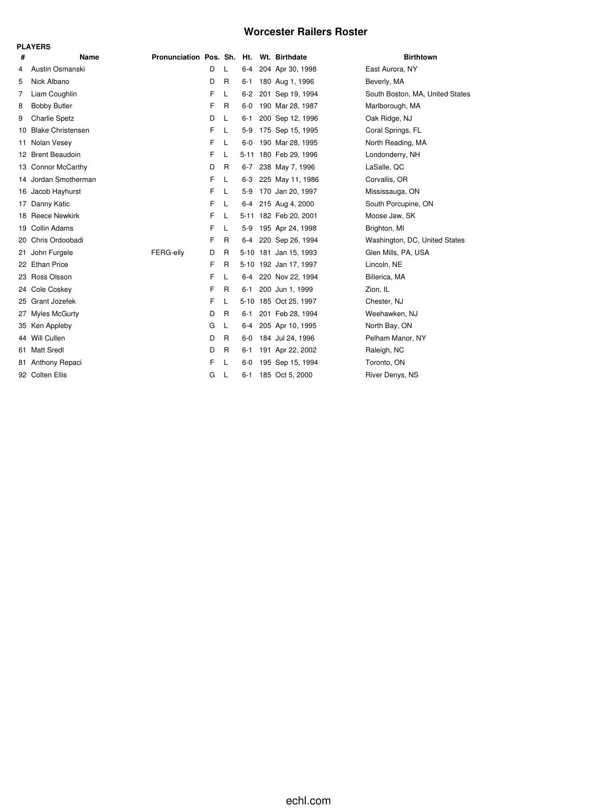### **Worcester Railers Roster**

|     | <b>PLAYERS</b>           |                            |   |              |         |                       |                                 |
|-----|--------------------------|----------------------------|---|--------------|---------|-----------------------|---------------------------------|
| #   | Name                     | Pronunciation Pos. Sh. Ht. |   |              |         | Wt. Birthdate         | <b>Birthtown</b>                |
| 4   | Austin Osmanski          |                            | D | L            | 6-4     | 204 Apr 30, 1998      | East Aurora, NY                 |
| 5   | Nick Albano              |                            | D | R            | 6-1     | 180 Aug 1, 1996       | Beverly, MA                     |
| 7   | Liam Coughlin            |                            | F | L            | $6 - 2$ | 201 Sep 19, 1994      | South Boston, MA, United States |
| 8   | <b>Bobby Butler</b>      |                            | F | R            | 6-0     | 190 Mar 28, 1987      | Marlborough, MA                 |
| 9   | <b>Charlie Spetz</b>     |                            | D | L            | 6-1     | 200 Sep 12, 1996      | Oak Ridge, NJ                   |
| 10  | <b>Blake Christensen</b> |                            | F | L            | 5-9     | 175 Sep 15, 1995      | Coral Springs, FL               |
| 11  | Nolan Vesey              |                            | F | L            | $6-0$   | 190 Mar 28, 1995      | North Reading, MA               |
|     | 12 Brent Beaudoin        |                            | F | L            |         | 5-11 180 Feb 29, 1996 | Londonderry, NH                 |
|     | 13 Connor McCarthy       |                            | D | R            | $6 - 7$ | 238 May 7, 1996       | LaSalle, QC                     |
|     | 14 Jordan Smotherman     |                            | F | L            | $6-3$   | 225 May 11, 1986      | Corvallis, OR                   |
|     | 16 Jacob Hayhurst        |                            | F | L            | 5-9     | 170 Jan 20, 1997      | Mississauga, ON                 |
| 17  | Danny Katic              |                            | F | L            | $6-4$   | 215 Aug 4, 2000       | South Porcupine, ON             |
|     | 18 Reece Newkirk         |                            | F | L            |         | 5-11 182 Feb 20, 2001 | Moose Jaw, SK                   |
| 19  | Collin Adams             |                            | F | L            | 5-9     | 195 Apr 24, 1998      | Brighton, MI                    |
| 20  | Chris Ordoobadi          |                            | F | R            | 6-4     | 220 Sep 26, 1994      | Washington, DC, United States   |
| 21. | John Furgele             | FERG-ellv                  | D | R            |         | 5-10 181 Jan 15, 1993 | Glen Mills, PA, USA             |
|     | 22 Ethan Price           |                            | F | R            |         | 5-10 192 Jan 17, 1997 | Lincoln, NE                     |
| 23  | Ross Olsson              |                            | F | L            | 6-4     | 220 Nov 22, 1994      | Billerica, MA                   |
|     | 24 Cole Coskey           |                            | F | R            | 6-1     | 200 Jun 1, 1999       | Zion, IL                        |
| 25  | Grant Jozefek            |                            | F | L            |         | 5-10 185 Oct 25, 1997 | Chester, NJ                     |
| 27  | Myles McGurty            |                            | D | $\mathsf{R}$ | 6-1     | 201 Feb 28, 1994      | Weehawken, NJ                   |
|     | 35 Ken Appleby           |                            | G | L            | 6-4     | 205 Apr 10, 1995      | North Bay, ON                   |
|     | 44 Will Cullen           |                            | D | R            | 6-0     | 184 Jul 24, 1996      | Pelham Manor, NY                |
| 61. | <b>Matt Sredl</b>        |                            | D | R            | 6-1     | 191 Apr 22, 2002      | Raleigh, NC                     |
| 81. | Anthony Repaci           |                            | F | L            | 6-0     | 195 Sep 15, 1994      | Toronto, ON                     |
|     | 92 Colten Ellis          |                            | G | L            |         | 6-1 185 Oct 5, 2000   | River Denys, NS                 |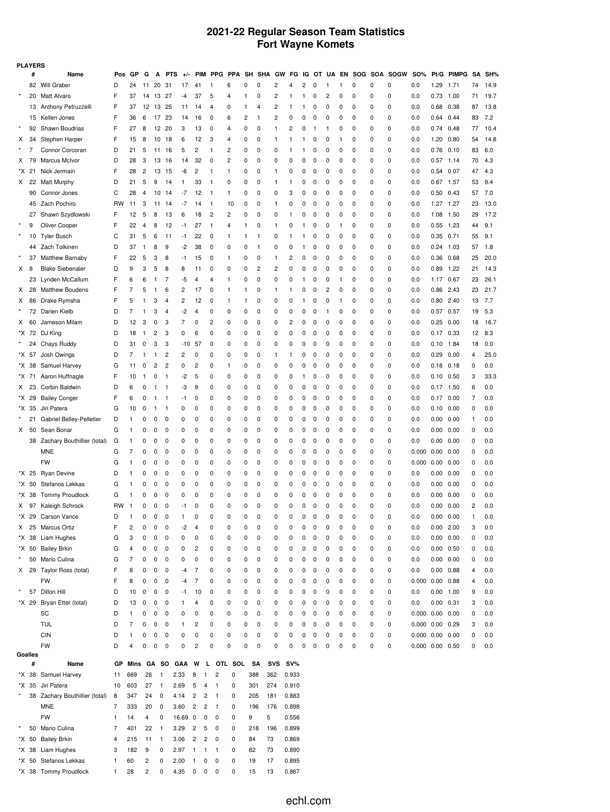### **2021-22 Regular Season Team Statistics Fort Wayne Komets**

|                | <b>PLAYERS</b><br>SOG SOA SOGW<br>SH SHA GW FG IG OT UA |                                |                |            |                |                |                |         |                                  |                |                |     |              |                |              |              |          |          |              |             |             |             |                       |               |            |                |      |
|----------------|---------------------------------------------------------|--------------------------------|----------------|------------|----------------|----------------|----------------|---------|----------------------------------|----------------|----------------|-----|--------------|----------------|--------------|--------------|----------|----------|--------------|-------------|-------------|-------------|-----------------------|---------------|------------|----------------|------|
|                | #                                                       | Name                           | Pos            | GP         | G              | A              | <b>PTS</b>     | $+/-$   | PIM                              | PPG PPA        |                |     |              |                |              |              |          |          | EN           |             |             |             | SO%                   |               | Pt/G PIMPG | SΑ             | SH%  |
|                |                                                         | 82 Will Graber                 | D              | 24         | 11             | 20             | 31             | 17      | 41                               | $\mathbf{1}$   | 6              | 0   | 0            | 2              | 4            | 2            | 0        | 1        | 1            | 0           | 0           | 0           | 0.0                   | 1.29          | 1.71       | 74             | 14.9 |
|                |                                                         | 20 Matt Alvaro                 | F              | 37         | 14             | 13             | -27            | $-4$    | 37                               | 5              | 4              | 1   | 0            | 2              | $\mathbf{1}$ | 1            | 0        | 2        | 0            | 0           | 0           | $\mathbf 0$ | 0.0                   | $0.73$ 1.00   |            | 71             | 19.7 |
|                |                                                         | 13 Anthony Petruzzelli         | F              | 37         | 12             | 13             | 25             | 11      | 14                               | 4              | 0              | 1   | 4            | $\overline{c}$ | 1            | -1           | 0        | 0        | 0            | 0           | 0           | 0           | 0.0                   | 0.68          | 0.38       | 87             | 13.8 |
|                |                                                         | 15 Kellen Jones                | F              | 36         | 6              | 17             | -23            | 14      | 16                               | 0              | 6              | 2   | $\mathbf{1}$ | $\overline{c}$ | 0            | 0            | 0        | 0        | 0            | 0           | 0           | 0           | 0.0                   | $0.64$ 0.44   |            | 83             | 7.2  |
|                | 92                                                      | Shawn Boudrias                 | F              | 27         | 8              | 12             | 20             | 3       | 13                               | 0              | 4              | 0   | 0            | 1              | 2            | 0            | 1        | 1        | 0            | 0           | 0           | 0           | 0.0                   | 0.74          | 0.48       | 77             | 10.4 |
| Х              | 34                                                      | Stephen Harper                 | F              | 15         | 8              | 10             | 18             | 6       | 12                               | 3              | $\overline{4}$ | 0   | 0            | $\mathbf{1}$   | $\mathbf{1}$ | -1           | 0        | 0        | -1           | 0           | $\mathbf 0$ | 0           | 0.0                   | 1.20 0.80     |            | 54             | 14.8 |
|                | 7                                                       | Connor Corcoran                | D              | 21         | 5              | 11             | 16             | 5       | 2                                | $\mathbf{1}$   | 2              | 0   | 0            | 0              | 1            | -1           | 0        | 0        | 0            | 0           | 0           | 0           | 0.0                   | $0.76$ $0.10$ |            | 83             | 6.0  |
| X.             | 79                                                      | <b>Marcus McIvor</b>           | D              | 28         | 3              | 13             | 16             | 14      | 32                               | 0              | 2              | 0   | 0            | 0              | 0            | 0            | 0        | 0        | 0            | 0           | 0           | 0           | 0.0                   | $0.57$ 1.14   |            | 70             | 4.3  |
|                | *X 21                                                   | Nick Jermain                   | F              | 28         | $\overline{c}$ | 13             | 15             | -6      | 2                                | $\mathbf{1}$   | $\mathbf{1}$   | 0   | 0            | $\mathbf{1}$   | 0            | 0            | 0        | 0        | 0            | 0           | 0           | 0           | 0.0                   | 0.54          | 0.07       | 47             | 4.3  |
|                |                                                         |                                | D              | 21         | 5              | 9              | 14             | 1       | 33                               | $\mathbf{1}$   | 0              | 0   | 0            | $\mathbf{1}$   | 1            | 0            | 0        | 0        | 0            | 0           | 0           | 0           | 0.0                   | $0.67$ 1.57   |            | 53             | 9.4  |
| X.             | 22                                                      | <b>Matt Murphy</b>             |                |            |                |                |                |         |                                  |                |                |     |              |                |              |              |          |          |              |             |             |             |                       |               |            |                |      |
|                | 90                                                      | Connor Jones                   | C              | 28         | 4              | 10             | 14             | -7      | 12                               | $\mathbf{1}$   | $\mathbf{1}$   | 0   | 0            | 0              | 3            | 0            | 0        | 0        | 0            | 0           | 0           | 0           | 0.0                   | 0.50          | 0.43       | 57             | 7.0  |
|                |                                                         | 45 Zach Pochiro                | <b>RW</b>      | 11         | 3              | 11             | -14            | -7      | 14                               | $\mathbf{1}$   | 10             | 0   | 0            | 1              | 0            | 0            | 0        | 0        | 0            | 0           | 0           | 0           | 0.0                   | 1.27 1.27     |            | 23             | 13.0 |
|                | 27                                                      | Shawn Szydlowski               | F              | 12         | 5              | 8              | 13             | 6       | 18                               | $\overline{c}$ | 2              | 0   | 0            | 0              | $\mathbf{1}$ | 0            | 0        | 0        | 0            | 0           | 0           | 0           | 0.0                   | 1.08 1.50     |            | 29             | 17.2 |
|                | 9                                                       | Oliver Cooper                  | F              | 22         | $\overline{4}$ | 8              | 12             | -1      | 27                               | $\mathbf{1}$   | $\overline{4}$ | 1   | 0            | 1              | 0            | -1           | 0        | 0        | -1           | 0           | $\mathbf 0$ | 0           | 0.0                   | $0.55$ 1.23   |            | 44             | 9.1  |
| $\star$        | 10                                                      | <b>Tyler Busch</b>             | C              | 31         | 5              | 6              | 11             | -1      | 22                               | 0              | 1              | 1   | -1           | 0              | 1            | -1           | 0        | 0        | 0            | 0           | 0           | 0           | 0.0                   | 0.35 0.71     |            | 55             | 9.1  |
|                |                                                         | 44 Zach Tolkinen               | D              | 37         | $\mathbf{1}$   | 8              | 9              | $-2$    | 38                               | 0              | 0              | 0   | $\mathbf{1}$ | 0              | 0            | -1           | 0        | 0        | 0            | 0           | 0           | 0           | 0.0                   | $0.24$ 1.03   |            | 57             | 1.8  |
|                | 37                                                      | Matthew Barnaby                | F              | 22         | 5              | 3              | 8              | -1      | 15                               | 0              | 1              | 0   | 0            | 1              | 2            | 0            | 0        | 0        | 0            | 0           | 0           | 0           | 0.0                   | 0.36 0.68     |            | 25             | 20.0 |
| X <sub>8</sub> |                                                         | <b>Blake Siebenaler</b>        | D              | 9          | 3              | 5              | 8              | 8       | 11                               | 0              | 0              | 0   | 2            | $\overline{c}$ | 0            | 0            | 0        | 0        | 0            | 0           | $\mathbf 0$ | 0           | 0.0                   | $0.89$ 1.22   |            | 21             | 14.3 |
|                | 23                                                      | Lynden McCallum                | F              | 6          | 6              | 1              | 7              | -5      | 4                                | 4              | 1              | 0   | 0            | 0              | 0            | -1           | 0        | 0        | 1            | 0           | 0           | 0           | 0.0                   | 1.17 0.67     |            | 23             | 26.1 |
| X.             |                                                         | 28 Matthew Boudens             | F              | 7          | 5              | 1              | 6              | 2       | 17                               | 0              | 1              | 1   | 0            | $\mathbf{1}$   | 1            | 0            | 0        | 2        | 0            | 0           | 0           | 0           | 0.0                   | 0.86 2.43     |            | 23             | 21.7 |
| Х              |                                                         | 86 Drake Rymsha                | F              | 5          | 1              | 3              | 4              | 2       | 12                               | 0              | 1              | 1   | 0            | 0              | 0            | $\mathbf{1}$ | 0        | 0        | $\mathbf{1}$ | 0           | 0           | 0           | 0.0                   | $0.80$ 2.40   |            | 13             | 7.7  |
|                |                                                         | 72 Darien Kielb                | D              | 7          | 1              | 3              | $\overline{4}$ | $-2$    | $\overline{4}$                   | 0              | 0              | 0   | 0            | 0              | 0            | 0            | 0        | 1        | 0            | 0           | $\mathbf 0$ | 0           | 0.0                   | 0.57 0.57     |            | 19             | 5.3  |
| X              | 60                                                      | Jameson Milam                  | D              | 12         | 3              | 0              | 3              | 7       | 0                                | 2              | 0              | 0   | 0            | 0              | 2            | 0            | 0        | 0        | 0            | 0           | 0           | 0           | 0.0                   | $0.25$ 0.00   |            | 18             | 16.7 |
|                |                                                         | *X 72 DJ King                  | D              | 18         | -1             | 2              | 3              | 0       | 6                                | 0              | 0              | 0   | 0            | 0              | 0            | 0            | 0        | 0        | 0            | 0           | 0           | 0           | 0.0                   | $0.17$ 0.33   |            | 12             | 8.3  |
|                |                                                         | 24 Chays Ruddy                 | D              | 31         | 0              | 3              | 3              | -10     | 57                               | 0              | 0              | 0   | 0            | 0              | 0            | 0            | 0        | 0        | 0            | 0           | 0           | 0           | 0.0                   | 0.10          | 1.84       | 18             | 0.0  |
|                | *X 57                                                   | Josh Owings                    | D              | 7          | -1             | 1              | $\overline{c}$ | 2       | 0                                | 0              | 0              | 0   | 0            | $\mathbf{1}$   | -1           | 0            | 0        | 0        | 0            | 0           | $\mathbf 0$ | 0           | 0.0                   | 0.29          | 0.00       | 4              | 25.0 |
|                |                                                         |                                |                |            |                |                |                |         |                                  |                |                |     |              |                |              |              |          |          |              |             |             |             |                       |               |            |                |      |
|                | *X 38                                                   | Samuel Harvey                  | G              | 11         | 0              | 2              | 2              | 0       | 2                                | 0              | 1              | 0   | 0            | 0              | 0            | 0            | 0        | 0        | 0            | $\mathbf 0$ | 0           | $\pmb{0}$   | 0.0                   | 0.18          | 0.18       | 0              | 0.0  |
|                | *X 71                                                   | Aaron Huffnagle                | F              | 10         | -1             | 0              | 1              | -2      | 5                                | 0              | 0              | 0   | 0            | 0              | 0            | -1           | 0        | 0        | 0            | 0           | 0           | 0           | 0.0                   | $0.10$ $0.50$ |            | 3              | 33.3 |
| X.             | 23                                                      | Corbin Baldwin                 | D              | 6          | 0              | 1              | 1              | -3      | 9                                | 0              | 0              | 0   | 0            | 0              | 0            | 0            | 0        | 0        | 0            | 0           | 0           | 0           | 0.0                   | $0.17$ 1.50   |            | 6              | 0.0  |
|                | *X 29                                                   | <b>Bailey Conger</b>           | F              | 6          | 0              | 1              | 1              | -1      | 0                                | 0              | 0              | 0   | 0            | 0              | 0            | 0            | 0        | 0        | 0            | 0           | 0           | $\mathbf 0$ | 0.0                   | $0.17$ $0.00$ |            | $\overline{7}$ | 0.0  |
|                | *X 35                                                   | Jiri Patera                    | G              | 10         | 0              | -1             | 1              | 0       | 0                                | 0              | 0              | 0   | 0            | 0              | 0            | 0            | 0        | 0        | 0            | $\mathbf 0$ | 0           | 0           | 0.0                   | 0.10          | 0.00       | 0              | 0.0  |
|                |                                                         | 21 Gabriel Belley-Pelletier    | D              | 1          | 0              | 0              | 0              | 0       | 0                                | 0              | 0              | 0   | 0            | 0              | 0            | 0            | 0        | 0        | 0            | 0           | 0           | 0           | 0.0                   | 0.00 0.00     |            | 1              | 0.0  |
| X.             | 50                                                      | Sean Bonar                     | G              | 1          | 0              | 0              | 0              | 0       | 0                                | 0              | 0              | 0   | 0            | 0              | 0            | 0            | 0        | 0        | 0            | 0           | 0           | 0           | 0.0                   | 0.00          | 0.00       | 0              | 0.0  |
|                |                                                         | 38 Zachary Bouthillier (total) | G              | 1          | 0              | 0              | 0              | 0       | 0                                | 0              | 0              | 0   | 0            | 0              | 0            | 0            | 0        | 0        | 0            | 0           | 0           | $\mathbf 0$ | 0.0                   | 0.00          | 0.00       | 0              | 0.0  |
|                |                                                         | <b>MNE</b>                     | G              | 7          | 0              | 0              | 0              | 0       | 0                                | 0              | 0              | 0   | 0            | 0              | 0            | 0            | 0        | 0        | 0            | 0           | 0           | 0           | 0.000                 | 0.00          | 0.00       | 0              | 0.0  |
|                |                                                         | <b>FW</b>                      | G              | 1          | 0              | 0              | 0              | 0       | 0                                | 0              | 0              | 0   | 0            | 0              | 0            | 0            | 0        | 0        | 0            | 0           | 0           | 0           | 0.000                 | 0.00          | 0.00       | 0              | 0.0  |
|                |                                                         | *X 25 Ryan Devine              | D              | 1          | 0              | 0              | 0              | 0       | 0                                | 0              | 0              | 0   | 0            | 0              | 0            | 0            | 0        | 0        | 0            | 0           | 0           | 0           | 0.0                   | 0.00          | 0.00       | 0              | 0.0  |
|                | *X 50                                                   | Stefanos Lekkas                | G              | 1          | 0              | 0              | 0              | 0       | 0                                | 0              | 0              | 0   | 0            | 0              | 0            | 0            | 0        | 0        | 0            | 0           | 0           | 0           | 0.0                   | 0.00 0.00     |            | 0              | 0.0  |
|                | *X 38                                                   | <b>Tommy Proudlock</b>         | G              | 1          | 0              | 0              | 0              | 0       | 0                                | 0              | 0              | 0   | 0            | 0              | 0            | 0            | 0        | 0        | 0            | 0           | 0           | 0           | 0.0                   | 0.00          | 0.00       | 0              | 0.0  |
|                |                                                         | X 97 Kaleigh Schrock           | <b>RW</b>      | 1          | 0              | 0              | 0              | -1      | 0                                | 0              | 0              | 0   | 0            | 0              | 0            | 0            | 0        | 0        | 0            | 0           | $\mathbf 0$ | $\mathbf 0$ | 0.0                   | 0.00 0.00     |            | 2              | 0.0  |
|                |                                                         | *X 29 Carson Vance             | D              | 1          | 0              | 0              | 0              | 1       | $\Omega$                         | 0              | $\Omega$       | 0   | $\Omega$     | $\Omega$       | $\Omega$     | 0            | $\Omega$ | $\Omega$ | $\Omega$     | $\Omega$    | $\Omega$    | $\Omega$    | 0.0                   | 0.00          | 0.00       | $\mathbf{1}$   | 0.0  |
| X              |                                                         | 25 Marcus Ortiz                | F              | 2          | 0              | 0              | 0              | -2      | $\overline{4}$                   | 0              | 0              | 0   | 0            | 0              | 0            | 0            | 0        | 0        | 0            | 0           | 0           | 0           | 0.0                   | $0.00$ 2.00   |            | 3              | 0.0  |
|                |                                                         | *X 38 Liam Hughes              | G              | 3          | 0              | 0              | 0              | 0       | 0                                | 0              | 0              | 0   | 0            | 0              | 0            | 0            | 0        | 0        | 0            | 0           | 0           | 0           | 0.0                   | 0.00 0.00     |            | 0              | 0.0  |
|                |                                                         |                                |                |            |                |                |                |         |                                  |                |                |     |              |                |              |              |          |          |              |             |             |             |                       |               |            |                |      |
|                |                                                         | *X 50 Bailey Brkin             | G              | 4          | 0              | 0              | 0              | 0       | $\overline{\mathbf{c}}$          | 0              | 0              | 0   | 0            | 0              | 0            | 0            | 0        | 0        | 0            | 0           | 0           | 0           | 0.0                   | $0.00$ $0.50$ |            | 0              | 0.0  |
|                |                                                         | 50 Mario Culina                | G              | 7          | 0              | 0              | 0              | 0       | 0                                | 0              | 0              | 0   | 0            | 0              | 0            | 0            | 0        | 0        | 0            | 0           | 0           | 0           | 0.0                   | 0.00 0.00     |            | 0              | 0.0  |
|                |                                                         | X 29 Taylor Ross (total)       | F              | 8          | 0              | 0              | 0              | -4      | 7                                | 0              | 0              | 0   | 0            | 0              | 0            | 0            | 0        | 0        | 0            | 0           | 0           | $\mathbf 0$ | 0.0                   | $0.00$ $0.88$ |            | 4              | 0.0  |
|                |                                                         | <b>FW</b>                      | F              | 8          | 0              | 0              | 0              | -4      | $\overline{7}$                   | 0              | 0              | 0   | 0            | 0              | 0            | 0            | 0        | 0        | 0            | 0           | 0           | 0           | $0.000$ $0.00$ $0.88$ |               |            | 4              | 0.0  |
| $\star$        |                                                         | 57 Dillon Hill                 | D              | 10         | 0              | 0              | 0              | -1      | 10                               | 0              | 0              | 0   | 0            | 0              | 0            | 0            | 0        | 0        | 0            | 0           | 0           | 0           | 0.0                   | $0.00$ 1.00   |            | 9              | 0.0  |
|                |                                                         | *X 29 Bryan Etter (total)      | D              | 13         | 0              | 0              | 0              | 1       | 4                                | 0              | 0              | 0   | 0            | 0              | 0            | 0            | 0        | 0        | 0            | 0           | 0           | 0           | 0.0                   | $0.00$ $0.31$ |            | 3              | 0.0  |
|                |                                                         | SC                             | D              | 1          | 0              | 0              | 0              | 0       | 0                                | 0              | 0              | 0   | 0            | 0              | 0            | 0            | 0        | 0        | 0            | 0           | 0           | $\mathbf 0$ | $0.000$ $0.00$ $0.00$ |               |            | 0              | 0.0  |
|                |                                                         | <b>TUL</b>                     | D              | 7          | 0              | 0              | 0              | 1       | $\overline{\mathbf{c}}$          | 0              | 0              | 0   | 0            | 0              | 0            | 0            | 0        | 0        | 0            | 0           | 0           | 0           | $0.000$ $0.00$ $0.29$ |               |            | 3              | 0.0  |
|                |                                                         | CIN                            | D              | 1          | 0              | 0              | 0              | 0       | 0                                | 0              | 0              | 0   | 0            | 0              | 0            | 0            | 0        | 0        | 0            | 0           | 0           | 0           | $0.000$ $0.00$ $0.00$ |               |            | 0              | 0.0  |
|                |                                                         | <b>FW</b>                      | D              | 4          | $\mathbf 0$    | 0              | 0              | 0       | $\overline{\mathbf{c}}$          | 0              | 0              | 0   | 0            | 0              | 0            | 0            | 0        | 0        | 0            | 0           | 0           | 0           | $0.000$ $0.00$ $0.50$ |               |            | 0              | 0.0  |
|                | Goalies                                                 |                                |                |            |                |                |                |         |                                  |                |                |     |              |                |              |              |          |          |              |             |             |             |                       |               |            |                |      |
|                | #                                                       | Name                           | GР             | Mins GA SO |                |                |                | GAA     | W                                |                | L OTL SOL      |     | SA           | <b>SVS</b>     | $SV\%$       |              |          |          |              |             |             |             |                       |               |            |                |      |
|                |                                                         | *X 38 Samuel Harvey            | 11             | 669        | 26             | $\overline{1}$ | 2.33           |         | 8<br>$\mathbf{1}$                | 2              | 0              | 388 |              | 362            | 0.933        |              |          |          |              |             |             |             |                       |               |            |                |      |
|                |                                                         | *X 35 Jiri Patera              | 10             | 603        | 27             | $\overline{1}$ | 2.69           |         | 5<br>4                           | $\mathbf{1}$   | 0              | 301 |              | 274            | 0.910        |              |          |          |              |             |             |             |                       |               |            |                |      |
|                |                                                         | 38 Zachary Bouthillier (total) | 8              | 347        | 24             | 0              | 4.14           |         | $\overline{c}$<br>$\overline{c}$ | $\mathbf{1}$   | 0              | 205 |              | 181            | 0.883        |              |          |          |              |             |             |             |                       |               |            |                |      |
|                |                                                         | <b>MNE</b>                     | 7              | 333        | 20             | 0              | 3.60           |         | $\overline{c}$<br>2              | $\mathbf{1}$   | 0              | 196 |              | 176            | 0.898        |              |          |          |              |             |             |             |                       |               |            |                |      |
|                |                                                         | <b>FW</b>                      | 1              | 14         | 4              | 0              |                | 16.69 0 | 0                                | 0              | 0              | 9   | 5            |                | 0.556        |              |          |          |              |             |             |             |                       |               |            |                |      |
| $\star$        |                                                         | 50 Mario Culina                | $\overline{7}$ | 401        | 22             | $\overline{1}$ | 3.29           |         | 5<br>$\overline{c}$              | 0              | 0              | 218 |              | 196            | 0.899        |              |          |          |              |             |             |             |                       |               |            |                |      |
|                |                                                         |                                |                |            |                |                |                |         |                                  |                |                |     |              |                |              |              |          |          |              |             |             |             |                       |               |            |                |      |
|                |                                                         | *X 50 Bailey Brkin             | 4              | 215        | 11             | $\overline{1}$ | 3.06           |         | $\overline{c}$<br>2              | 0              | 0              | 84  |              | 73             | 0.869        |              |          |          |              |             |             |             |                       |               |            |                |      |
|                |                                                         | *X 38 Liam Hughes              | 3              | 182        | 9              | 0              | 2.97           |         | $\mathbf{1}$<br>$\overline{1}$   | $\mathbf{1}$   | 0              | 82  |              | 73             | 0.890        |              |          |          |              |             |             |             |                       |               |            |                |      |

\*X 50 Stefanos Lekkas 1 60 2 0 2.00 1 0 0 0 19 17 0.895 \*X 38 Tommy Proudlock 1 28 2 0 4.35 0 0 0 0 15 13 0.867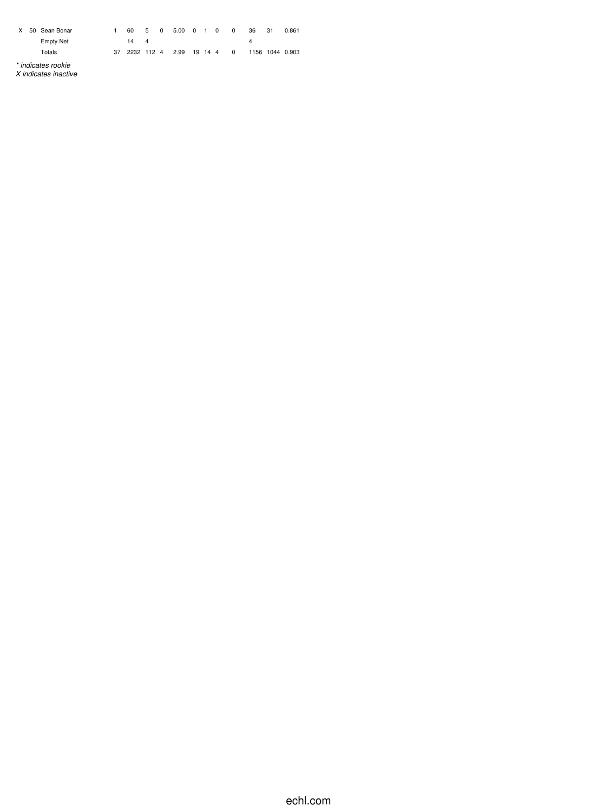| X | 50 Sean Bonar                              |    | 60         | 5 | $\overline{0}$ | 5.00 0 1 0   |  | 0        | 36 | 31 | 0.861           |
|---|--------------------------------------------|----|------------|---|----------------|--------------|--|----------|----|----|-----------------|
|   | <b>Empty Net</b>                           |    | 14         | 4 |                |              |  |          | 4  |    |                 |
|   | Totals                                     | 37 | 2232 112 4 |   |                | 2.99 19 14 4 |  | $\Omega$ |    |    | 1156 1044 0.903 |
|   | * indicates rookie<br>X indicates inactive |    |            |   |                |              |  |          |    |    |                 |

echl.com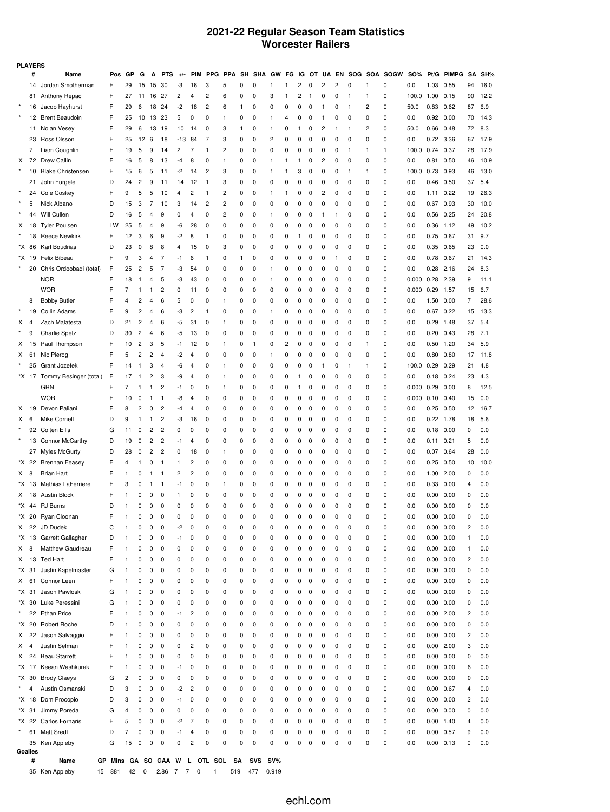### **2021-22 Regular Season Team Statistics Worcester Railers**

|         | <b>PLAYERS</b> |                                            |        |                |                |        |                |        |                         |                               |                |              |            |              |        |        |        |              |        |         |                |             |            |                   |              |           |             |
|---------|----------------|--------------------------------------------|--------|----------------|----------------|--------|----------------|--------|-------------------------|-------------------------------|----------------|--------------|------------|--------------|--------|--------|--------|--------------|--------|---------|----------------|-------------|------------|-------------------|--------------|-----------|-------------|
|         | #              | Name                                       | Pos    | GP             | G              | Α      | PT.<br>'S      |        | <b>PIM</b>              | <b>PPG</b>                    | <b>PPA</b>     | SH           | <b>SHA</b> | GW           | FG     | IG     | OT     | UA           | EN     | SOG SOA |                | <b>SOGW</b> | SO%        | Pt/G              | <b>PIMPG</b> | <b>SA</b> | SH%         |
|         | 14             | Jordan Smotherman                          | F      | 29             | 15             | 15     | 30             | -3     | 16                      | 3                             | 5              | 0            | 0          | 1            | 1      | 2      | 0      | 2            | 2      | 0       | 1              | 0           | 0.0        | 1.03              | 0.55         | 94        | 16.0        |
|         | 81             | Anthony Repaci                             | F      | 27             | 11             | 16     | 27             | 2      | 4                       | 2                             | 6              | 0            | 0          | 3            | 1      | 2      | 1      | 0            | 0      | -1      | 1              | 0           | 100.0      | 1.00              | 0.15         | 90        | 12.2        |
|         | 16             | Jacob Hayhurst                             | F      | 29             | 6              | 18     | 24             | $-2$   | 18                      | $\overline{c}$                | 6              | $\mathbf{1}$ | 0          | 0            | 0      | 0      | 0      | $\mathbf{1}$ | 0      | 1       | $\overline{c}$ | 0           | 50.0       | 0.83              | 0.62         | 87        | 6.9         |
| $\star$ | 12             | <b>Brent Beaudoin</b>                      | F      | 25             | 10             | 13     | 23             | 5      | 0                       | 0                             | 1              | 0            | 0          | 1            | 4      | 0      | 0      | 1            | 0      | 0       | 0              | 0           | 0.0        | 0.92              | 0.00         | 70        | 14.3        |
|         | 11             | Nolan Vesey                                | F      | 29             | 6              | 13     | 19             | 10     | 14                      | 0                             | 3              | $\mathbf{1}$ | 0          | 1            | 0      | 1      | 0      | 2            | 1      | 1       | 2              | 0           | 50.0       | 0.66              | 0.48         | 72        | 8.3         |
|         | 23             | Ross Olsson                                | F      | 25             | 12             | 6      | 18             | -13    | 84                      | 7                             | 3              | 0            | 0          | 2            | 0      | 0      | 0      | 0            | 0      | 0       | 0              | 0           | 0.0        | 0.72 3.36         |              | 67        | 17.9        |
|         | 7              | Liam Coughlin                              | F      | 19             | 5              | 9      | 14             | 2      | 7                       | $\mathbf{1}$                  | $\overline{c}$ | 0            | 0          | 0            | 0      | 0      | 0      | 0            | 0      | 1       | 1              | 1           | 100.0      | 0.74              | 0.37         | 28        | 17.9        |
| Х       | 72             | Drew Callin                                | F      | 16             | 5              | 8      | 13             | -4     | 8                       | 0                             | 1              | 0            | 0          | 1            | 1      | 1      | 0      | 2            | 0      | 0       | 0              | 0           | 0.0        | 0.81              | 0.50         | 46        | 10.9        |
|         | 10             | <b>Blake Christensen</b>                   | F      | 15             | 6              | 5      | 11             | -2     | 14                      | 2                             | 3              | 0            | 0          | 1            | 1      | 3      | 0      | 0            | 0      | 1       | 1              | 0           | 100.0      | 0.73              | 0.93         | 46        | 13.0        |
|         | 21             | John Furgele                               | D      | 24             | $\overline{c}$ | 9      | 11             | 14     | 12                      | $\mathbf{1}$                  | 3              | 0            | 0          | 0            | 0      | 0      | 0      | 0            | 0      | 0       | 0              | 0           | 0.0        | 0.46              | 0.50         | 37        | 5.4         |
|         | 24             | Cole Coskey                                | F      | 9              | 5              | 5      | 10             | 4      | 2                       | $\mathbf{1}$                  | $\overline{c}$ | 0            | 0          | 1            | 1      | 0      | 0      | 2            | 0      | 0       | 0              | 0           | 0.0        | 1.11              | 0.22         | 19        | 26.3        |
|         | 5              | Nick Albano                                | D      | 15             | 3              | 7      | 10             | 3      | 14                      | 2                             | $\overline{c}$ | 0            | 0          | 0            | 0      | 0      | 0      | 0            | 0      | 0       | 0              | 0           | 0.0        | 0.67              | 0.93         | 30        | 10.0        |
|         | 44             | Will Cullen                                | D      | 16             | 5              | 4      | 9              | 0      | 4                       | 0                             | $\overline{c}$ | 0            | 0          | 1            | 0      | 0      | 0      | 1            | 1      | 0       | 0              | 0           | 0.0        | 0.56              | 0.25         | 24        | 20.8        |
| X       | 18             | <b>Tyler Poulsen</b>                       | LW     | 25             | 5              | 4      | 9              | -6     | 28                      | 0                             | 0              | 0            | 0          | 0            | 0      | 0      | 0      | 0            | 0      | 0       | 0              | 0           | 0.0        | 0.36              | 1.12         | 49        | 10.2        |
|         | 18             | <b>Reece Newkirk</b>                       | F      | 12             | 3              | 6      | 9              | $-2$   | 8                       | $\mathbf{1}$                  | 0              | 0            | 0          | 0            | 0      | 1      | 0      | 0            | 0      | 0       | 0              | 0           | 0.0        | 0.75              | 0.67         | 31        | 9.7         |
| *X      | 86             | Karl Boudrias                              | D      | 23             | 0              | 8      | 8              | 4      | 15                      | 0                             | 3              | 0            | 0          | 0            | 0      | 0      | 0      | 0            | 0      | 0       | 0              | 0           | 0.0        | 0.35              | 0.65         | 23        | 0.0         |
|         | *X 19          | Felix Bibeau                               | F      | 9              | 3              | 4      | 7              | -1     | 6                       | -1                            | 0              | 1            | 0          | 0            | 0      | 0      | 0      | 0            | 1      | 0       | 0              | 0           | 0.0        | 0.78              | 0.67         | 21        | 14.3        |
|         | 20             | Chris Ordoobadi (total)                    | F      | 25             | $\overline{c}$ | 5      | 7              | -3     | 54                      | 0                             | 0              | 0            | 0          | 1            | 0      | 0      | 0      | 0            | 0      | 0       | 0              | 0           | 0.0        | $0.28$ 2.16       |              | 24        | 8.3         |
|         |                | <b>NOR</b>                                 | F      | 18             | -1             | 4      | 5              | -3     | 43                      | $\mathbf 0$                   | 0              | 0            | 0          | $\mathbf{1}$ | 0      | 0      | 0      | 0            | 0      | 0       | 0              | 0           | 0.000      | 0.28              | 2.39         | 9         | 11.1        |
|         |                | <b>WOR</b>                                 | F      | 7              | 1              | 1      | 2              | 0      | 11                      | 0                             | 0              | 0            | 0          | 0            | 0      | 0      | 0      | 0            | 0      | 0       | 0              | 0           | 0.000      | 0.29              | 1.57         | 15        | 6.7         |
|         | 8              | <b>Bobby Butler</b>                        | F      | 4              | 2              | 4      | 6              | 5      | 0                       | 0                             | 1              | 0            | 0          | 0            | 0      | 0      | 0      | 0            | 0      | 0       | 0              | 0           | 0.0        | 1.50              | 0.00         | 7         | 28.6        |
|         | 19             | Collin Adams                               | F      | 9              | 2              | 4      | 6              | -3     | 2                       | $\mathbf{1}$                  | 0              | 0            | 0          | 1            | 0      | 0      | 0      | 0            | 0      | 0       | 0              | 0           | 0.0        | $0.67$ 0.22       |              | 15        | 13.3        |
| Х       | 4              | Zach Malatesta                             | D      | 21             | 2              | 4      | 6              | -5     | 31                      | 0                             | -1             | 0            | 0          | 0            | 0      | 0      | 0      | 0            | 0      | 0       | 0              | 0           | 0.0        | 0.29              | 1.48         | 37        | 5.4         |
|         | 9              | <b>Charlie Spetz</b>                       | D      | 30             | 2              | 4      | 6              | -5     | 13                      | 0                             | 0              | 0            | 0          | 0            | 0      | 0      | 0      | 0            | 0      | 0       | 0              | 0           | 0.0        | 0.20              | 0.43         | 28        | 7.1         |
| X       | 15             | Paul Thompson                              | F      | 10             | $\overline{c}$ | 3      | 5              | -1     | 12                      | 0                             | 1              | 0            | 1          | 0            | 2      | 0      | 0      | 0            | 0      | 0       | 1              | 0           | 0.0        | 0.50              | 1.20         | 34        | 5.9         |
| X       | 61             | Nic Pierog                                 | F      | 5              | 2              | 2      | 4              | -2     | 4                       | 0                             | 0              | 0            | 0          | 1            | 0      | 0      | 0      | 0            | 0      | 0       | 0              | 0           | 0.0        | 0.80              | 0.80         | 17        | 11.8        |
|         | 25             | Grant Jozefek                              | F      | 14             | $\mathbf{1}$   | 3      | 4              | -6     | 4                       | 0                             | 1              | 0            | 0          | 0            | 0      | 0      | 0      | 1            | 0      | 1       | 1              | 0           | 100.0      | 0.29              | 0.29         | 21        | 4.8         |
| *X.     | 17             | Tommy Besinger (total)                     | F      | 17             | 1              | 2      | 3              | -9     | 4                       | 0                             | 1              | 0            | 0          | 0            | 0      | 1      | C      | O            | 0      | 0       | 0              | 0           | 0.0        | 0.18              | 0.24         | 23        | 4.3         |
|         |                | GRN                                        | F      | $\overline{7}$ | 1              | 1      | $\overline{c}$ | -1     | 0                       | 0                             | -1             | 0            | 0          | 0            | 0      | 1      | 0      | O            | 0      | 0       | 0              | 0           | 0.000      | 0.29              | 0.00         | 8         | 12.5        |
|         |                | <b>WOR</b>                                 | F      | 10             | 0              | 1      | 1              | -8     | 4                       | 0                             | 0              | 0            | 0          | 0            | 0      | 0      | 0      | 0            | 0      | 0       | 0              | 0           | 0.000      | 0.10              | 0.40         | 15        | 0.0         |
| x       | 19             | Devon Paliani                              | F      | 8              | 2              | 0      | 2              | -4     | 4                       | 0                             | 0              | 0            | 0          | 0            | 0      | 0      | 0      | O            | 0      | 0       | 0              | 0           | 0.0        | 0.25              | 0.50         | 12        | 16.7        |
| X       | 6              | Mike Cornell                               | D      | 9              | $\mathbf{1}$   | 1      | 2              | -3     | 16                      | 0                             | 0              | 0            | 0          | 0            | 0      | 0      | 0      | O            | 0      | 0       | 0              | 0           | 0.0        | $0.22$ 1.78       |              | 18        | 5.6         |
|         | 92             | <b>Colten Ellis</b>                        | G      | 11             | 0              | 2      | $\overline{c}$ | 0      | 0                       | 0                             | 0              | 0            | 0          | 0            | 0      | 0      | 0      | O            | 0      | 0       | 0              | 0           | 0.0        | $0.18$ 0.00       |              | 0         | 0.0         |
|         |                | 13 Connor McCarthy                         | D      | 19             | 0              | 2      | 2              | -1     | 4                       | 0                             | 0              | 0            | 0          | 0            | 0      | 0      | 0      | 0            | 0      | 0       | 0              | 0           | 0.0        | $0.11 \quad 0.21$ |              | 5         | 0.0         |
|         |                | 27 Myles McGurty                           | D<br>F | 28<br>4        | 0              | 2      | 2<br>1         | 0<br>1 | 18<br>2                 | 0                             | 1              | 0<br>0       | 0          | 0            | 0      | 0      | 0      | O<br>O       | 0      | 0       | 0<br>0         | 0           | 0.0        | 0.07 0.64         |              | 28        | 0.0<br>10.0 |
| *X<br>X | 22<br>8        | <b>Brennan Feasey</b><br><b>Brian Hart</b> | F      | $\mathbf{1}$   | 1<br>0         | 0<br>1 | -1             | 2      | 2                       | 0<br>0                        | 0<br>0         | 0            | 0<br>0     | 0<br>0       | 0<br>0 | 0<br>0 | 0<br>0 | O            | 0<br>0 | 0<br>0  | 0              | 0<br>0      | 0.0<br>0.0 | 0.25<br>1.00 2.00 | 0.50         | 10<br>0   | 0.0         |
| *X.     | 13             | Mathias LaFerriere                         | F      | 3              | 0              | 1      | $\mathbf{1}$   | -1     | 0                       | 0                             | 1              | 0            | 0          | 0            | 0      | 0      | 0      | 0            | 0      | 0       | 0              | 0           | 0.0        | 0.33              | 0.00         | 4         | 0.0         |
| X.      | 18             | <b>Austin Block</b>                        | F      | 1              | 0              | 0      | 0              | 1      | 0                       | 0                             | 0              | 0            | 0          | 0            | 0      | 0      | 0      | 0            | 0      | 0       | 0              | 0           | 0.0        | 0.00              | 0.00         | 0         | 0.0         |
|         |                | *X 44 RJ Burns                             | D      | 1              | 0              | 0      | 0              | 0      | 0                       | 0                             | 0              | 0            | 0          | 0            | 0      | 0      | 0      | 0            | 0      | 0       | 0              | 0           | 0.0        | $0.00 \quad 0.00$ |              | 0         | 0.0         |
|         |                | *X 20 Rvan Cloonan                         | F      | $\mathbf{1}$   | 0              | 0      | 0              | 0      | 0                       | 0                             | 0              | 0            | 0          | 0            | 0      | 0      | 0      | 0            | 0      | 0       | 0              | 0           | 0.0        | $0.00 \quad 0.00$ |              | 0         | 0.0         |
| X.      |                | 22 JD Dudek                                | С      | 1              | 0              | 0      | 0              | -2     | 0                       | 0                             | 0              | 0            | 0          | 0            | 0      | 0      | 0      | 0            | 0      | 0       | 0              | 0           | 0.0        | $0.00 \quad 0.00$ |              | 2         | 0.0         |
| *X      | 13             | Garrett Gallagher                          | D      | 1              | 0              | 0      | 0              | -1     | 0                       | 0                             | 0              | 0            | 0          | 0            | 0      | 0      | 0      | O            | 0      | 0       | 0              | 0           | 0.0        | $0.00 \quad 0.00$ |              | 1         | 0.0         |
| X.      | 8              | Matthew Gaudreau                           | F      | 1              | 0              | 0      | 0              | 0      | 0                       | 0                             | 0              | 0            | 0          | 0            | 0      | 0      | 0      | 0            | 0      | 0       | 0              | 0           | 0.0        | $0.00 \quad 0.00$ |              | 1         | 0.0         |
| X       | 13             | <b>Ted Hart</b>                            | F      | $\mathbf{1}$   | 0              | 0      | 0              | 0      | 0                       | 0                             | 0              | 0            | 0          | 0            | 0      | 0      | 0      | 0            | 0      | 0       | 0              | 0           | 0.0        | $0.00 \quad 0.00$ |              | 2         | 0.0         |
|         | *X 31          | Justin Kapelmaster                         | G      | 1              | 0              | 0      | 0              | 0      | 0                       | 0                             | 0              | 0            | 0          | 0            | 0      | 0      | 0      | 0            | 0      | 0       | 0              | 0           | 0.0        | $0.00 \quad 0.00$ |              | 0         | 0.0         |
| X       | 61             | Connor Leen                                | F      | $\mathbf{1}$   | 0              | 0      | 0              | 0      | 0                       | 0                             | 0              | 0            | 0          | 0            | 0      | 0      | 0      | 0            | 0      | 0       | 0              | 0           | 0.0        | $0.00 \quad 0.00$ |              | 0         | 0.0         |
| *X      | 31             | Jason Pawloski                             | G      | 1              | 0              | 0      | 0              | 0      | 0                       | 0                             | 0              | 0            | 0          | 0            | 0      | 0      | 0      | 0            | 0      | 0       | 0              | 0           | 0.0        | 0.00              | 0.00         | 0         | 0.0         |
| *X      | 30             | Luke Peressini                             | G      | $\mathbf{1}$   | 0              | 0      | 0              | 0      | 0                       | 0                             | 0              | 0            | 0          | 0            | 0      | 0      | 0      | 0            | 0      | 0       | 0              | 0           | 0.0        | $0.00 \quad 0.00$ |              | 0         | 0.0         |
|         | 22             | <b>Ethan Price</b>                         | F      | 1              | 0              | 0      | 0              | -1     | 2                       | 0                             | 0              | 0            | 0          | 0            | 0      | 0      | 0      | 0            | 0      | 0       | 0              | 0           | 0.0        | $0.00$ 2.00       |              | 2         | 0.0         |
| *X.     | 20             | Robert Roche                               | D      | $\mathbf{1}$   | 0              | 0      | 0              | 0      | 0                       | 0                             | 0              | 0            | 0          | 0            | 0      | 0      | 0      | 0            | 0      | 0       | 0              | 0           | 0.0        | $0.00 \quad 0.00$ |              | 0         | 0.0         |
| X.      | 22             | Jason Salvaggio                            | F      | 1              | 0              | 0      | 0              | 0      | 0                       | 0                             | 0              | 0            | 0          | 0            | 0      | 0      | 0      | 0            | 0      | 0       | 0              | 0           | 0.0        | 0.00 0.00         |              | 2         | 0.0         |
| X       | 4              | Justin Selman                              | F      | $\mathbf{1}$   | 0              | 0      | 0              | 0      | 2                       | 0                             | 0              | 0            | 0          | 0            | 0      | 0      | 0      | 0            | 0      | 0       | 0              | 0           | 0.0        | $0.00$ 2.00       |              | 3         | 0.0         |
| X.      | 24             | <b>Beau Starrett</b>                       | F      | 1              | 0              | 0      | 0              | 0      | 0                       | 0                             | 0              | 0            | 0          | 0            | 0      | 0      | 0      | 0            | 0      | 0       | 0              | 0           | 0.0        | 0.00 0.00         |              | 0         | 0.0         |
|         | *X 17          | Keean Washkurak                            | F      | $\mathbf{1}$   | 0              | 0      | 0              | -1     | 0                       | 0                             | 0              | 0            | 0          | 0            | 0      | 0      | 0      | 0            | 0      | 0       | 0              | 0           | 0.0        | 0.00 0.00         |              | 6         | 0.0         |
| *X      | 30             | <b>Brody Claeys</b>                        | G      | $\overline{c}$ | 0              | 0      | 0              | 0      | 0                       | 0                             | 0              | 0            | 0          | 0            | 0      | 0      | 0      | 0            | 0      | 0       | 0              | 0           | 0.0        | 0.00 0.00         |              | 0         | 0.0         |
|         | 4              | Austin Osmanski                            | D      | 3              | 0              | 0      | 0              | -2     | $\overline{\mathbf{c}}$ | 0                             | 0              | 0            | 0          | 0            | 0      | 0      | 0      | 0            | 0      | 0       | 0              | 0           | 0.0        | 0.00 0.67         |              | 4         | 0.0         |
|         | *X 18          | Dom Procopio                               | D      | 3              | 0              | 0      | 0              | -1     | 0                       | 0                             | 0              | 0            | 0          | 0            | 0      | 0      | 0      | 0            | 0      | 0       | 0              | 0           | 0.0        | $0.00 \quad 0.00$ |              | 2         | 0.0         |
|         | *X 31          | Jimmy Poreda                               | G      | 4              | 0              | 0      | 0              | 0      | 0                       | 0                             | 0              | 0            | 0          | 0            | 0      | 0      | 0      | 0            | 0      | 0       | 0              | 0           | 0.0        | 0.00 0.00         |              | 0         | 0.0         |
|         |                | *X 22 Carlos Fornaris                      | F      | 5              | 0              | 0      | 0              | -2     | 7                       | 0                             | 0              | 0            | 0          | 0            | 0      | 0      | 0      | 0            | 0      | 0       | 0              | 0           | 0.0        | $0.00$ 1.40       |              | 4         | 0.0         |
| $\star$ | 61             | <b>Matt Sredl</b>                          | D      | 7              | 0              | 0      | 0              | -1     | 4                       | 0                             | 0              | 0            | 0          | 0            | 0      | 0      | 0      | 0            | 0      | 0       | 0              | 0           | 0.0        | 0.00 0.57         |              | 9         | 0.0         |
|         |                | 35 Ken Appleby                             | G      | 15             | 0              | 0      | 0              | 0      | $\overline{c}$          | 0                             | 0              | 0            | 0          | 0            | 0      | 0      | 0      | 0            | 0      | 0       | 0              | 0           | 0.0        | $0.00 \quad 0.13$ |              | 0         | 0.0         |
|         | Goalies<br>#   | Name                                       |        |                |                |        |                |        |                         | GP Mins GA SO GAA W L OTL SOL | SA             |              | SVS SV%    |              |        |        |        |              |        |         |                |             |            |                   |              |           |             |
|         |                |                                            |        |                |                |        |                |        |                         |                               |                |              |            |              |        |        |        |              |        |         |                |             |            |                   |              |           |             |

35 Ken Appleby 15 881 42 0 2.86 7 7 0 1 519 477 0.919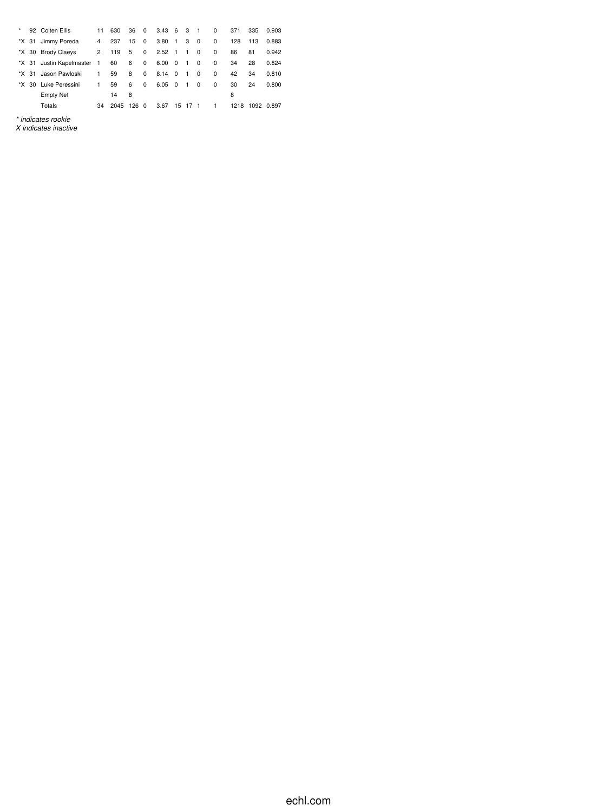| $\star$ |       | 92 Colten Ellis          | 11           | 630  | 36  | $\Omega$ | $3.43 \quad 6 \quad 3$ |          |                | $\overline{\phantom{0}}$ | $\Omega$ | 371  | 335 | 0.903      |
|---------|-------|--------------------------|--------------|------|-----|----------|------------------------|----------|----------------|--------------------------|----------|------|-----|------------|
|         | *X 31 | Jimmy Poreda             | 4            | 237  | 15  | 0        | $3.80 \quad 1$         |          | 3              | $\overline{\mathbf{0}}$  | 0        | 128  | 113 | 0.883      |
|         |       | *X 30 Brody Claeys       | $\mathbf{2}$ | 119  | 5   | 0        | $2.52 \quad 1$         |          | $\overline{1}$ | 0                        | $\Omega$ | 86   | 81  | 0.942      |
|         |       | *X 31 Justin Kapelmaster | $-1$         | 60   | 6   | 0        | $6.00 \quad 0$         |          | $\overline{1}$ | 0                        | 0        | 34   | 28  | 0.824      |
|         | *X 31 | Jason Pawloski           | 1.           | 59   | 8   | 0        | 8.14                   | $\Omega$ | $\overline{1}$ | $\Omega$                 | $\Omega$ | 42   | 34  | 0.810      |
| *X.     |       | 30 Luke Peressini        | 1.           | 59   | 6   | $\Omega$ | $6.05 \quad 0$         |          | $\overline{1}$ | 0                        | $\Omega$ | 30   | 24  | 0.800      |
|         |       | <b>Empty Net</b>         |              | 14   | 8   |          |                        |          |                |                          |          | 8    |     |            |
|         |       | Totals                   | 34           | 2045 | 126 | $\Omega$ | 3.67                   | 15       | -17            | - 1                      | 1        | 1218 |     | 1092 0.897 |

*\* indicates rookie X indicates inactive*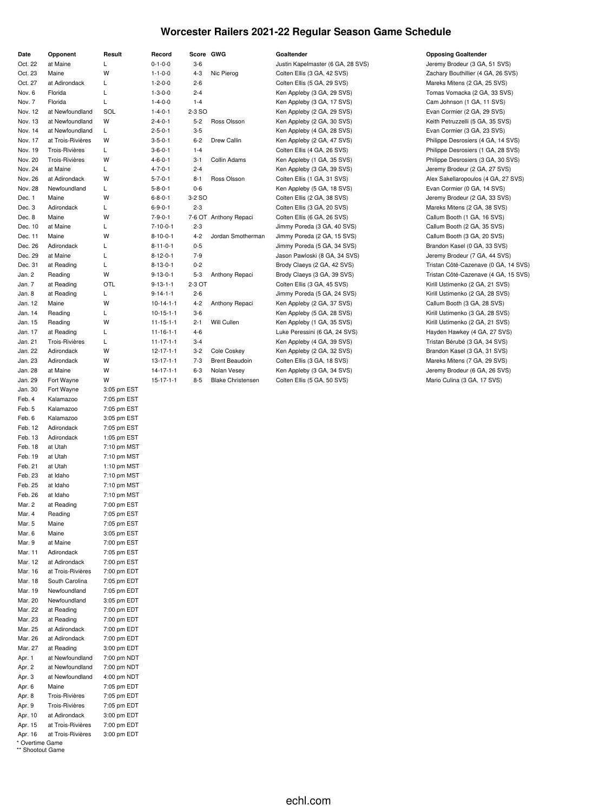### **Worcester Railers 2021-22 Regular Season Game Schedule**

| Date              | Opponent                 | Result                     |
|-------------------|--------------------------|----------------------------|
| Oct. 22           | at Maine                 | L                          |
| Oct. 23           | Maine                    | W                          |
| Oct. 27           | at Adirondack            | Г                          |
| Nov. 6            | Florida                  | L                          |
| Nov. 7            | Florida                  | L                          |
| Nov. 12           | at Newfoundland          | SOL                        |
| Nov. 13           | at Newfoundland          | W                          |
| Nov. 14           | at Newfoundland          | Г                          |
| Nov. 17           | at Trois-Rivières        | W                          |
| Nov. 19           | <b>Trois-Rivières</b>    | L                          |
| Nov. 20           | Trois-Rivières           | W                          |
| Nov. 24           | at Maine                 | L                          |
| Nov. 26           | at Adirondack            | W                          |
| Nov. 28           | Newfoundland             | Г                          |
| Dec. 1            | Maine                    | W                          |
| Dec. 3<br>Dec. 8  | Adirondack<br>Maine      | L<br>W                     |
| Dec. 10           | at Maine                 | Г                          |
| Dec. 11           | Maine                    | W                          |
| Dec. 26           | Adirondack               | L                          |
| Dec. 29           | at Maine                 | L                          |
| Dec. 31           | at Reading               | L                          |
| Jan. 2            | Reading                  | W                          |
| Jan. 7            | at Reading               | OTL                        |
| Jan. 8            | at Reading               | L                          |
| Jan. 12           | Maine                    | W                          |
| Jan. 14           | Reading                  | L                          |
| Jan. 15           | Reading                  | W                          |
| Jan. 17           | at Reading               | L                          |
| Jan. 21           | Trois-Rivières           | L                          |
| Jan. 22           | Adirondack               | W                          |
| Jan. 23           | Adirondack               | W                          |
| Jan. 28           | at Maine                 | W                          |
| Jan. 29           | Fort Wayne               | W                          |
| Jan. 30<br>Feb. 4 | Fort Wayne<br>Kalamazoo  | 3:05 pm EST<br>7:05 pm EST |
| Feb. 5            | Kalamazoo                | 7:05 pm EST                |
| Feb. 6            | Kalamazoo                | 3:05 pm EST                |
| Feb. 12           | Adirondack               | 7:05 pm EST                |
| Feb. 13           | Adirondack               | 1:05 pm EST                |
| Feb. 18           | at Utah                  | 7:10 pm MST                |
| Feb. 19           | at Utah                  | 7:10 pm MST                |
| Feb. 21           | at Utah                  | 1:10 pm MST                |
| Feb. 23           | at Idaho                 | 7:10 pm MST                |
| Feb. 25           | at Idaho                 | 7:10 pm MST                |
| Feb. 26           | at Idaho                 | 7:10 pm MST                |
| Mar. 2            | at Reading               | 7:00 pm EST                |
| Mar. 4            | Reading                  | 7:05 pm EST                |
| Mar. 5            | Maine                    | 7:05 pm EST                |
| Mar. 6<br>Mar. 9  | Maine<br>at Maine        | 3:05 pm EST                |
| Mar. 11           | Adirondack               | 7:00 pm EST<br>7:05 pm EST |
| Mar. 12           | at Adirondack            | 7:00 pm EST                |
| Mar. 16           | at Trois-Rivières        | 7:00 pm EDT                |
| Mar. 18           | South Carolina           | 7:05 pm EDT                |
| Mar. 19           | Newfoundland             | 7:05 pm EDT                |
| Mar. 20           | Newfoundland             | 3:05 pm EDT                |
| Mar. 22           | at Reading               | 7:00 pm EDT                |
| Mar. 23           | at Reading               | 7:00 pm EDT                |
| Mar. 25           | at Adirondack            | 7:00 pm EDT                |
| Mar. 26           | at Adirondack            | 7:00 pm EDT                |
| Mar. 27           | at Reading               | 3:00 pm EDT                |
| Apr. 1            | at Newfoundland          | 7:00 pm NDT                |
| Apr. 2            | at Newfoundland          | 7:00 pm NDT                |
| Apr. 3            | at Newfoundland<br>Maine | 4:00 pm NDT                |
| Apr. 6<br>Apr. 8  | Trois-Rivières           | 7:05 pm EDT<br>7:05 pm EDT |
| Apr. 9            | Trois-Rivières           | 7:05 pm EDT                |
| Apr. 10           | at Adirondack            | 3:00 pm EDT                |
| Apr. 15           | at Trois-Rivières        | 7:00 pm EDT                |
| Apr. 16           | at Trois-Rivières        | 3:00 pm EDT                |
| * Overtime Game   |                          |                            |

\*\* Shootout Game

| $0 - 1 - 0 - 0$   | 3-6     |                          | Justin Kapelmaster (6 GA, 28 SVS) | Jeremy Brodeur (3 GA, 51 SVS)      |
|-------------------|---------|--------------------------|-----------------------------------|------------------------------------|
| $1 - 1 - 0 - 0$   | $4 - 3$ | Nic Pierog               | Colten Ellis (3 GA, 42 SVS)       | Zachary Bouthillier (4 GA, 26 SVS) |
| $1 - 2 - 0 - 0$   | 2-6     |                          | Colten Ellis (5 GA, 29 SVS)       | Mareks Mitens (2 GA, 25 SVS)       |
| $1 - 3 - 0 - 0$   | $2 - 4$ |                          | Ken Appleby (3 GA, 29 SVS)        | Tomas Vomacka (2 GA, 33 SVS)       |
| $1 - 4 - 0 - 0$   | $1 - 4$ |                          | Ken Appleby (3 GA, 17 SVS)        | Cam Johnson (1 GA, 11 SVS)         |
| $1 - 4 - 0 - 1$   | 2-3 SO  |                          | Ken Appleby (2 GA, 29 SVS)        | Evan Cormier (2 GA, 29 SVS)        |
| $2 - 4 - 0 - 1$   | $5 - 2$ | Ross Olsson              | Ken Appleby (2 GA, 30 SVS)        | Keith Petruzzelli (5 GA, 35 SVS)   |
| $2 - 5 - 0 - 1$   | $3-5$   |                          | Ken Appleby (4 GA, 28 SVS)        | Evan Cormier (3 GA, 23 SVS)        |
| $3 - 5 - 0 - 1$   | 6-2     | Drew Callin              | Ken Appleby (2 GA, 47 SVS)        | Philippe Desrosiers (4 GA, 14 SVS) |
| $3 - 6 - 0 - 1$   | $1 - 4$ |                          | Colten Ellis (4 GA, 26 SVS)       | Philippe Desrosiers (1 GA, 28 SVS) |
| 4-6-0-1           | 3-1     | Collin Adams             | Ken Appleby (1 GA, 35 SVS)        | Philippe Desrosiers (3 GA, 30 SVS) |
| $4 - 7 - 0 - 1$   | $2 - 4$ |                          | Ken Appleby (3 GA, 39 SVS)        | Jeremy Brodeur (2 GA, 27 SVS)      |
| $5 - 7 - 0 - 1$   | $8 - 1$ | Ross Olsson              | Colten Ellis (1 GA, 31 SVS)       | Alex Sakellaropoulos (4 GA, 27 SVS |
| $5 - 8 - 0 - 1$   | $0-6$   |                          | Ken Appleby (5 GA, 18 SVS)        | Evan Cormier (0 GA, 14 SVS)        |
| $6 - 8 - 0 - 1$   | 3-2 SO  |                          | Colten Ellis (2 GA, 38 SVS)       | Jeremy Brodeur (2 GA, 33 SVS)      |
| $6 - 9 - 0 - 1$   | $2 - 3$ |                          | Colten Ellis (3 GA, 20 SVS)       | Mareks Mitens (2 GA, 38 SVS)       |
| $7 - 9 - 0 - 1$   |         | 7-6 OT Anthony Repaci    | Colten Ellis (6 GA, 26 SVS)       | Callum Booth (1 GA, 16 SVS)        |
| $7 - 10 - 0 - 1$  | $2 - 3$ |                          | Jimmy Poreda (3 GA, 40 SVS)       | Callum Booth (2 GA, 35 SVS)        |
| $8 - 10 - 0 - 1$  | $4 - 2$ | Jordan Smotherman        | Jimmy Poreda (2 GA, 15 SVS)       | Callum Booth (3 GA, 20 SVS)        |
| $8 - 11 - 0 - 1$  | $0 - 5$ |                          | Jimmy Poreda (5 GA, 34 SVS)       | Brandon Kasel (0 GA, 33 SVS)       |
| $8 - 12 - 0 - 1$  | $7-9$   |                          | Jason Pawloski (8 GA, 34 SVS)     | Jeremy Brodeur (7 GA, 44 SVS)      |
| $8 - 13 - 0 - 1$  | $0 - 2$ |                          | Brody Claeys (2 GA, 42 SVS)       | Tristan Côté-Cazenave (0 GA, 14 S' |
| $9 - 13 - 0 - 1$  | $5 - 3$ | Anthony Repaci           | Brody Claeys (3 GA, 39 SVS)       | Tristan Côté-Cazenave (4 GA, 15 S' |
| $9 - 13 - 1 - 1$  | 2-3 OT  |                          | Colten Ellis (3 GA, 45 SVS)       | Kirill Ustimenko (2 GA, 21 SVS)    |
| $9 - 14 - 1 - 1$  | $2 - 6$ |                          | Jimmy Poreda (5 GA, 24 SVS)       | Kirill Ustimenko (2 GA, 28 SVS)    |
| $10 - 14 - 1 - 1$ | $4 - 2$ | Anthony Repaci           | Ken Appleby (2 GA, 37 SVS)        | Callum Booth (3 GA, 28 SVS)        |
| $10 - 15 - 1 - 1$ | 3-6     |                          | Ken Appleby (5 GA, 28 SVS)        | Kirill Ustimenko (3 GA, 28 SVS)    |
| $11 - 15 - 1 - 1$ | $2 - 1$ | Will Cullen              | Ken Appleby (1 GA, 35 SVS)        | Kirill Ustimenko (2 GA, 21 SVS)    |
| $11 - 16 - 1 - 1$ | $4-6$   |                          | Luke Peressini (6 GA, 24 SVS)     | Hayden Hawkey (4 GA, 27 SVS)       |
| $11 - 17 - 1 - 1$ | 3-4     |                          | Ken Appleby (4 GA, 39 SVS)        | Tristan Bérubé (3 GA, 34 SVS)      |
| $12 - 17 - 1 - 1$ | 3-2     | Cole Coskey              | Ken Appleby (2 GA, 32 SVS)        | Brandon Kasel (3 GA, 31 SVS)       |
| $13 - 17 - 1 - 1$ | $7-3$   | <b>Brent Beaudoin</b>    | Colten Ellis (3 GA, 18 SVS)       | Mareks Mitens (7 GA, 29 SVS)       |
| $14 - 17 - 1 - 1$ | $6 - 3$ | Nolan Vesey              | Ken Appleby (3 GA, 34 SVS)        | Jeremy Brodeur (6 GA, 26 SVS)      |
| $15 - 17 - 1 - 1$ | $8 - 5$ | <b>Blake Christensen</b> | Colten Ellis (5 GA, 50 SVS)       | Mario Culina (3 GA, 17 SVS)        |
|                   |         |                          |                                   |                                    |

#### **Decord Score** GWG **Goaltender Coaltender Coaltender Component** *Composing Goaltender*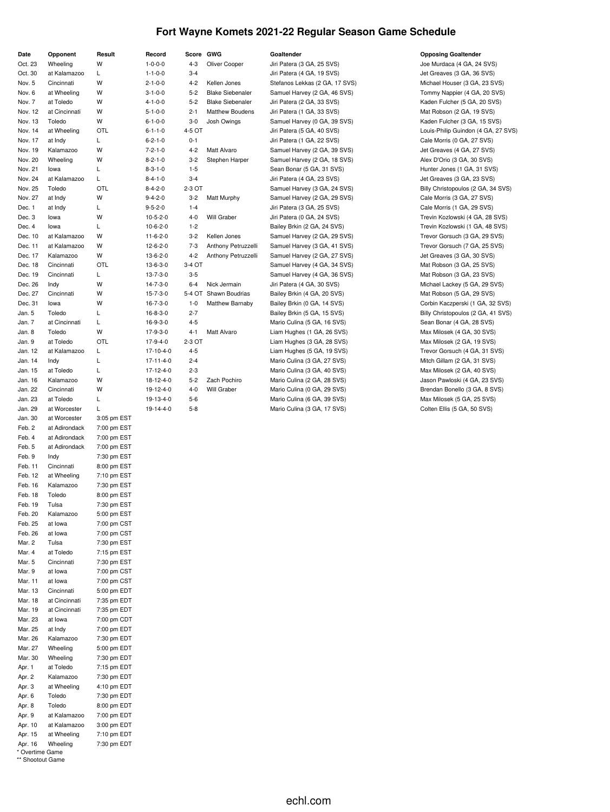# **Fort Wayne Komets 2021-22 Regular Season Game Schedule**

| Date               | Opponent           | Result                     | Record           | Score GWG |                         | Goaltender                     | <b>Opposing Goaltender</b>          |
|--------------------|--------------------|----------------------------|------------------|-----------|-------------------------|--------------------------------|-------------------------------------|
| Oct. 23            | Wheeling           | W                          | $1 - 0 - 0 - 0$  | 4-3       | Oliver Cooper           | Jiri Patera (3 GA, 25 SVS)     | Joe Murdaca (4 GA, 24 SVS)          |
| Oct. 30            | at Kalamazoo       | L                          | $1 - 1 - 0 - 0$  | $3 - 4$   |                         | Jiri Patera (4 GA, 19 SVS)     | Jet Greaves (3 GA, 36 SVS)          |
| Nov. 5             | Cincinnati         | W                          | $2 - 1 - 0 - 0$  | $4 - 2$   | Kellen Jones            | Stefanos Lekkas (2 GA, 17 SVS) | Michael Houser (3 GA, 23 SVS)       |
| Nov. 6             | at Wheeling        | W                          | $3 - 1 - 0 - 0$  | $5 - 2$   | <b>Blake Siebenaler</b> | Samuel Harvey (2 GA, 46 SVS)   | Tommy Nappier (4 GA, 20 SVS)        |
| Nov. 7             | at Toledo          | w                          | $4 - 1 - 0 - 0$  | $5 - 2$   | <b>Blake Siebenaler</b> | Jiri Patera (2 GA, 33 SVS)     | Kaden Fulcher (5 GA, 20 SVS)        |
| Nov. 12            | at Cincinnati      | W                          | $5 - 1 - 0 - 0$  | $2 - 1$   | <b>Matthew Boudens</b>  | Jiri Patera (1 GA, 33 SVS)     | Mat Robson (2 GA, 19 SVS)           |
| Nov. 13            | Toledo             | W                          | $6 - 1 - 0 - 0$  | $3-0$     | Josh Owings             | Samuel Harvey (0 GA, 39 SVS)   | Kaden Fulcher (3 GA, 15 SVS)        |
| Nov. 14            | at Wheeling        | OTL                        | $6 - 1 - 1 - 0$  | 4-5 OT    |                         | Jiri Patera (5 GA, 40 SVS)     | Louis-Philip Guindon (4 GA, 27 SVS) |
| Nov. 17            | at Indy            | L                          | $6 - 2 - 1 - 0$  | $0 - 1$   |                         | Jiri Patera (1 GA, 22 SVS)     | Cale Morris (0 GA, 27 SVS)          |
| Nov. 19            | Kalamazoo          | W                          | $7 - 2 - 1 - 0$  | $4 - 2$   | Matt Alvaro             | Samuel Harvey (2 GA, 39 SVS)   | Jet Greaves (4 GA, 27 SVS)          |
| Nov. 20            | Wheeling           | W                          | $8 - 2 - 1 - 0$  | $3-2$     | Stephen Harper          | Samuel Harvey (2 GA, 18 SVS)   | Alex D'Orio (3 GA, 30 SVS)          |
| Nov. 21            | lowa               | L                          | $8 - 3 - 1 - 0$  | $1 - 5$   |                         | Sean Bonar (5 GA, 31 SVS)      | Hunter Jones (1 GA, 31 SVS)         |
| Nov. 24            | at Kalamazoo       | L                          | $8 - 4 - 1 - 0$  | $3 - 4$   |                         | Jiri Patera (4 GA, 23 SVS)     | Jet Greaves (3 GA, 23 SVS)          |
| Nov. 25            | Toledo             | OTL                        | $8 - 4 - 2 - 0$  | 2-3 OT    |                         | Samuel Harvey (3 GA, 24 SVS)   | Billy Christopoulos (2 GA, 34 SVS)  |
| Nov. 27            | at Indy            | W                          | $9 - 4 - 2 - 0$  | $3 - 2$   | <b>Matt Murphy</b>      | Samuel Harvey (2 GA, 29 SVS)   | Cale Morris (3 GA, 27 SVS)          |
| Dec. 1             | at Indy            | L                          | $9 - 5 - 2 - 0$  | $1 - 4$   |                         | Jiri Patera (3 GA, 25 SVS)     | Cale Morris (1 GA, 29 SVS)          |
| Dec. 3             | lowa               | W                          | $10-5-2-0$       | $4 - 0$   | Will Graber             | Jiri Patera (0 GA, 24 SVS)     | Trevin Kozlowski (4 GA, 28 SVS)     |
| Dec. 4             | lowa               | L                          | $10-6-2-0$       | $1 - 2$   |                         | Bailey Brkin (2 GA, 24 SVS)    | Trevin Kozlowski (1 GA, 48 SVS)     |
| Dec. 10            | at Kalamazoo       | W                          | $11-6-2-0$       | $3 - 2$   | Kellen Jones            | Samuel Harvey (2 GA, 29 SVS)   | Trevor Gorsuch (3 GA, 29 SVS)       |
| Dec. 11            | at Kalamazoo       | W                          | $12 - 6 - 2 - 0$ | $7 - 3$   | Anthony Petruzzelli     | Samuel Harvey (3 GA, 41 SVS)   | Trevor Gorsuch (7 GA, 25 SVS)       |
| Dec. 17            | Kalamazoo          | W                          | $13-6-2-0$       | 4-2       | Anthony Petruzzelli     | Samuel Harvey (2 GA, 27 SVS)   | Jet Greaves (3 GA, 30 SVS)          |
| Dec. 18            | Cincinnati         | OTL                        | $13-6-3-0$       | 3-4 OT    |                         | Samuel Harvey (4 GA, 34 SVS)   | Mat Robson (3 GA, 25 SVS)           |
| Dec. 19            | Cincinnati         | L                          | $13 - 7 - 3 - 0$ | $3 - 5$   |                         | Samuel Harvey (4 GA, 36 SVS)   | Mat Robson (3 GA, 23 SVS)           |
| Dec. 26            | Indy               | W                          | $14 - 7 - 3 - 0$ | 6-4       | Nick Jermain            | Jiri Patera (4 GA, 30 SVS)     | Michael Lackey (5 GA, 29 SVS)       |
| Dec. 27            | Cincinnati         | W                          | $15 - 7 - 3 - 0$ | 5-4 OT    | Shawn Boudrias          | Bailey Brkin (4 GA, 20 SVS)    | Mat Robson (5 GA, 29 SVS)           |
| Dec. 31            | lowa               | W                          | $16 - 7 - 3 - 0$ | $1 - 0$   | <b>Matthew Barnaby</b>  | Bailey Brkin (0 GA, 14 SVS)    | Corbin Kaczperski (1 GA, 32 SVS)    |
| Jan. 5             | Toledo             | L                          | $16 - 8 - 3 - 0$ | $2 - 7$   |                         | Bailey Brkin (5 GA, 15 SVS)    | Billy Christopoulos (2 GA, 41 SVS)  |
| Jan. 7             | at Cincinnati      | L                          | $16-9-3-0$       | $4 - 5$   |                         | Mario Culina (5 GA, 16 SVS)    | Sean Bonar (4 GA, 28 SVS)           |
| Jan. 8             | Toledo             | W                          | 17-9-3-0         | 4-1       | Matt Alvaro             | Liam Hughes (1 GA, 26 SVS)     | Max Milosek (4 GA, 30 SVS)          |
| Jan. 9             | at Toledo          | OTL                        | 17-9-4-0         | 2-3 OT    |                         | Liam Hughes (3 GA, 28 SVS)     | Max Milosek (2 GA, 19 SVS)          |
| Jan. 12            | at Kalamazoo       | L                          | 17-10-4-0        | 4-5       |                         | Liam Hughes (5 GA, 19 SVS)     | Trevor Gorsuch (4 GA, 31 SVS)       |
| Jan. 14            | Indy               | L                          | 17-11-4-0        | $2 - 4$   |                         | Mario Culina (3 GA, 27 SVS)    | Mitch Gillam (2 GA, 31 SVS)         |
| Jan. 15            | at Toledo          | L                          | 17-12-4-0        | $2 - 3$   |                         | Mario Culina (3 GA, 40 SVS)    | Max Milosek (2 GA, 40 SVS)          |
| Jan. 16            | Kalamazoo          | W                          | 18-12-4-0        | $5-2$     | Zach Pochiro            | Mario Culina (2 GA, 28 SVS)    | Jason Pawloski (4 GA, 23 SVS)       |
| Jan. 22            | Cincinnati         | W                          | 19-12-4-0        | $4 - 0$   | Will Graber             | Mario Culina (0 GA, 29 SVS)    | Brendan Bonello (3 GA, 8 SVS)       |
| Jan. 23            | at Toledo          | L                          | 19-13-4-0        | $5-6$     |                         | Mario Culina (6 GA, 39 SVS)    | Max Milosek (5 GA, 25 SVS)          |
| Jan. 29            | at Worcester       | L                          | 19-14-4-0        | $5-8$     |                         | Mario Culina (3 GA, 17 SVS)    | Colten Ellis (5 GA, 50 SVS)         |
| Jan. 30            | at Worcester       | 3:05 pm EST                |                  |           |                         |                                |                                     |
| Feb. 2             | at Adirondack      | 7:00 pm EST                |                  |           |                         |                                |                                     |
| Feb. 4             | at Adirondack      | 7:00 pm EST                |                  |           |                         |                                |                                     |
| Feb. 5             | at Adirondack      | 7:00 pm EST                |                  |           |                         |                                |                                     |
| Feb. 9             | Indy               | 7:30 pm EST                |                  |           |                         |                                |                                     |
| Feb. 11            | Cincinnati         | 8:00 pm EST                |                  |           |                         |                                |                                     |
| Feb. 12            | at Wheeling        | 7:10 pm EST                |                  |           |                         |                                |                                     |
| Feb. 16            | Kalamazoo          | 7:30 pm EST                |                  |           |                         |                                |                                     |
| Feb. 18            | Toledo             | 8:00 pm EST                |                  |           |                         |                                |                                     |
| Feb. 19            | Tulsa              | 7:30 pm EST                |                  |           |                         |                                |                                     |
|                    | Kalamazoo          |                            |                  |           |                         |                                |                                     |
| Feb. 20<br>Feb. 25 | at lowa            | 5:00 pm EST<br>7:00 pm CST |                  |           |                         |                                |                                     |
| Feb. 26            | at lowa            | 7:00 pm CST                |                  |           |                         |                                |                                     |
|                    |                    |                            |                  |           |                         |                                |                                     |
| Mar. 2<br>Mar. 4   | Tulsa<br>at Toledo | 7:30 pm EST<br>7:15 pm EST |                  |           |                         |                                |                                     |
| Mar. 5             | Cincinnati         | 7:30 pm EST                |                  |           |                         |                                |                                     |
| Mar. 9             | at lowa            | 7:00 pm CST                |                  |           |                         |                                |                                     |
| Mar. 11            | at lowa            | 7:00 pm CST                |                  |           |                         |                                |                                     |
| Mar. 13            | Cincinnati         | 5:00 pm EDT                |                  |           |                         |                                |                                     |
|                    | at Cincinnati      | 7:35 pm EDT                |                  |           |                         |                                |                                     |
| Mar. 18<br>Mar. 19 |                    | 7:35 pm EDT                |                  |           |                         |                                |                                     |
|                    | at Cincinnati      |                            |                  |           |                         |                                |                                     |
| Mar. 23            | at lowa            | 7:00 pm CDT                |                  |           |                         |                                |                                     |
| Mar. 25            | at Indy            | 7:00 pm EDT                |                  |           |                         |                                |                                     |
| Mar. 26            | Kalamazoo          | 7:30 pm EDT                |                  |           |                         |                                |                                     |
| Mar. 27            | Wheeling           | 5:00 pm EDT                |                  |           |                         |                                |                                     |
| Mar. 30            | Wheeling           | 7:30 pm EDT                |                  |           |                         |                                |                                     |
| Apr. 1             | at Toledo          | 7:15 pm EDT                |                  |           |                         |                                |                                     |
| Apr. 2             | Kalamazoo          | 7:30 pm EDT                |                  |           |                         |                                |                                     |
| Apr. 3             | at Wheeling        | 4:10 pm EDT                |                  |           |                         |                                |                                     |
| Apr. 6             | Toledo             | 7:30 pm EDT                |                  |           |                         |                                |                                     |
| Apr. 8             | Toledo             | 8:00 pm EDT                |                  |           |                         |                                |                                     |
| Apr. 9             | at Kalamazoo       | 7:00 pm EDT                |                  |           |                         |                                |                                     |
| Apr. 10            | at Kalamazoo       | 3:00 pm EDT                |                  |           |                         |                                |                                     |
| Apr. 15            | at Wheeling        | 7:10 pm EDT                |                  |           |                         |                                |                                     |
| Apr. 16            | Wheeling           | 7:30 pm EDT                |                  |           |                         |                                |                                     |

\* Overtime Game \*\* Shootout Game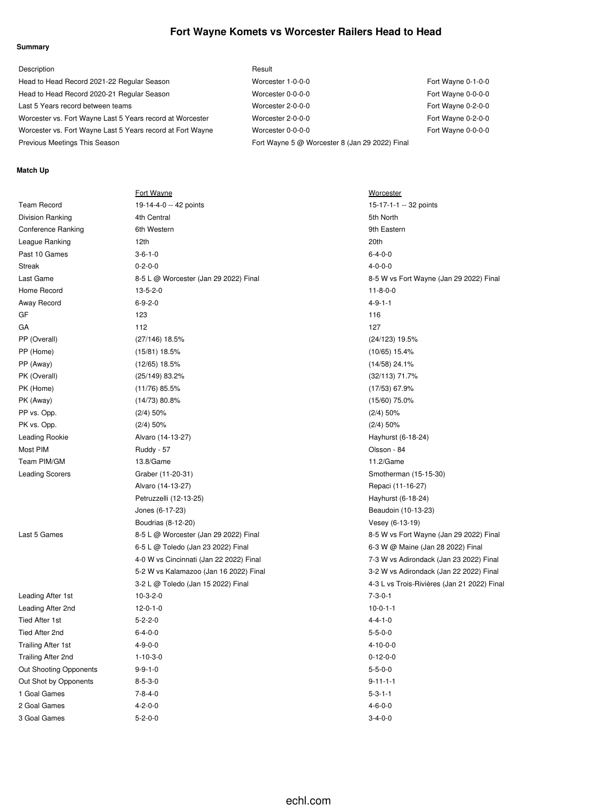### **Fort Wayne Komets vs Worcester Railers Head to Head**

#### **Summary**

| Description                                                | Result                                         |                    |
|------------------------------------------------------------|------------------------------------------------|--------------------|
| Head to Head Record 2021-22 Regular Season                 | Worcester 1-0-0-0                              | Fort Wayne 0-1-0-0 |
| Head to Head Record 2020-21 Regular Season                 | Worcester 0-0-0-0                              | Fort Wayne 0-0-0-0 |
| Last 5 Years record between teams                          | Worcester 2-0-0-0                              | Fort Wayne 0-2-0-0 |
| Worcester vs. Fort Wayne Last 5 Years record at Worcester  | Worcester 2-0-0-0                              | Fort Wayne 0-2-0-0 |
| Worcester vs. Fort Wayne Last 5 Years record at Fort Wayne | Worcester 0-0-0-0                              | Fort Wayne 0-0-0-0 |
| Previous Meetings This Season                              | Fort Wayne 5 @ Worcester 8 (Jan 29 2022) Final |                    |

#### **Match Up**

|                           | Fort Wayne                              | Worcester                                   |
|---------------------------|-----------------------------------------|---------------------------------------------|
| <b>Team Record</b>        | 19-14-4-0 -- 42 points                  | 15-17-1-1 -- 32 points                      |
| <b>Division Ranking</b>   | 4th Central                             | 5th North                                   |
| Conference Ranking        | 6th Western                             | 9th Eastern                                 |
| League Ranking            | 12th                                    | 20th                                        |
| Past 10 Games             | $3 - 6 - 1 - 0$                         | $6 - 4 - 0 - 0$                             |
| Streak                    | $0 - 2 - 0 - 0$                         | $4 - 0 - 0 - 0$                             |
| Last Game                 | 8-5 L @ Worcester (Jan 29 2022) Final   | 8-5 W vs Fort Wayne (Jan 29 2022) Final     |
| Home Record               | $13 - 5 - 2 - 0$                        | $11 - 8 - 0 - 0$                            |
| Away Record               | $6 - 9 - 2 - 0$                         | $4 - 9 - 1 - 1$                             |
| GF                        | 123                                     | 116                                         |
| GA                        | 112                                     | 127                                         |
| PP (Overall)              | (27/146) 18.5%                          | $(24/123)$ 19.5%                            |
| PP (Home)                 | $(15/81)$ 18.5%                         | $(10/65)$ 15.4%                             |
| PP (Away)                 | $(12/65)$ 18.5%                         | $(14/58)$ 24.1%                             |
| PK (Overall)              | (25/149) 83.2%                          | $(32/113)$ 71.7%                            |
| PK (Home)                 | $(11/76)$ 85.5%                         | $(17/53)$ 67.9%                             |
| PK (Away)                 | $(14/73)$ 80.8%                         | $(15/60)$ 75.0%                             |
| PP vs. Opp.               | $(2/4)$ 50%                             | $(2/4)$ 50%                                 |
| PK vs. Opp.               | $(2/4)$ 50%                             | $(2/4)$ 50%                                 |
| Leading Rookie            | Alvaro (14-13-27)                       | Hayhurst (6-18-24)                          |
| Most PIM                  | Ruddy - 57                              | Olsson - 84                                 |
| Team PIM/GM               | 13.8/Game                               | 11.2/Game                                   |
| <b>Leading Scorers</b>    | Graber (11-20-31)                       | Smotherman (15-15-30)                       |
|                           | Alvaro (14-13-27)                       | Repaci (11-16-27)                           |
|                           | Petruzzelli (12-13-25)                  | Hayhurst (6-18-24)                          |
|                           | Jones (6-17-23)                         | Beaudoin (10-13-23)                         |
|                           | Boudrias (8-12-20)                      | Vesey (6-13-19)                             |
| Last 5 Games              | 8-5 L @ Worcester (Jan 29 2022) Final   | 8-5 W vs Fort Wayne (Jan 29 2022) Final     |
|                           | 6-5 L @ Toledo (Jan 23 2022) Final      | 6-3 W @ Maine (Jan 28 2022) Final           |
|                           | 4-0 W vs Cincinnati (Jan 22 2022) Final | 7-3 W vs Adirondack (Jan 23 2022) Final     |
|                           | 5-2 W vs Kalamazoo (Jan 16 2022) Final  | 3-2 W vs Adirondack (Jan 22 2022) Final     |
|                           | 3-2 L @ Toledo (Jan 15 2022) Final      | 4-3 L vs Trois-Rivières (Jan 21 2022) Final |
| Leading After 1st         | $10-3-2-0$                              | $7 - 3 - 0 - 1$                             |
| Leading After 2nd         | $12 - 0 - 1 - 0$                        | $10-0-1-1$                                  |
| Tied After 1st            | $5 - 2 - 2 - 0$                         | $4 - 4 - 1 - 0$                             |
| Tied After 2nd            | $6 - 4 - 0 - 0$                         | $5 - 5 - 0 - 0$                             |
| <b>Trailing After 1st</b> | $4 - 9 - 0 - 0$                         | $4 - 10 - 0 - 0$                            |
| Trailing After 2nd        | $1 - 10 - 3 - 0$                        | $0-12-0-0$                                  |
| Out Shooting Opponents    | $9 - 9 - 1 - 0$                         | $5 - 5 - 0 - 0$                             |
| Out Shot by Opponents     | $8 - 5 - 3 - 0$                         | $9 - 11 - 1 - 1$                            |
| 1 Goal Games              | $7 - 8 - 4 - 0$                         | $5 - 3 - 1 - 1$                             |
| 2 Goal Games              | $4 - 2 - 0 - 0$                         | $4 - 6 - 0 - 0$                             |
| 3 Goal Games              | $5 - 2 - 0 - 0$                         | $3 - 4 - 0 - 0$                             |

echl.com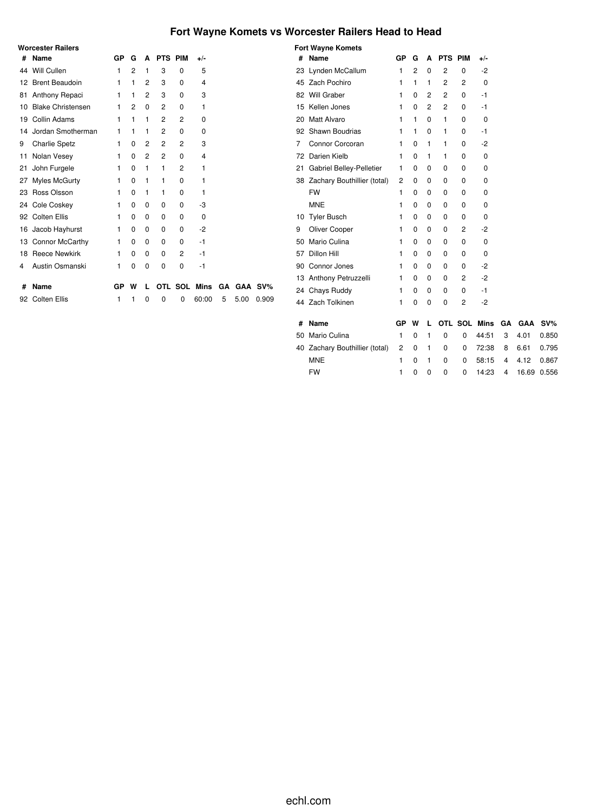# **Fort Wayne Komets vs Worcester Railers Head to Head**

|    | <b>Worcester Railers</b> |    |                |   |         |         |             |    |      |         |
|----|--------------------------|----|----------------|---|---------|---------|-------------|----|------|---------|
| #  | Name                     | GP | G              | A | PTS PIM |         | $+/-$       |    |      |         |
| 44 | Will Cullen              | 1  | $\overline{2}$ | 1 | 3       | 0       | 5           |    |      |         |
| 12 | <b>Brent Beaudoin</b>    | 1  | 1              | 2 | 3       | 0       | 4           |    |      |         |
| 81 | Anthony Repaci           | 1  | 1              | 2 | 3       | 0       | 3           |    |      |         |
| 10 | <b>Blake Christensen</b> | 1  | 2              | 0 | 2       | 0       | 1           |    |      |         |
| 19 | Collin Adams             | 1  | 1              | 1 | 2       | 2       | 0           |    |      |         |
| 14 | Jordan Smotherman        | 1  | 1              | 1 | 2       | 0       | 0           |    |      |         |
| 9  | <b>Charlie Spetz</b>     | 1  | 0              | 2 | 2       | 2       | 3           |    |      |         |
| 11 | Nolan Vesey              | 1  | $\Omega$       | 2 | 2       | 0       | 4           |    |      |         |
| 21 | John Furgele             | 1  | 0              | 1 | 1       | 2       | 1           |    |      |         |
| 27 | Myles McGurty            | 1  | 0              | 1 | 1       | 0       | 1           |    |      |         |
| 23 | Ross Olsson              | 1  | 0              | 1 | 1       | 0       | 1           |    |      |         |
|    | 24 Cole Coskey           | 1  | 0              | 0 | 0       | 0       | -3          |    |      |         |
|    | 92 Colten Ellis          | 1  | 0              | 0 | 0       | 0       | $\Omega$    |    |      |         |
| 16 | Jacob Hayhurst           | 1  | 0              | 0 | 0       | 0       | $-2$        |    |      |         |
| 13 | <b>Connor McCarthy</b>   | 1  | 0              | 0 | 0       | 0       | $-1$        |    |      |         |
| 18 | <b>Reece Newkirk</b>     | 1  | $\Omega$       | 0 | 0       | 2       | $-1$        |    |      |         |
| 4  | Austin Osmanski          | 1  | 0              | 0 | 0       | 0       | -1          |    |      |         |
| #  | Name                     | GP | w              |   |         | OTL SOL | <b>Mins</b> | GΑ |      | GAA SV% |
| 92 | <b>Colten Ellis</b>      | 1  | 1              | 0 | 0       | 0       | 60:00       | 5  | 5.00 | 0.909   |

|    | <b>Fort Wayne Komets</b>       |              |                |   |         |                |                     |    |            |        |
|----|--------------------------------|--------------|----------------|---|---------|----------------|---------------------|----|------------|--------|
| #  | <b>Name</b>                    | GP           | G              | A | PTS PIM |                | +/-                 |    |            |        |
|    | 23 Lynden McCallum             | $\mathbf{1}$ | $\overline{2}$ | 0 | 2       | 0              | -2                  |    |            |        |
|    | 45 Zach Pochiro                | 1            | 1              | 1 | 2       | $\overline{2}$ | 0                   |    |            |        |
|    | 82 Will Graber                 | 1            | 0              | 2 | 2       | 0              | $-1$                |    |            |        |
|    | 15 Kellen Jones                | 1            | 0              | 2 | 2       | 0              | -1                  |    |            |        |
| 20 | Matt Alvaro                    | 1            | 1              | 0 | 1       | 0              | 0                   |    |            |        |
|    | 92 Shawn Boudrias              | 1            | 1              | 0 | 1       | 0              | -1                  |    |            |        |
| 7  | Connor Corcoran                | 1            | 0              | 1 | 1       | 0              | $-2$                |    |            |        |
| 72 | Darien Kielb                   | 1            | $\Omega$       | 1 | 1       | 0              | 0                   |    |            |        |
| 21 | Gabriel Belley-Pelletier       | 1            | 0              | 0 | 0       | 0              | 0                   |    |            |        |
|    | 38 Zachary Bouthillier (total) | 2            | 0              | 0 | 0       | 0              | 0                   |    |            |        |
|    | <b>FW</b>                      | 1            | 0              | 0 | 0       | 0              | 0                   |    |            |        |
|    | <b>MNE</b>                     | 1            | 0              | 0 | 0       | 0              | 0                   |    |            |        |
| 10 | <b>Tyler Busch</b>             | 1            | $\Omega$       | 0 | 0       | 0              | $\Omega$            |    |            |        |
| 9  | Oliver Cooper                  | 1            | 0              | 0 | 0       | $\overline{2}$ | $-2$                |    |            |        |
| 50 | Mario Culina                   | 1            | 0              | 0 | 0       | 0              | 0                   |    |            |        |
| 57 | Dillon Hill                    | 1            | $\Omega$       | 0 | 0       | 0              | 0                   |    |            |        |
|    | 90 Connor Jones                | 1            | 0              | 0 | 0       | 0              | $-2$                |    |            |        |
|    | 13 Anthony Petruzzelli         | 1            | 0              | 0 | 0       | $\overline{2}$ | $-2$                |    |            |        |
|    | 24 Chays Ruddy                 | 1            | $\Omega$       | 0 | 0       | 0              | $-1$                |    |            |        |
|    | 44 Zach Tolkinen               | 1            | 0              | 0 | 0       | 2              | -2                  |    |            |        |
|    |                                |              |                |   |         |                |                     |    |            |        |
| #  | <b>Name</b>                    | GР           | w              | L |         |                | <b>OTL SOL Mins</b> | GA | <b>GAA</b> | $SV\%$ |
| 50 | Mario Culina                   | 1            | $\Omega$       | 1 | 0       | 0              | 44:51               | 3  | 4.01       | 0.850  |
| 40 | Zachary Bouthillier (total)    | 2            | 0              | 1 | 0       | 0              | 72:38               | 8  | 6.61       | 0.795  |
|    | <b>MNE</b>                     | 1            | 0              | 1 | 0       | 0              | 58:15               | 4  | 4.12       | 0.867  |
|    | <b>FW</b>                      | 1            | 0              | 0 | 0       | 0              | 14:23               | 4  | 16.69      | 0.556  |
|    |                                |              |                |   |         |                |                     |    |            |        |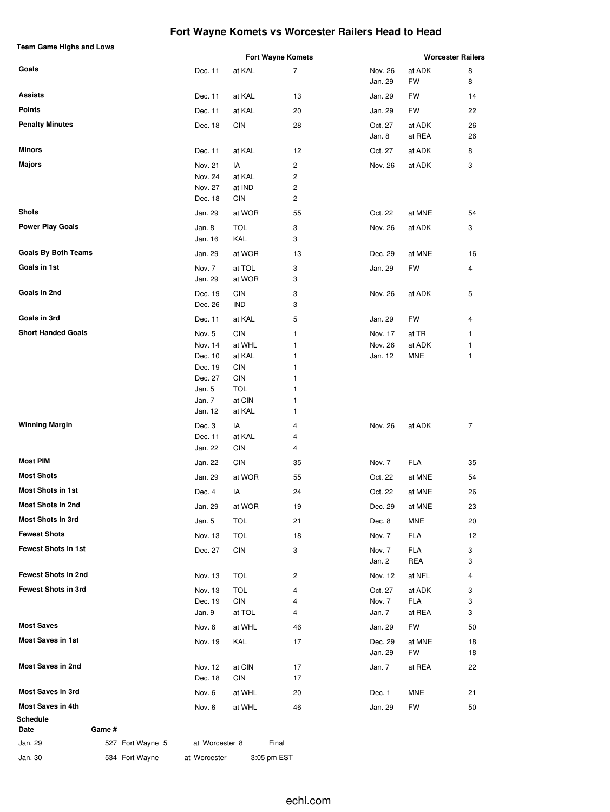# **Fort Wayne Komets vs Worcester Railers Head to Head**

| Team Game Highs and Lows   |                    |                          | <b>Fort Wayne Komets</b> |                    |                  | <b>Worcester Railers</b> |
|----------------------------|--------------------|--------------------------|--------------------------|--------------------|------------------|--------------------------|
| Goals                      | Dec. 11            | at KAL                   | 7                        | Nov. 26            | at ADK           | 8                        |
|                            |                    |                          |                          | Jan. 29            | FW               | 8                        |
| Assists                    | Dec. 11            | at KAL                   | 13                       | Jan. 29            | FW               | 14                       |
| <b>Points</b>              | Dec. 11            | at KAL                   | 20                       | Jan. 29            | FW               | 22                       |
| <b>Penalty Minutes</b>     | Dec. 18            | CIN                      | 28                       | Oct. 27<br>Jan. 8  | at ADK<br>at REA | 26<br>26                 |
| <b>Minors</b>              | Dec. 11            | at KAL                   | 12                       | Oct. 27            | at ADK           | 8                        |
| <b>Majors</b>              | Nov. 21            | IA                       | 2                        | Nov. 26            | at ADK           | 3                        |
|                            | Nov. 24            | at KAL                   | 2                        |                    |                  |                          |
|                            | Nov. 27            | at IND                   | 2                        |                    |                  |                          |
|                            | Dec. 18            | CIN                      | 2                        |                    |                  |                          |
| Shots                      | Jan. 29            | at WOR                   | 55                       | Oct. 22            | at MNE           | 54                       |
| <b>Power Play Goals</b>    | Jan. 8             | <b>TOL</b>               | 3                        | Nov. 26            | at ADK           | 3                        |
|                            | Jan. 16            | KAL                      | 3                        |                    |                  |                          |
| <b>Goals By Both Teams</b> | Jan. 29            | at WOR                   | 13                       | Dec. 29            | at MNE           | 16                       |
| Goals in 1st               | Nov. 7             | at TOL                   | 3                        | Jan. 29            | FW               | 4                        |
|                            | Jan. 29            | at WOR                   | 3                        |                    |                  |                          |
| Goals in 2nd               | Dec. 19            | <b>CIN</b>               | 3                        | Nov. 26            | at ADK           | 5                        |
|                            | Dec. 26            | IND                      | 3                        |                    |                  |                          |
| Goals in 3rd               | Dec. 11            | at KAL                   | 5                        | Jan. 29            | FW               | 4                        |
| <b>Short Handed Goals</b>  | Nov. 5             | <b>CIN</b>               | 1                        | Nov. 17            | at TR            | 1                        |
|                            | Nov. 14            | at WHL                   | 1                        | Nov. 26            | at ADK           | 1                        |
|                            | Dec. 10            | at KAL                   | 1                        | Jan. 12            | MNE              | 1                        |
|                            | Dec. 19<br>Dec. 27 | <b>CIN</b><br><b>CIN</b> | 1<br>1                   |                    |                  |                          |
|                            | Jan. 5             | <b>TOL</b>               | 1                        |                    |                  |                          |
|                            | Jan. 7             | at CIN                   | 1                        |                    |                  |                          |
|                            | Jan. 12            | at KAL                   | 1                        |                    |                  |                          |
| <b>Winning Margin</b>      | Dec. 3             | IA                       | 4                        | Nov. 26            | at ADK           | 7                        |
|                            | Dec. 11            | at KAL                   | 4                        |                    |                  |                          |
|                            | Jan. 22            | <b>CIN</b>               | 4                        |                    |                  |                          |
| <b>Most PIM</b>            | Jan. 22            | <b>CIN</b>               | 35                       | Nov. 7             | FLA              | 35                       |
| <b>Most Shots</b>          | Jan. 29            | at WOR                   | 55                       | Oct. 22            | at MNE           | 54                       |
| <b>Most Shots in 1st</b>   | Dec. 4             | IA                       | 24                       | Oct. 22            | at MNE           | 26                       |
| Most Shots in 2nd          | Jan. 29            | at WOR                   | 19                       | Dec. 29            | at MNE           | 23                       |
| Most Shots in 3rd          | Jan. 5             | <b>TOL</b>               | 21                       | Dec. 8             | MNE              | 20                       |
| <b>Fewest Shots</b>        | Nov. 13            | <b>TOL</b>               | 18                       | Nov. 7             | FLA              | 12                       |
| <b>Fewest Shots in 1st</b> | Dec. 27            | CIN                      | 3                        | Nov. 7             | FLA              | 3                        |
|                            |                    |                          |                          | Jan. 2             | REA              | 3                        |
| <b>Fewest Shots in 2nd</b> | Nov. 13            | TOL                      | 2                        | Nov. 12            | at NFL           | 4                        |
| Fewest Shots in 3rd        | Nov. 13            | <b>TOL</b>               | 4                        | Oct. 27            | at ADK           | 3                        |
|                            | Dec. 19            | CIN                      | 4                        | Nov. 7             | FLA              | 3                        |
|                            | Jan. 9             | at TOL                   | 4                        | Jan. 7             | at REA           | 3                        |
| <b>Most Saves</b>          | Nov. 6             | at WHL                   | 46                       | Jan. 29            | FW               | 50                       |
| <b>Most Saves in 1st</b>   | Nov. 19            | KAL                      | 17                       | Dec. 29<br>Jan. 29 | at MNE<br>FW     | 18<br>18                 |
| <b>Most Saves in 2nd</b>   | Nov. 12            | at CIN                   | 17                       | Jan. 7             | at REA           | 22                       |
|                            | Dec. 18            | CIN                      | 17                       |                    |                  |                          |
| <b>Most Saves in 3rd</b>   | Nov. 6             | at WHL                   | 20                       | Dec. 1             | MNE              | 21                       |
| <b>Most Saves in 4th</b>   | Nov. 6             | at WHL                   | 46                       | Jan. 29            | FW               | 50                       |
| Schedule<br>Game #<br>Date |                    |                          |                          |                    |                  |                          |

Jan. 29 **527 Fort Wayne 5** at Worcester 8 Final Jan. 30 534 Fort Wayne at Worcester 3:05 pm EST

echl.com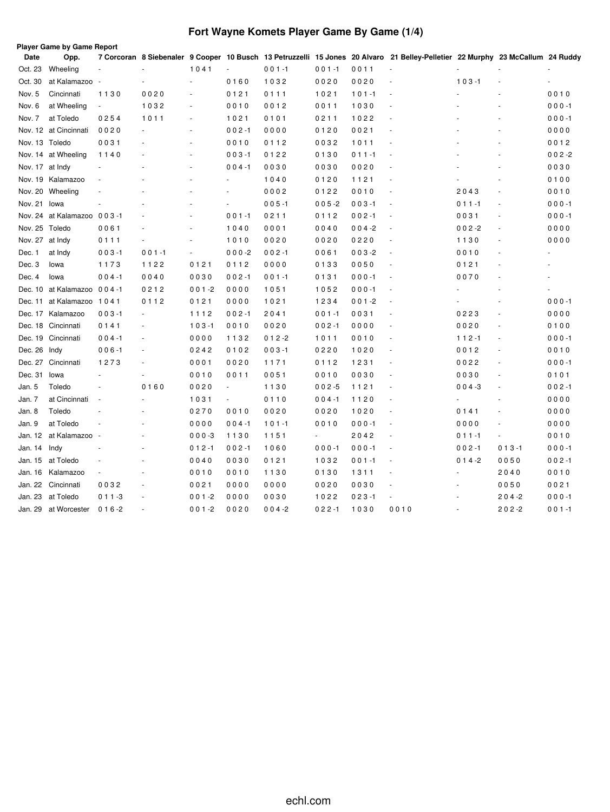# **Fort Wayne Komets Player Game By Game (1/4)**

| Date            | <b>Player Game by Game Report</b><br>Opp. |                |           |                          |                          |           |                          |           | 7 Corcoran 8 Siebenaler 9 Cooper 10 Busch 13 Petruzzelli 15 Jones 20 Alvaro 21 Belley-Pelletier 22 Murphy 23 McCallum 24 Ruddy |           |           |           |
|-----------------|-------------------------------------------|----------------|-----------|--------------------------|--------------------------|-----------|--------------------------|-----------|--------------------------------------------------------------------------------------------------------------------------------|-----------|-----------|-----------|
| Oct. 23         | Wheeling                                  | ä,             |           | 1041                     | $\blacksquare$           | $001 - 1$ | $001 - 1$                | 0011      | ÷,                                                                                                                             |           |           |           |
| Oct. 30         | at Kalamazoo                              | ÷.             |           | ä,                       | 0160                     | 1032      | 0020                     | 0020      | ÷,                                                                                                                             | $103 - 1$ |           |           |
| Nov. 5          | Cincinnati                                | 1130           | 0020      | ä,                       | 0121                     | 0111      | 1021                     | $101 - 1$ | ÷,                                                                                                                             |           |           | 0010      |
| Nov. 6          | at Wheeling                               | $\blacksquare$ | 1032      | ä,                       | 0010                     | 0012      | 0011                     | 1030      | $\overline{\phantom{a}}$                                                                                                       |           |           | $000 - 1$ |
| Nov. 7          | at Toledo                                 | 0254           | 1011      | $\sim$                   | 1021                     | 0101      | 0211                     | 1022      | $\overline{\phantom{a}}$                                                                                                       |           |           | $000 - 1$ |
|                 | Nov. 12 at Cincinnati                     | 0020           |           |                          | $002 - 1$                | 0000      | 0120                     | 0021      |                                                                                                                                |           |           | 0000      |
| Nov. 13 Toledo  |                                           | 0031           |           |                          | 0010                     | 0112      | 0032                     | 1011      |                                                                                                                                |           |           | 0012      |
|                 | Nov. 14 at Wheeling                       | 1140           |           |                          | $003 - 1$                | 0122      | 0130                     | $011 - 1$ |                                                                                                                                |           |           | $002 - 2$ |
| Nov. 17 at Indy |                                           |                |           |                          | $004 - 1$                | 0030      | 0030                     | 0020      | $\sim$                                                                                                                         |           |           | 0030      |
|                 | Nov. 19 Kalamazoo                         |                |           |                          | $\sim$                   | 1040      | 0120                     | 1121      | $\sim$                                                                                                                         |           |           | 0100      |
|                 | Nov. 20 Wheeling                          |                |           |                          | $\sim$                   | 0002      | 0122                     | 0010      | $\overline{\phantom{a}}$                                                                                                       | 2043      | ÷,        | 0010      |
| Nov. 21         | lowa                                      |                |           | L,                       | ä,                       | $005 - 1$ | $005 - 2$                | $003 - 1$ | $\bar{a}$                                                                                                                      | $011 - 1$ | ÷,        | $000 - 1$ |
|                 | Nov. 24 at Kalamazoo 003-1                |                |           | ÷,                       | $001 - 1$                | 0211      | 0112                     | $002 - 1$ | $\overline{\phantom{a}}$                                                                                                       | 0031      | ÷.        | $000 - 1$ |
| Nov. 25         | Toledo                                    | 0061           |           | ÷.                       | 1040                     | 0001      | 0040                     | $004 - 2$ | $\overline{\phantom{a}}$                                                                                                       | $002 - 2$ | ÷,        | 0000      |
| Nov. 27         | at Indy                                   | 0111           |           | ÷.                       | 1010                     | 0020      | 0020                     | 0220      | $\overline{\phantom{a}}$                                                                                                       | 1130      |           | 0000      |
| Dec. 1          | at Indy                                   | $003 - 1$      | $001 - 1$ | $\overline{\phantom{a}}$ | $000 -2$                 | $002 - 1$ | 0061                     | $003 - 2$ | $\overline{\phantom{a}}$                                                                                                       | 0010      | ä,        |           |
| Dec. 3          | lowa                                      | 1173           | 1122      | 0121                     | 0112                     | 0000      | 0133                     | 0050      | $\overline{\phantom{a}}$                                                                                                       | 0121      |           | ٠         |
| Dec. 4          | lowa                                      | $004 - 1$      | 0040      | 0030                     | $002 - 1$                | $001 - 1$ | 0131                     | $000 - 1$ | ÷,                                                                                                                             | 0070      |           |           |
|                 | Dec. 10 at Kalamazoo 004-1                |                | 0212      | $001 - 2$                | 0000                     | 1051      | 1052                     | $000 - 1$ | ÷,                                                                                                                             |           |           |           |
|                 | Dec. 11 at Kalamazoo 1041                 |                | 0112      | 0121                     | 0000                     | 1021      | 1234                     | $001 - 2$ | ÷,                                                                                                                             |           | ä,        | $000 - 1$ |
|                 | Dec. 17 Kalamazoo                         | $003 - 1$      |           | 1112                     | $002 - 1$                | 2041      | $001 - 1$                | 0031      | $\overline{\phantom{a}}$                                                                                                       | 0223      | $\sim$    | 0000      |
|                 | Dec. 18 Cincinnati                        | 0141           |           | $103 - 1$                | 0010                     | 0020      | $002 - 1$                | 0000      | $\sim$                                                                                                                         | 0020      |           | 0100      |
|                 | Dec. 19 Cincinnati                        | $004 - 1$      |           | 0000                     | 1132                     | $012 - 2$ | 1011                     | 0010      | $\overline{\phantom{a}}$                                                                                                       | $112 - 1$ | ä,        | $000 - 1$ |
| Dec. 26 Indy    |                                           | $006 - 1$      |           | 0242                     | 0102                     | $003 - 1$ | 0220                     | 1020      | $\overline{\phantom{a}}$                                                                                                       | 0012      | ä,        | 0010      |
|                 | Dec. 27 Cincinnati                        | 1273           |           | 0001                     | 0020                     | 1171      | 0112                     | 1231      | $\sim$                                                                                                                         | 0022      | ÷.        | $000 - 1$ |
| Dec. 31         | lowa                                      |                |           | 0010                     | 0011                     | 0051      | 0010                     | 0030      | $\sim$                                                                                                                         | 0030      | ä,        | 0101      |
| Jan. 5          | Toledo                                    |                | 0160      | 0020                     | $\overline{\phantom{a}}$ | 1130      | $002 - 5$                | 1121      | $\overline{\phantom{a}}$                                                                                                       | $004 - 3$ | L.        | $002 - 1$ |
| Jan. 7          | at Cincinnati                             |                |           | 1031                     | $\overline{\phantom{a}}$ | 0110      | $004 - 1$                | 1120      | $\overline{\phantom{a}}$                                                                                                       |           | ä,        | 0000      |
| Jan. 8          | Toledo                                    |                |           | 0270                     | 0010                     | 0020      | 0020                     | 1020      | $\overline{\phantom{a}}$                                                                                                       | 0141      | ä,        | 0000      |
| Jan. 9          | at Toledo                                 |                |           | 0000                     | $004 - 1$                | $101 - 1$ | 0010                     | $000 - 1$ | ÷,                                                                                                                             | 0000      |           | 0000      |
| Jan. 12         | at Kalamazoo                              |                |           | $000-3$                  | 1130                     | 1151      | $\overline{\phantom{a}}$ | 2042      | $\sim$                                                                                                                         | $011 - 1$ | ä,        | 0010      |
| Jan. 14         | Indy                                      |                |           | $012 - 1$                | $002 - 1$                | 1060      | $000 - 1$                | $000 - 1$ | $\sim$                                                                                                                         | $002 - 1$ | $013 - 1$ | $000 - 1$ |
|                 | Jan. 15 at Toledo                         |                |           | 0040                     | 0030                     | 0121      | 1032                     | $001 - 1$ | $\sim$                                                                                                                         | $014 - 2$ | 0050      | $002 - 1$ |
| Jan. 16         | Kalamazoo                                 |                |           | 0010                     | 0010                     | 1130      | 0130                     | 1311      | $\overline{\phantom{a}}$                                                                                                       |           | 2040      | 0010      |
| Jan. 22         | Cincinnati                                | 0032           |           | 0021                     | 0000                     | 0000      | 0020                     | 0030      |                                                                                                                                |           | 0050      | 0021      |
| Jan. 23         | at Toledo                                 | $011 - 3$      |           | $001 - 2$                | 0000                     | 0030      | 1022                     | $023 - 1$ |                                                                                                                                |           | 204-2     | $000 - 1$ |
| Jan. 29         | at Worcester                              | $016 - 2$      |           | $001 - 2$                | 0020                     | $004 - 2$ | $022 - 1$                | 1030      | 0010                                                                                                                           |           | $202 - 2$ | $001 - 1$ |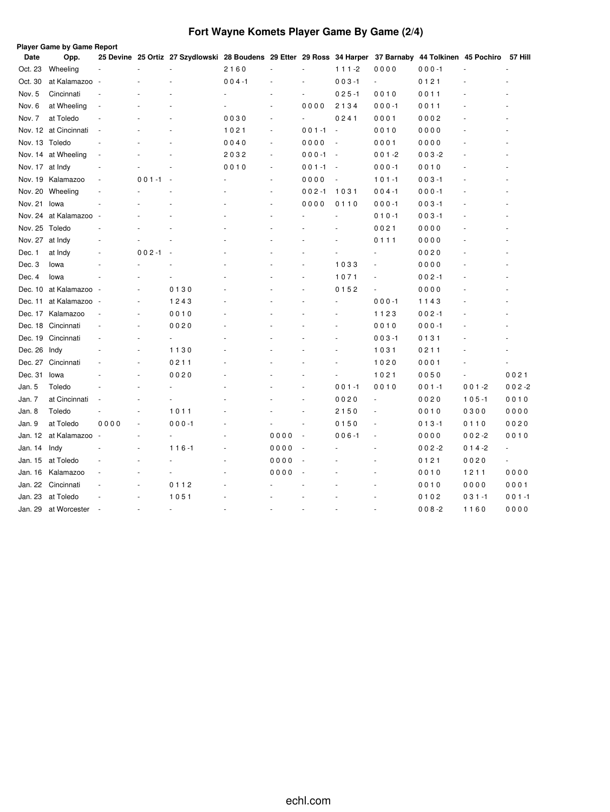# **Fort Wayne Komets Player Game By Game (2/4)**

|                 | Player Game by Game Report |      |           |                                                                                                                  |           |                          |                          |                          |           |           |           |                |
|-----------------|----------------------------|------|-----------|------------------------------------------------------------------------------------------------------------------|-----------|--------------------------|--------------------------|--------------------------|-----------|-----------|-----------|----------------|
| Date            | Opp.                       |      |           | 25 Devine 25 Ortiz 27 Szydlowski 28 Boudens 29 Etter 29 Ross 34 Harper 37 Barnaby 44 Tolkinen 45 Pochiro 57 Hill |           |                          |                          |                          |           |           |           |                |
| Oct. 23         | Wheeling                   |      |           |                                                                                                                  | 2160      |                          | ä,                       | $111 - 2$                | 0000      | $000 - 1$ |           |                |
| Oct. 30         | at Kalamazoo -             |      |           |                                                                                                                  | $004 - 1$ |                          | ä,                       | $003 - 1$                | $\sim$    | 0121      |           |                |
| Nov. 5          | Cincinnati                 |      |           |                                                                                                                  |           |                          | $\blacksquare$           | $025 - 1$                | 0010      | 0011      |           |                |
| Nov. 6          | at Wheeling                |      |           |                                                                                                                  |           |                          | 0000                     | 2134                     | $000 - 1$ | 0011      |           |                |
| Nov. 7          | at Toledo                  |      |           |                                                                                                                  | 0030      | $\sim$                   | $\overline{\phantom{a}}$ | 0241                     | 0001      | 0002      |           |                |
|                 | Nov. 12 at Cincinnati      |      |           |                                                                                                                  | 1021      | ÷.                       | $001 - 1$                | $\overline{\phantom{a}}$ | 0010      | 0000      |           |                |
| Nov. 13 Toledo  |                            |      |           |                                                                                                                  | 0040      | ÷.                       | 0000                     | ÷,                       | 0001      | 0000      |           |                |
|                 | Nov. 14 at Wheeling        |      |           |                                                                                                                  | 2032      | $\overline{\phantom{a}}$ | $000 - 1$                | $\sim$                   | $001 - 2$ | $003 - 2$ |           |                |
| Nov. 17 at Indy |                            |      |           |                                                                                                                  | 0010      | ä,                       | $001 - 1$                | $\overline{\phantom{a}}$ | $000 - 1$ | 0010      |           |                |
|                 | Nov. 19 Kalamazoo          |      | $001 - 1$ |                                                                                                                  |           | ä,                       | 0000                     | $\overline{\phantom{a}}$ | $101 - 1$ | $003 - 1$ |           |                |
| Nov. 20         | Wheeling                   |      |           |                                                                                                                  |           | $\ddot{\phantom{1}}$     | $002 - 1$                | 1031                     | $004 - 1$ | $000 - 1$ |           |                |
| Nov. 21         | lowa                       |      |           |                                                                                                                  |           | ÷,                       | 0000                     | 0110                     | $000 - 1$ | $003 - 1$ |           |                |
|                 | Nov. 24 at Kalamazoo       |      |           |                                                                                                                  |           |                          |                          |                          | $010 - 1$ | $003 - 1$ |           |                |
| Nov. 25 Toledo  |                            |      |           |                                                                                                                  |           |                          |                          |                          | 0021      | 0000      |           |                |
| Nov. 27 at Indy |                            |      |           |                                                                                                                  |           |                          |                          |                          | 0111      | 0000      |           |                |
| Dec. 1          | at Indy                    |      | $002 - 1$ | $\overline{\phantom{a}}$                                                                                         |           |                          |                          |                          |           | 0020      |           |                |
| Dec. 3          | lowa                       |      |           |                                                                                                                  |           |                          |                          | 1033                     |           | 0000      |           |                |
| Dec. 4          | lowa                       |      |           |                                                                                                                  |           |                          |                          | 1071                     |           | $002 - 1$ |           |                |
| Dec. 10         | at Kalamazoo -             |      |           | 0130                                                                                                             |           |                          |                          | 0152                     | ÷,        | 0000      |           |                |
| Dec. 11         | at Kalamazoo -             |      | ä,        | 1243                                                                                                             |           |                          |                          |                          | $000 - 1$ | 1143      |           |                |
|                 | Dec. 17 Kalamazoo          |      | ٠         | 0010                                                                                                             |           |                          |                          |                          | 1123      | $002 - 1$ |           |                |
|                 | Dec. 18 Cincinnati         |      | ä,        | 0020                                                                                                             |           |                          |                          |                          | 0010      | $000 - 1$ |           |                |
|                 | Dec. 19 Cincinnati         |      |           | ä,                                                                                                               |           |                          |                          |                          | $003 - 1$ | 0131      |           |                |
| Dec. 26         | Indy                       |      |           | 1130                                                                                                             |           |                          |                          |                          | 1031      | 0211      |           |                |
| Dec. 27         | Cincinnati                 |      | ä,        | 0211                                                                                                             |           |                          |                          |                          | 1020      | 0001      |           |                |
| Dec. 31         | lowa                       |      |           | 0020                                                                                                             |           |                          |                          |                          | 1021      | 0050      |           | 0021           |
| Jan. 5          | Toledo                     |      |           |                                                                                                                  |           |                          |                          | $001 - 1$                | 0010      | $001 - 1$ | $001 - 2$ | $002 - 2$      |
| Jan. 7          | at Cincinnati              |      |           |                                                                                                                  |           |                          |                          | 0020                     | ÷,        | 0020      | $105 - 1$ | 0010           |
| Jan. 8          | Toledo                     |      | ä,        | 1011                                                                                                             |           |                          |                          | 2150                     | ÷,        | 0010      | 0300      | 0000           |
| Jan. 9          | at Toledo                  | 0000 |           | $000 - 1$                                                                                                        |           |                          |                          | 0150                     |           | $013 - 1$ | 0110      | 0020           |
| Jan. 12         | at Kalamazoo               |      | ä,        | $\overline{\phantom{a}}$                                                                                         |           | 0000                     | ÷,                       | $006 - 1$                | ÷,        | 0000      | $002 - 2$ | 0010           |
| Jan. 14         | Indy                       |      |           | $116 - 1$                                                                                                        |           | 0000                     | ÷,                       |                          | ٠         | $002 - 2$ | $014 - 2$ | $\blacksquare$ |
| Jan. 15         | at Toledo                  |      |           |                                                                                                                  |           | 0000                     | ä,                       |                          |           | 0121      | 0020      | L.             |
| Jan. 16         | Kalamazoo                  |      |           |                                                                                                                  |           | 0000                     | ÷,                       |                          |           | 0010      | 1211      | 0000           |
| Jan. 22         | Cincinnati                 |      | ä,        | 0112                                                                                                             |           |                          |                          |                          |           | 0010      | 0000      | 0001           |
| Jan. 23         | at Toledo                  |      |           | 1051                                                                                                             |           |                          |                          |                          |           | 0102      | $031 - 1$ | $001 - 1$      |
| Jan. 29         | at Worcester               |      |           |                                                                                                                  |           |                          |                          |                          |           | $008 - 2$ | 1160      | 0000           |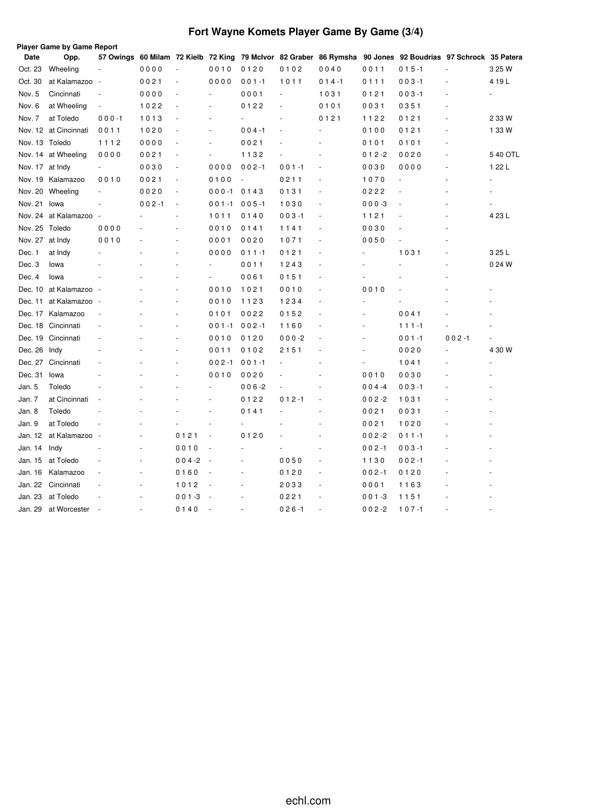# **Fort Wayne Komets Player Game By Game (3/4)**

|                 | Player Game by Game Report |                          |           |                          |                          |           |           |           |           |                                                                                                             |           |          |
|-----------------|----------------------------|--------------------------|-----------|--------------------------|--------------------------|-----------|-----------|-----------|-----------|-------------------------------------------------------------------------------------------------------------|-----------|----------|
| Date            | Opp.                       |                          |           |                          |                          |           |           |           |           | 57 Owings 60 Milam 72 Kielb 72 King 79 McIvor 82 Graber 86 Rymsha 90 Jones 92 Boudrias 97 Schrock 35 Patera |           |          |
| Oct. 23         | Wheeling                   |                          | 0000      | $\overline{\phantom{a}}$ | 0010                     | 0120      | 0102      | 0040      | 0011      | $015 - 1$                                                                                                   |           | 3 25 W   |
| Oct. 30         | at Kalamazoo               | $\overline{\phantom{a}}$ | 0021      | $\bar{a}$                | 0000                     | $001 - 1$ | 1011      | $014 - 1$ | 0111      | $003 - 1$                                                                                                   |           | 4 19 L   |
| Nov. 5          | Cincinnati                 | ÷,                       | 0000      | ÷,                       | ä,                       | 0001      | ä,        | 1031      | 0121      | $003 - 1$                                                                                                   |           |          |
| Nov. 6          | at Wheeling                | $\overline{\phantom{a}}$ | 1022      | ÷,                       | ä,                       | 0122      |           | 0101      | 0031      | 0351                                                                                                        |           |          |
| Nov. 7          | at Toledo                  | $000 - 1$                | 1013      | $\sim$                   | ٠                        |           |           | 0121      | 1122      | 0121                                                                                                        |           | 2 3 3 W  |
|                 | Nov. 12 at Cincinnati      | 0011                     | 1020      |                          | $\overline{\phantom{a}}$ | $004 - 1$ |           |           | 0100      | 0121                                                                                                        |           | 1 33 W   |
| Nov. 13 Toledo  |                            | 1112                     | 0000      | ÷,                       | $\overline{\phantom{a}}$ | 0021      |           |           | 0101      | 0101                                                                                                        |           |          |
|                 | Nov. 14 at Wheeling        | 0000                     | 0021      | ÷,                       | $\frac{1}{2}$            | 1132      |           |           | $012 - 2$ | 0020                                                                                                        |           | 5 40 OTL |
| Nov. 17 at Indy |                            | $\overline{\phantom{a}}$ | 0030      | ÷,                       | 0000                     | $002 - 1$ | $001 - 1$ |           | 0030      | 0000                                                                                                        |           | 1 22 L   |
|                 | Nov. 19 Kalamazoo          | 0010                     | 0021      | ÷,                       | 0100                     |           | 0211      |           | 1070      |                                                                                                             |           |          |
|                 | Nov. 20 Wheeling           | $\overline{\phantom{a}}$ | 0020      | $\overline{\phantom{a}}$ | $000 - 1$                | 0143      | 0131      |           | 0222      |                                                                                                             |           |          |
| Nov. 21 Iowa    |                            | ä,                       | $002 - 1$ | $\overline{\phantom{a}}$ | 001-1                    | $005 - 1$ | 1030      |           | $000 - 3$ |                                                                                                             |           |          |
|                 | Nov. 24 at Kalamazoo       | $\overline{\phantom{a}}$ |           |                          | 1011                     | 0140      | $003 - 1$ |           | 1121      |                                                                                                             |           | 4 23 L   |
| Nov. 25 Toledo  |                            | 0000                     |           | ٠                        | 0010                     | 0141      | 1141      |           | 0030      |                                                                                                             |           |          |
| Nov. 27 at Indy |                            | 0010                     |           | ÷.                       | 0001                     | 0020      | 1071      |           | 0050      |                                                                                                             |           |          |
| Dec. 1          | at Indy                    |                          |           |                          | 0000                     | $011 - 1$ | 0121      |           |           | 1031                                                                                                        |           | 3 25 L   |
| Dec. 3          | lowa                       |                          |           |                          |                          | 0011      | 1243      |           |           |                                                                                                             |           | 0 24 W   |
| Dec. 4          | lowa                       |                          |           |                          |                          | 0061      | 0151      |           |           |                                                                                                             |           |          |
|                 | Dec. 10 at Kalamazoo       |                          |           | ä,                       | 0010                     | 1021      | 0010      |           | 0010      |                                                                                                             |           |          |
| Dec. 11         | at Kalamazoo -             |                          |           | ÷.                       | 0010                     | 1123      | 1234      |           |           |                                                                                                             |           |          |
|                 | Dec. 17 Kalamazoo          |                          |           |                          | 0101                     | 0022      | 0152      |           |           | 0041                                                                                                        |           |          |
|                 | Dec. 18 Cincinnati         |                          |           | ÷.                       | $001 - 1$                | $002 - 1$ | 1160      |           |           | $111 - 1$                                                                                                   |           |          |
|                 | Dec. 19 Cincinnati         |                          |           | ä,                       | 0010                     | 0120      | $000 - 2$ |           |           | $001 - 1$                                                                                                   | $002 - 1$ |          |
| Dec. 26 Indy    |                            |                          |           |                          | 0011                     | 0102      | 2151      |           |           | 0020                                                                                                        |           | 4 30 W   |
|                 | Dec. 27 Cincinnati         |                          |           |                          | $002 - 1$                | $001 - 1$ |           |           |           | 1041                                                                                                        |           |          |
| Dec. 31         | lowa                       |                          |           |                          | 0010                     | 0020      |           |           | 0010      | 0030                                                                                                        |           |          |
| Jan. 5          | Toledo                     |                          |           |                          |                          | $006 - 2$ |           |           | $004 -4$  | $003 - 1$                                                                                                   |           |          |
| Jan. 7          | at Cincinnati              |                          |           |                          |                          | 0122      | $012 - 1$ |           | $002 - 2$ | 1031                                                                                                        |           |          |
| Jan. 8          | Toledo                     |                          |           |                          |                          | 0141      |           |           | 0021      | 0031                                                                                                        |           |          |
| Jan. 9          | at Toledo                  |                          |           |                          |                          |           |           |           | 0021      | 1020                                                                                                        |           |          |
| Jan. 12         | at Kalamazoo               |                          |           | 0121                     | ÷,                       | 0120      |           |           | $002 - 2$ | $011 - 1$                                                                                                   |           |          |
| Jan. 14         | Indy                       |                          |           | 0010                     |                          | ٠         |           |           | $002 - 1$ | $003 - 1$                                                                                                   |           |          |
| Jan. 15         | at Toledo                  |                          |           | $004 - 2$                | ÷.                       |           | 0050      |           | 1130      | $002 - 1$                                                                                                   |           |          |
| Jan. 16         | Kalamazoo                  |                          |           | 0160                     | ł,                       |           | 0120      | ÷,        | $002 - 1$ | 0120                                                                                                        |           |          |
| Jan. 22         | Cincinnati                 |                          |           | 1012                     |                          |           | 2033      |           | 0001      | 1163                                                                                                        |           |          |
| Jan. 23         | at Toledo                  |                          |           | $001 - 3$                |                          |           | 0221      |           | $001 - 3$ | 1151                                                                                                        |           |          |
| Jan. 29         | at Worcester               |                          |           | 0140                     |                          |           | $026 - 1$ |           | $002 - 2$ | $107 - 1$                                                                                                   |           |          |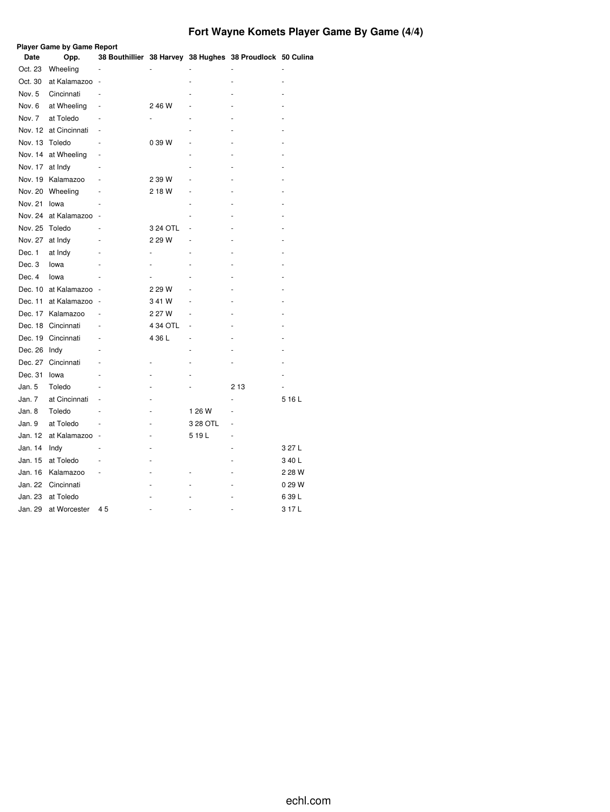# **Fort Wayne Komets Player Game By Game (4/4)**

|                 | <b>Player Game by Game Report</b> |    |          |          |                                                           |        |
|-----------------|-----------------------------------|----|----------|----------|-----------------------------------------------------------|--------|
| Date            | Opp.                              |    |          |          | 38 Bouthillier 38 Harvey 38 Hughes 38 Proudlock 50 Culina |        |
| Oct. 23         | Wheeling                          |    |          |          |                                                           |        |
| Oct. 30         | at Kalamazoo                      |    |          |          |                                                           |        |
| Nov. 5          | Cincinnati                        |    |          |          |                                                           |        |
| Nov. 6          | at Wheeling                       |    | 2 46 W   |          |                                                           |        |
| Nov. 7          | at Toledo                         |    |          |          |                                                           |        |
|                 | Nov. 12 at Cincinnati             |    |          |          |                                                           |        |
| Nov. 13         | Toledo                            |    | 0 39 W   |          |                                                           |        |
|                 | Nov. 14 at Wheeling               |    |          |          |                                                           |        |
| Nov. 17 at Indy |                                   |    |          |          |                                                           |        |
| Nov. 19         | Kalamazoo                         |    | 2 39 W   |          |                                                           |        |
| Nov. 20         | Wheeling                          |    | 2 18 W   |          |                                                           |        |
| Nov. 21         | lowa                              |    |          |          |                                                           |        |
| Nov. 24         | at Kalamazoo                      |    |          |          |                                                           |        |
| Nov. 25         | Toledo                            |    | 3 24 OTL |          |                                                           |        |
| Nov. 27         | at Indy                           |    | 2 29 W   |          |                                                           |        |
| Dec. 1          | at Indy                           |    |          |          |                                                           |        |
| Dec. 3          | lowa                              |    |          |          |                                                           |        |
| Dec. 4          | lowa                              |    |          |          |                                                           |        |
|                 | Dec. 10 at Kalamazoo              |    | 2 29 W   |          |                                                           |        |
| Dec. 11         | at Kalamazoo                      |    | 341W     |          |                                                           |        |
| Dec. 17         | Kalamazoo                         |    | 2 27 W   |          |                                                           |        |
| Dec. 18         | Cincinnati                        |    | 4 34 OTL | ä,       |                                                           |        |
|                 | Dec. 19 Cincinnati                |    | 4 36 L   | ÷,       |                                                           |        |
| Dec. 26 Indy    |                                   |    |          |          |                                                           |        |
|                 | Dec. 27 Cincinnati                |    |          |          |                                                           |        |
| Dec. 31         | lowa                              |    |          |          |                                                           |        |
| Jan. 5          | Toledo                            |    |          |          | 2 1 3                                                     |        |
| Jan. 7          | at Cincinnati                     |    |          |          |                                                           | 516L   |
| Jan. 8          | Toledo                            |    |          | 1 26 W   |                                                           |        |
| Jan. 9          | at Toledo                         |    |          | 3 28 OTL |                                                           |        |
| Jan. 12         | at Kalamazoo                      |    |          | 519L     |                                                           |        |
| Jan. 14         | Indy                              |    |          |          |                                                           | 3 27 L |
| Jan. 15         | at Toledo                         |    |          |          |                                                           | 340L   |
| Jan. 16         | Kalamazoo                         |    |          |          |                                                           | 2 28 W |
| Jan. 22         | Cincinnati                        |    |          |          |                                                           | 0 29 W |
| Jan. 23         | at Toledo                         |    |          |          |                                                           | 639L   |
| Jan. 29         | at Worcester                      | 45 |          |          |                                                           | 317L   |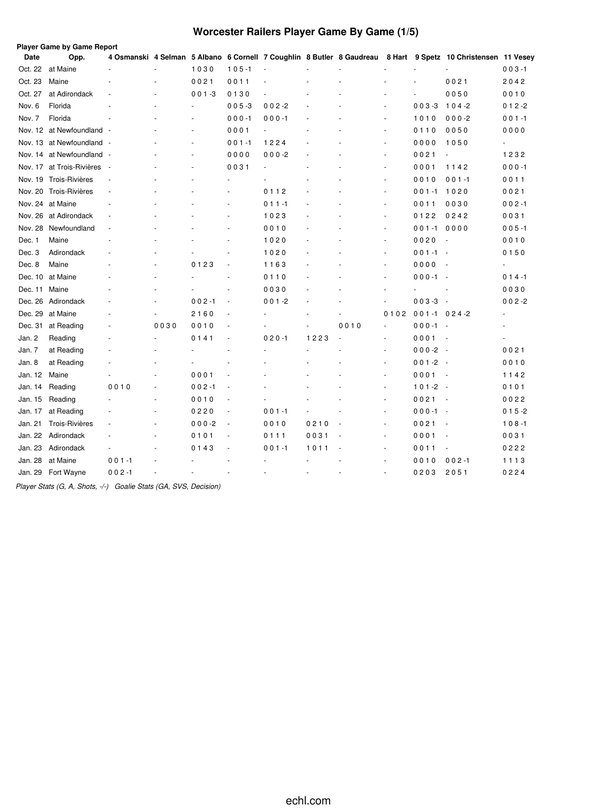# **Worcester Railers Player Game By Game (1/5)**

| <b>Date</b> | Player Game by Game Report<br>Opp. |                          |      |                          |                |                |      |      |                      |                  | 4 Osmanski 4 Selman 5 Albano 6 Cornell 7 Coughlin 8 Butler 8 Gaudreau 8 Hart 9 Spetz 10 Christensen 11 Vesey |           |
|-------------|------------------------------------|--------------------------|------|--------------------------|----------------|----------------|------|------|----------------------|------------------|--------------------------------------------------------------------------------------------------------------|-----------|
| Oct. 22     | at Maine                           |                          |      | 1030                     | $105 - 1$      | ÷,             |      |      |                      |                  |                                                                                                              | $003 - 1$ |
| Oct. 23     | Maine                              |                          |      | 0021                     | 0011           |                |      |      |                      |                  | 0021                                                                                                         | 2042      |
| Oct. 27     | at Adirondack                      |                          |      | $001 - 3$                | 0130           |                |      |      |                      | ä,               | 0050                                                                                                         | 0010      |
| Nov. 6      | Florida                            |                          |      | ä,                       | $005 - 3$      | $002 - 2$      |      |      |                      | $003 - 3$        | $104 - 2$                                                                                                    | $012 - 2$ |
| Nov. 7      | Florida                            |                          |      |                          | $000 - 1$      | $000 - 1$      |      |      | ÷,                   | 1010             | $000 - 2$                                                                                                    | $001 - 1$ |
|             | Nov. 12 at Newfoundland -          |                          |      | $\overline{\phantom{a}}$ | 0001           | $\blacksquare$ |      |      | ä,                   | 0110             | 0050                                                                                                         | 0000      |
|             | Nov. 13 at Newfoundland -          |                          |      | ä,                       | $001 - 1$      | 1224           |      |      | ÷.                   | 0000             | 1050                                                                                                         | $\omega$  |
| Nov. 14     | at Newfoundland -                  |                          |      | ä,                       | 0000           | $000 - 2$      |      |      | ä,                   | 0021             | ÷,                                                                                                           | 1232      |
|             | Nov. 17 at Trois-Rivières          | и,                       |      |                          | 0031           |                |      |      |                      | 0001             | 1142                                                                                                         | $000 - 1$ |
|             | Nov. 19 Trois-Rivières             |                          |      |                          |                |                |      |      | $\overline{a}$       | 0010             | $001 - 1$                                                                                                    | 0011      |
|             | Nov. 20 Trois-Rivières             |                          |      |                          |                | 0112           |      |      | ÷,                   | $001 - 1$        | 1020                                                                                                         | 0021      |
|             | Nov. 24 at Maine                   | $\overline{\phantom{a}}$ |      |                          |                | $011 - 1$      |      |      | $\overline{a}$       | 0011             | 0030                                                                                                         | $002 - 1$ |
| Nov. 26     | at Adirondack                      | $\sim$                   |      |                          | ٠              | 1023           |      |      | $\sim$               | 0122             | 0242                                                                                                         | 0031      |
| Nov. 28     | Newfoundland                       | ÷.                       |      |                          | ÷,             | 0010           |      |      | ÷.                   | $001 - 1$        | 0000                                                                                                         | $005 - 1$ |
| Dec. 1      | Maine                              |                          |      |                          | ÷,             | 1020           |      |      | $\sim$               | 0020             | $\sim$                                                                                                       | 0010      |
| Dec. 3      | Adirondack                         |                          |      |                          | ä,             | 1020           |      |      | ä,                   | $001 - 1$        | $\sim$ $\sim$                                                                                                | 0150      |
| Dec. 8      | Maine                              |                          |      | 0123                     | ÷,             | 1163           |      |      | ä,                   | 0000             | $\sim$                                                                                                       |           |
| Dec. 10     | at Maine                           |                          |      |                          |                | 0110           |      |      | ä,                   | $000 - 1$        |                                                                                                              | $014 - 1$ |
| Dec. 11     | Maine                              |                          |      |                          |                | 0030           |      |      |                      |                  |                                                                                                              | 0030      |
| Dec. 26     | Adirondack                         |                          |      | $002 - 1$                | ÷,             | $001 - 2$      |      |      |                      | $003 - 3$        | $\sim$                                                                                                       | $002 - 2$ |
|             | Dec. 29 at Maine                   |                          |      | 2160                     | ÷,             | ä,             |      |      | 0102                 | $001 - 1024 - 2$ |                                                                                                              |           |
| Dec. 31     | at Reading                         |                          | 0030 | 0010                     | ÷.             |                |      | 0010 | $\sim$               | $000 - 1$        | $\sim$                                                                                                       |           |
| Jan. 2      | Reading                            |                          |      | 0141                     |                | $020 - 1$      | 1223 |      |                      | 0001             | $\overline{\phantom{a}}$                                                                                     |           |
| Jan. 7      | at Reading                         |                          |      |                          |                |                |      |      | $\overline{a}$       | $000-2 -$        |                                                                                                              | 0021      |
| Jan. 8      | at Reading                         |                          |      |                          |                |                |      |      | ä,                   | $001 - 2 -$      |                                                                                                              | 0010      |
| Jan. 12     | Maine                              |                          |      | 0001                     | ä,             |                |      |      | ä,                   | 0001             | $\sim$                                                                                                       | 1142      |
| Jan. 14     | Reading                            | 0010                     |      | $002 - 1$                | ÷,             |                |      |      | ä,                   | $101-2 -$        |                                                                                                              | 0101      |
| Jan. 15     | Reading                            |                          |      | 0010                     |                |                |      |      |                      | 0021             | $\sim$                                                                                                       | 0022      |
| Jan. 17     | at Reading                         |                          |      | 0220                     | ÷,             | $001 - 1$      |      |      | $\ddot{\phantom{1}}$ | $000 - 1 -$      |                                                                                                              | $015 - 2$ |
| Jan. 21     | <b>Trois-Rivières</b>              |                          |      | $000 - 2$                | ÷.             | 0010           | 0210 |      | ä,                   | 0021             | $\overline{\phantom{a}}$                                                                                     | $108 - 1$ |
| Jan. 22     | Adirondack                         |                          |      | 0101                     | $\sim$         | 0111           | 0031 |      | $\sim$               | 0001             | $\overline{\phantom{a}}$                                                                                     | 0031      |
| Jan. 23     | Adirondack                         | $\ddot{\phantom{1}}$     |      | 0143                     |                | $001 - 1$      | 1011 |      | $\blacksquare$       | 0011             | $\overline{\phantom{a}}$                                                                                     | 0222      |
| Jan. 28     | at Maine                           | $001 - 1$                |      |                          |                |                |      |      | $\ddot{\phantom{1}}$ | 0010             | $002 - 1$                                                                                                    | 1113      |
| Jan. 29     | Fort Wayne                         | $002 - 1$                |      |                          | $\overline{a}$ | $\overline{a}$ | ÷.   |      | $\overline{a}$       | 0203             | 2051                                                                                                         | 0224      |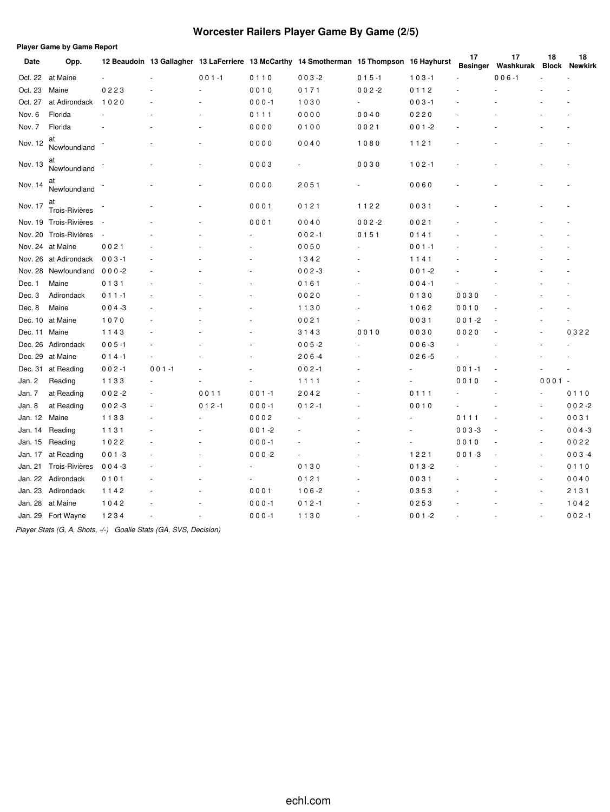# **Worcester Railers Player Game By Game (2/5)**

| 17<br>18<br>17<br>18<br>12 Beaudoin 13 Gallagher 13 LaFerriere 13 McCarthy 14 Smotherman 15 Thompson 16 Hayhurst<br>Date<br>Opp.<br>Washkurak<br><b>Besinger</b><br><b>Block</b><br>Oct. 22 at Maine<br>$001 - 1$<br>0110<br>$003 - 2$<br>$015 - 1$<br>$103 - 1$<br>$006 - 1$<br>Oct. 23<br>Maine<br>0223<br>$002 - 2$<br>0112<br>0010<br>0171<br>Oct. 27<br>at Adirondack<br>$000 - 1$<br>1030<br>$003 - 1$<br>1020<br>$\sim$<br>Nov. 6<br>0220<br>Florida<br>0111<br>0000<br>0040<br>Nov. 7<br>Florida<br>0000<br>$001 - 2$<br>0100<br>0021<br>at<br>Nov. 12<br>0040<br>1080<br>1121<br>0000<br>Newfoundland<br>at<br>Nov. 13<br>0003<br>0030<br>$102 - 1$<br>ä,<br>Newfoundland<br>at<br>0000<br>2051<br>0060<br>Nov. 14<br>÷<br>Newfoundland<br>at<br>0001<br>0121<br>1122<br>0031<br>Nov. 17<br>Trois-Rivières<br>Nov. 19 Trois-Rivières<br>0001<br>0040<br>$002 - 2$<br>0021<br>÷,<br>Trois-Rivières<br>Nov. 20<br>$002 - 1$<br>0151<br>0141<br>$\sim$<br>Nov. 24 at Maine<br>0021<br>0050<br>$001 - 1$<br>Nov. 26<br>$003 - 1$<br>at Adirondack<br>1342<br>1141<br>Nov. 28<br>Newfoundland<br>$000-2$<br>$002 - 3$<br>$001 - 2$<br>0131<br>$004 - 1$<br>Dec. 1<br>Maine<br>0161<br>0030<br>Dec. 3<br>Adirondack<br>$011 - 1$<br>0020<br>0130<br>Dec. 8<br>Maine<br>$004 - 3$<br>1130<br>1062<br>0010<br>Dec. 10 at Maine<br>1070<br>0021<br>0031<br>$001 - 2$<br>0010<br>Dec. 11 Maine<br>1143<br>3143<br>0030<br>0020<br>0322<br>Dec. 26<br>$005 - 1$<br>$005 - 2$<br>$006 - 3$<br>Adirondack<br>Dec. 29<br>$026 - 5$<br>at Maine<br>$014 - 1$<br>$206 - 4$<br>$001 - 1$<br>Dec. 31<br>at Reading<br>$001 - 1$<br>$002 - 1$<br>$002 - 1$<br>$0001 -$<br>Jan. 2<br>Reading<br>1133<br>1111<br>0010<br>Jan. 7<br>0011<br>$001 - 1$<br>0111<br>at Reading<br>$002 - 2$<br>2042<br>0110<br>ä,<br>Jan. 8<br>$002 - 3$<br>$002 - 2$<br>at Reading<br>$012 - 1$<br>$000 - 1$<br>$012 - 1$<br>0010<br>٠<br>0111<br>Jan. 12 Maine<br>1133<br>0002<br>0031<br>ä,<br>$\sim$<br>Reading<br>$001 - 2$<br>$003 - 3$<br>$004 - 3$<br>Jan. 14<br>1131<br>÷,<br>Jan. 15<br>Reading<br>1022<br>$000 - 1$<br>0010<br>0022<br>$\overline{\phantom{a}}$<br>1221<br>Jan. 17<br>at Reading<br>$001 - 3$<br>$003 - 4$<br>$000-2$<br>$001 - 3$<br>÷,<br>Trois-Rivières<br>$004 - 3$<br>0130<br>$013 - 2$<br>Jan. 21<br>0110<br>ä,<br>$\sim$<br>Jan. 22 Adirondack<br>0101<br>0121<br>0031<br>0040<br>÷,<br>$\blacksquare$<br>Jan. 23<br>0001<br>Adirondack<br>1142<br>$106 - 2$<br>0353<br>2131<br>÷,<br>Jan. 28<br>at Maine<br>1042<br>$000 - 1$<br>$012 - 1$<br>0253<br>1042<br>$\sim$<br>Jan. 29 Fort Wayne<br>1130<br>$002 - 1$<br>1234<br>$000 - 1$<br>$001 - 2$<br>ä, | <b>Player Game by Game Report</b> |  |  |  |  |  |                |
|------------------------------------------------------------------------------------------------------------------------------------------------------------------------------------------------------------------------------------------------------------------------------------------------------------------------------------------------------------------------------------------------------------------------------------------------------------------------------------------------------------------------------------------------------------------------------------------------------------------------------------------------------------------------------------------------------------------------------------------------------------------------------------------------------------------------------------------------------------------------------------------------------------------------------------------------------------------------------------------------------------------------------------------------------------------------------------------------------------------------------------------------------------------------------------------------------------------------------------------------------------------------------------------------------------------------------------------------------------------------------------------------------------------------------------------------------------------------------------------------------------------------------------------------------------------------------------------------------------------------------------------------------------------------------------------------------------------------------------------------------------------------------------------------------------------------------------------------------------------------------------------------------------------------------------------------------------------------------------------------------------------------------------------------------------------------------------------------------------------------------------------------------------------------------------------------------------------------------------------------------------------------------------------------------------------------------------------------------------------------------------------------------------------------------------------------------------------------------------------------------------------------------------------------------------------------------------------------------------------------------------------------------------|-----------------------------------|--|--|--|--|--|----------------|
|                                                                                                                                                                                                                                                                                                                                                                                                                                                                                                                                                                                                                                                                                                                                                                                                                                                                                                                                                                                                                                                                                                                                                                                                                                                                                                                                                                                                                                                                                                                                                                                                                                                                                                                                                                                                                                                                                                                                                                                                                                                                                                                                                                                                                                                                                                                                                                                                                                                                                                                                                                                                                                                            |                                   |  |  |  |  |  | <b>Newkirk</b> |
|                                                                                                                                                                                                                                                                                                                                                                                                                                                                                                                                                                                                                                                                                                                                                                                                                                                                                                                                                                                                                                                                                                                                                                                                                                                                                                                                                                                                                                                                                                                                                                                                                                                                                                                                                                                                                                                                                                                                                                                                                                                                                                                                                                                                                                                                                                                                                                                                                                                                                                                                                                                                                                                            |                                   |  |  |  |  |  |                |
|                                                                                                                                                                                                                                                                                                                                                                                                                                                                                                                                                                                                                                                                                                                                                                                                                                                                                                                                                                                                                                                                                                                                                                                                                                                                                                                                                                                                                                                                                                                                                                                                                                                                                                                                                                                                                                                                                                                                                                                                                                                                                                                                                                                                                                                                                                                                                                                                                                                                                                                                                                                                                                                            |                                   |  |  |  |  |  |                |
|                                                                                                                                                                                                                                                                                                                                                                                                                                                                                                                                                                                                                                                                                                                                                                                                                                                                                                                                                                                                                                                                                                                                                                                                                                                                                                                                                                                                                                                                                                                                                                                                                                                                                                                                                                                                                                                                                                                                                                                                                                                                                                                                                                                                                                                                                                                                                                                                                                                                                                                                                                                                                                                            |                                   |  |  |  |  |  |                |
|                                                                                                                                                                                                                                                                                                                                                                                                                                                                                                                                                                                                                                                                                                                                                                                                                                                                                                                                                                                                                                                                                                                                                                                                                                                                                                                                                                                                                                                                                                                                                                                                                                                                                                                                                                                                                                                                                                                                                                                                                                                                                                                                                                                                                                                                                                                                                                                                                                                                                                                                                                                                                                                            |                                   |  |  |  |  |  |                |
|                                                                                                                                                                                                                                                                                                                                                                                                                                                                                                                                                                                                                                                                                                                                                                                                                                                                                                                                                                                                                                                                                                                                                                                                                                                                                                                                                                                                                                                                                                                                                                                                                                                                                                                                                                                                                                                                                                                                                                                                                                                                                                                                                                                                                                                                                                                                                                                                                                                                                                                                                                                                                                                            |                                   |  |  |  |  |  |                |
|                                                                                                                                                                                                                                                                                                                                                                                                                                                                                                                                                                                                                                                                                                                                                                                                                                                                                                                                                                                                                                                                                                                                                                                                                                                                                                                                                                                                                                                                                                                                                                                                                                                                                                                                                                                                                                                                                                                                                                                                                                                                                                                                                                                                                                                                                                                                                                                                                                                                                                                                                                                                                                                            |                                   |  |  |  |  |  |                |
|                                                                                                                                                                                                                                                                                                                                                                                                                                                                                                                                                                                                                                                                                                                                                                                                                                                                                                                                                                                                                                                                                                                                                                                                                                                                                                                                                                                                                                                                                                                                                                                                                                                                                                                                                                                                                                                                                                                                                                                                                                                                                                                                                                                                                                                                                                                                                                                                                                                                                                                                                                                                                                                            |                                   |  |  |  |  |  |                |
|                                                                                                                                                                                                                                                                                                                                                                                                                                                                                                                                                                                                                                                                                                                                                                                                                                                                                                                                                                                                                                                                                                                                                                                                                                                                                                                                                                                                                                                                                                                                                                                                                                                                                                                                                                                                                                                                                                                                                                                                                                                                                                                                                                                                                                                                                                                                                                                                                                                                                                                                                                                                                                                            |                                   |  |  |  |  |  |                |
|                                                                                                                                                                                                                                                                                                                                                                                                                                                                                                                                                                                                                                                                                                                                                                                                                                                                                                                                                                                                                                                                                                                                                                                                                                                                                                                                                                                                                                                                                                                                                                                                                                                                                                                                                                                                                                                                                                                                                                                                                                                                                                                                                                                                                                                                                                                                                                                                                                                                                                                                                                                                                                                            |                                   |  |  |  |  |  |                |
|                                                                                                                                                                                                                                                                                                                                                                                                                                                                                                                                                                                                                                                                                                                                                                                                                                                                                                                                                                                                                                                                                                                                                                                                                                                                                                                                                                                                                                                                                                                                                                                                                                                                                                                                                                                                                                                                                                                                                                                                                                                                                                                                                                                                                                                                                                                                                                                                                                                                                                                                                                                                                                                            |                                   |  |  |  |  |  |                |
|                                                                                                                                                                                                                                                                                                                                                                                                                                                                                                                                                                                                                                                                                                                                                                                                                                                                                                                                                                                                                                                                                                                                                                                                                                                                                                                                                                                                                                                                                                                                                                                                                                                                                                                                                                                                                                                                                                                                                                                                                                                                                                                                                                                                                                                                                                                                                                                                                                                                                                                                                                                                                                                            |                                   |  |  |  |  |  |                |
|                                                                                                                                                                                                                                                                                                                                                                                                                                                                                                                                                                                                                                                                                                                                                                                                                                                                                                                                                                                                                                                                                                                                                                                                                                                                                                                                                                                                                                                                                                                                                                                                                                                                                                                                                                                                                                                                                                                                                                                                                                                                                                                                                                                                                                                                                                                                                                                                                                                                                                                                                                                                                                                            |                                   |  |  |  |  |  |                |
|                                                                                                                                                                                                                                                                                                                                                                                                                                                                                                                                                                                                                                                                                                                                                                                                                                                                                                                                                                                                                                                                                                                                                                                                                                                                                                                                                                                                                                                                                                                                                                                                                                                                                                                                                                                                                                                                                                                                                                                                                                                                                                                                                                                                                                                                                                                                                                                                                                                                                                                                                                                                                                                            |                                   |  |  |  |  |  |                |
|                                                                                                                                                                                                                                                                                                                                                                                                                                                                                                                                                                                                                                                                                                                                                                                                                                                                                                                                                                                                                                                                                                                                                                                                                                                                                                                                                                                                                                                                                                                                                                                                                                                                                                                                                                                                                                                                                                                                                                                                                                                                                                                                                                                                                                                                                                                                                                                                                                                                                                                                                                                                                                                            |                                   |  |  |  |  |  |                |
|                                                                                                                                                                                                                                                                                                                                                                                                                                                                                                                                                                                                                                                                                                                                                                                                                                                                                                                                                                                                                                                                                                                                                                                                                                                                                                                                                                                                                                                                                                                                                                                                                                                                                                                                                                                                                                                                                                                                                                                                                                                                                                                                                                                                                                                                                                                                                                                                                                                                                                                                                                                                                                                            |                                   |  |  |  |  |  |                |
|                                                                                                                                                                                                                                                                                                                                                                                                                                                                                                                                                                                                                                                                                                                                                                                                                                                                                                                                                                                                                                                                                                                                                                                                                                                                                                                                                                                                                                                                                                                                                                                                                                                                                                                                                                                                                                                                                                                                                                                                                                                                                                                                                                                                                                                                                                                                                                                                                                                                                                                                                                                                                                                            |                                   |  |  |  |  |  |                |
|                                                                                                                                                                                                                                                                                                                                                                                                                                                                                                                                                                                                                                                                                                                                                                                                                                                                                                                                                                                                                                                                                                                                                                                                                                                                                                                                                                                                                                                                                                                                                                                                                                                                                                                                                                                                                                                                                                                                                                                                                                                                                                                                                                                                                                                                                                                                                                                                                                                                                                                                                                                                                                                            |                                   |  |  |  |  |  |                |
|                                                                                                                                                                                                                                                                                                                                                                                                                                                                                                                                                                                                                                                                                                                                                                                                                                                                                                                                                                                                                                                                                                                                                                                                                                                                                                                                                                                                                                                                                                                                                                                                                                                                                                                                                                                                                                                                                                                                                                                                                                                                                                                                                                                                                                                                                                                                                                                                                                                                                                                                                                                                                                                            |                                   |  |  |  |  |  |                |
|                                                                                                                                                                                                                                                                                                                                                                                                                                                                                                                                                                                                                                                                                                                                                                                                                                                                                                                                                                                                                                                                                                                                                                                                                                                                                                                                                                                                                                                                                                                                                                                                                                                                                                                                                                                                                                                                                                                                                                                                                                                                                                                                                                                                                                                                                                                                                                                                                                                                                                                                                                                                                                                            |                                   |  |  |  |  |  |                |
|                                                                                                                                                                                                                                                                                                                                                                                                                                                                                                                                                                                                                                                                                                                                                                                                                                                                                                                                                                                                                                                                                                                                                                                                                                                                                                                                                                                                                                                                                                                                                                                                                                                                                                                                                                                                                                                                                                                                                                                                                                                                                                                                                                                                                                                                                                                                                                                                                                                                                                                                                                                                                                                            |                                   |  |  |  |  |  |                |
|                                                                                                                                                                                                                                                                                                                                                                                                                                                                                                                                                                                                                                                                                                                                                                                                                                                                                                                                                                                                                                                                                                                                                                                                                                                                                                                                                                                                                                                                                                                                                                                                                                                                                                                                                                                                                                                                                                                                                                                                                                                                                                                                                                                                                                                                                                                                                                                                                                                                                                                                                                                                                                                            |                                   |  |  |  |  |  |                |
|                                                                                                                                                                                                                                                                                                                                                                                                                                                                                                                                                                                                                                                                                                                                                                                                                                                                                                                                                                                                                                                                                                                                                                                                                                                                                                                                                                                                                                                                                                                                                                                                                                                                                                                                                                                                                                                                                                                                                                                                                                                                                                                                                                                                                                                                                                                                                                                                                                                                                                                                                                                                                                                            |                                   |  |  |  |  |  |                |
|                                                                                                                                                                                                                                                                                                                                                                                                                                                                                                                                                                                                                                                                                                                                                                                                                                                                                                                                                                                                                                                                                                                                                                                                                                                                                                                                                                                                                                                                                                                                                                                                                                                                                                                                                                                                                                                                                                                                                                                                                                                                                                                                                                                                                                                                                                                                                                                                                                                                                                                                                                                                                                                            |                                   |  |  |  |  |  |                |
|                                                                                                                                                                                                                                                                                                                                                                                                                                                                                                                                                                                                                                                                                                                                                                                                                                                                                                                                                                                                                                                                                                                                                                                                                                                                                                                                                                                                                                                                                                                                                                                                                                                                                                                                                                                                                                                                                                                                                                                                                                                                                                                                                                                                                                                                                                                                                                                                                                                                                                                                                                                                                                                            |                                   |  |  |  |  |  |                |
|                                                                                                                                                                                                                                                                                                                                                                                                                                                                                                                                                                                                                                                                                                                                                                                                                                                                                                                                                                                                                                                                                                                                                                                                                                                                                                                                                                                                                                                                                                                                                                                                                                                                                                                                                                                                                                                                                                                                                                                                                                                                                                                                                                                                                                                                                                                                                                                                                                                                                                                                                                                                                                                            |                                   |  |  |  |  |  |                |
|                                                                                                                                                                                                                                                                                                                                                                                                                                                                                                                                                                                                                                                                                                                                                                                                                                                                                                                                                                                                                                                                                                                                                                                                                                                                                                                                                                                                                                                                                                                                                                                                                                                                                                                                                                                                                                                                                                                                                                                                                                                                                                                                                                                                                                                                                                                                                                                                                                                                                                                                                                                                                                                            |                                   |  |  |  |  |  |                |
|                                                                                                                                                                                                                                                                                                                                                                                                                                                                                                                                                                                                                                                                                                                                                                                                                                                                                                                                                                                                                                                                                                                                                                                                                                                                                                                                                                                                                                                                                                                                                                                                                                                                                                                                                                                                                                                                                                                                                                                                                                                                                                                                                                                                                                                                                                                                                                                                                                                                                                                                                                                                                                                            |                                   |  |  |  |  |  |                |
|                                                                                                                                                                                                                                                                                                                                                                                                                                                                                                                                                                                                                                                                                                                                                                                                                                                                                                                                                                                                                                                                                                                                                                                                                                                                                                                                                                                                                                                                                                                                                                                                                                                                                                                                                                                                                                                                                                                                                                                                                                                                                                                                                                                                                                                                                                                                                                                                                                                                                                                                                                                                                                                            |                                   |  |  |  |  |  |                |
|                                                                                                                                                                                                                                                                                                                                                                                                                                                                                                                                                                                                                                                                                                                                                                                                                                                                                                                                                                                                                                                                                                                                                                                                                                                                                                                                                                                                                                                                                                                                                                                                                                                                                                                                                                                                                                                                                                                                                                                                                                                                                                                                                                                                                                                                                                                                                                                                                                                                                                                                                                                                                                                            |                                   |  |  |  |  |  |                |
|                                                                                                                                                                                                                                                                                                                                                                                                                                                                                                                                                                                                                                                                                                                                                                                                                                                                                                                                                                                                                                                                                                                                                                                                                                                                                                                                                                                                                                                                                                                                                                                                                                                                                                                                                                                                                                                                                                                                                                                                                                                                                                                                                                                                                                                                                                                                                                                                                                                                                                                                                                                                                                                            |                                   |  |  |  |  |  |                |
|                                                                                                                                                                                                                                                                                                                                                                                                                                                                                                                                                                                                                                                                                                                                                                                                                                                                                                                                                                                                                                                                                                                                                                                                                                                                                                                                                                                                                                                                                                                                                                                                                                                                                                                                                                                                                                                                                                                                                                                                                                                                                                                                                                                                                                                                                                                                                                                                                                                                                                                                                                                                                                                            |                                   |  |  |  |  |  |                |
|                                                                                                                                                                                                                                                                                                                                                                                                                                                                                                                                                                                                                                                                                                                                                                                                                                                                                                                                                                                                                                                                                                                                                                                                                                                                                                                                                                                                                                                                                                                                                                                                                                                                                                                                                                                                                                                                                                                                                                                                                                                                                                                                                                                                                                                                                                                                                                                                                                                                                                                                                                                                                                                            |                                   |  |  |  |  |  |                |
|                                                                                                                                                                                                                                                                                                                                                                                                                                                                                                                                                                                                                                                                                                                                                                                                                                                                                                                                                                                                                                                                                                                                                                                                                                                                                                                                                                                                                                                                                                                                                                                                                                                                                                                                                                                                                                                                                                                                                                                                                                                                                                                                                                                                                                                                                                                                                                                                                                                                                                                                                                                                                                                            |                                   |  |  |  |  |  |                |
|                                                                                                                                                                                                                                                                                                                                                                                                                                                                                                                                                                                                                                                                                                                                                                                                                                                                                                                                                                                                                                                                                                                                                                                                                                                                                                                                                                                                                                                                                                                                                                                                                                                                                                                                                                                                                                                                                                                                                                                                                                                                                                                                                                                                                                                                                                                                                                                                                                                                                                                                                                                                                                                            |                                   |  |  |  |  |  |                |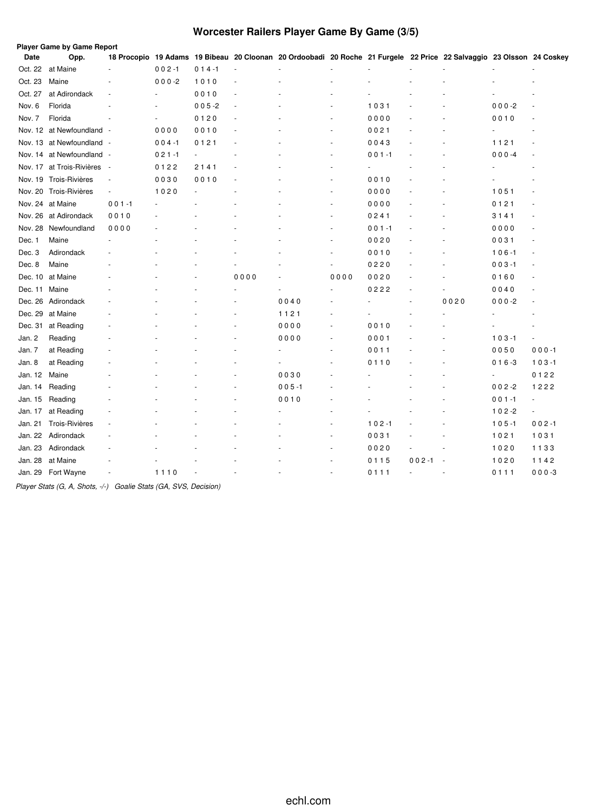# **Worcester Railers Player Game By Game (3/5)**

|         | <b>Player Game by Game Report</b> |                          |           |           |        |                                                                                                                      |        |           |           |        |           |                          |
|---------|-----------------------------------|--------------------------|-----------|-----------|--------|----------------------------------------------------------------------------------------------------------------------|--------|-----------|-----------|--------|-----------|--------------------------|
| Date    | Opp.                              |                          |           |           |        | 18 Procopio 19 Adams 19 Bibeau 20 Cloonan 20 Ordoobadi 20 Roche 21 Furgele 22 Price 22 Salvaggio 23 Olsson 24 Coskey |        |           |           |        |           |                          |
| Oct. 22 | at Maine                          |                          | $002 - 1$ | $014 - 1$ | $\sim$ |                                                                                                                      |        |           |           |        |           |                          |
| Oct. 23 | Maine                             |                          | $000 - 2$ | 1010      |        |                                                                                                                      |        |           |           |        |           |                          |
| Oct. 27 | at Adirondack                     |                          |           | 0010      |        |                                                                                                                      |        |           |           |        |           |                          |
| Nov. 6  | Florida                           |                          |           | $005 - 2$ | ÷,     |                                                                                                                      |        | 1031      |           |        | $000 - 2$ |                          |
| Nov. 7  | Florida                           |                          |           | 0120      |        |                                                                                                                      |        | 0000      |           |        | 0010      |                          |
|         | Nov. 12 at Newfoundland -         |                          | 0000      | 0010      | ÷,     |                                                                                                                      | ÷,     | 0021      |           |        |           |                          |
|         | Nov. 13 at Newfoundland -         |                          | $004 - 1$ | 0121      | ÷,     |                                                                                                                      | ÷,     | 0043      |           |        | 1121      |                          |
| Nov. 14 | at Newfoundland -                 |                          | $021 - 1$ |           |        |                                                                                                                      | ÷,     | $001 - 1$ |           |        | $000 - 4$ |                          |
|         | Nov. 17 at Trois-Rivières         | $\sim$                   | 0122      | 2141      |        |                                                                                                                      | ÷,     |           |           |        |           |                          |
|         | Nov. 19 Trois-Rivières            | $\overline{\phantom{a}}$ | 0030      | 0010      | ٠      |                                                                                                                      | ä,     | 0010      |           |        |           |                          |
|         | Nov. 20 Trois-Rivières            | $\overline{\phantom{a}}$ | 1020      |           |        |                                                                                                                      | ä,     | 0000      |           |        | 1051      | $\sim$                   |
|         | Nov. 24 at Maine                  | $001 - 1$                |           |           |        |                                                                                                                      | ÷      | 0000      |           |        | 0121      | ٠                        |
|         | Nov. 26 at Adirondack             | 0010                     |           |           |        |                                                                                                                      | ÷,     | 0241      |           |        | 3141      | $\sim$                   |
| Nov. 28 | Newfoundland                      | 0000                     |           |           |        |                                                                                                                      | ÷,     | $001 - 1$ |           |        | 0000      |                          |
| Dec. 1  | Maine                             |                          |           |           |        |                                                                                                                      |        | 0020      |           |        | 0031      | ٠                        |
| Dec. 3  | Adirondack                        |                          |           |           |        |                                                                                                                      |        | 0010      |           |        | $106 - 1$ | $\sim$                   |
| Dec. 8  | Maine                             |                          |           |           |        |                                                                                                                      | ÷,     | 0220      |           |        | $003 - 1$ | $\overline{\phantom{a}}$ |
|         | Dec. 10 at Maine                  |                          |           |           | 0000   |                                                                                                                      | 0000   | 0020      |           |        | 0160      | ٠                        |
| Dec. 11 | Maine                             |                          |           |           |        |                                                                                                                      | ÷.     | 0222      |           |        | 0040      |                          |
| Dec. 26 | Adirondack                        |                          |           |           |        | 0040                                                                                                                 |        |           |           | 0020   | $000 - 2$ | $\overline{\phantom{a}}$ |
| Dec. 29 | at Maine                          |                          |           |           |        | 1121                                                                                                                 |        |           |           |        |           |                          |
| Dec. 31 | at Reading                        |                          |           |           |        | 0000                                                                                                                 | $\sim$ | 0010      |           |        |           |                          |
| Jan. 2  | Reading                           |                          |           |           |        | 0000                                                                                                                 | $\sim$ | 0001      |           |        | $103 - 1$ | $\overline{\phantom{a}}$ |
| Jan. 7  | at Reading                        |                          |           |           |        |                                                                                                                      | ä,     | 0011      |           |        | 0050      | $000 - 1$                |
| Jan. 8  | at Reading                        |                          |           |           |        |                                                                                                                      | ä,     | 0110      |           | ä,     | $016 - 3$ | $103 - 1$                |
| Jan. 12 | Maine                             |                          |           |           |        | 0030                                                                                                                 |        |           |           |        | ä,        | 0122                     |
| Jan. 14 | Reading                           |                          |           |           |        | $005 - 1$                                                                                                            |        |           |           |        | $002 - 2$ | 1222                     |
| Jan. 15 | Reading                           |                          |           |           |        | 0010                                                                                                                 |        |           |           |        | $001 - 1$ | $\blacksquare$           |
| Jan. 17 | at Reading                        |                          |           |           |        |                                                                                                                      |        |           |           |        | $102 - 2$ | ä,                       |
| Jan. 21 | Trois-Rivières                    |                          |           |           |        |                                                                                                                      | ÷,     | $102 - 1$ |           |        | $105 - 1$ | $002 - 1$                |
| Jan. 22 | Adirondack                        |                          |           |           |        |                                                                                                                      | ÷,     | 0031      |           |        | 1021      | 1031                     |
| Jan. 23 | Adirondack                        |                          |           |           |        |                                                                                                                      | ÷,     | 0020      |           |        | 1020      | 1133                     |
| Jan. 28 | at Maine                          |                          |           |           |        |                                                                                                                      |        | 0115      | $002 - 1$ | . —    | 1020      | 1142                     |
|         | Jan. 29 Fort Wayne                | ÷,                       | 1110      |           | ä,     | $\overline{a}$                                                                                                       | $\sim$ | 0111      | ÷.        | $\sim$ | 0111      | $000 - 3$                |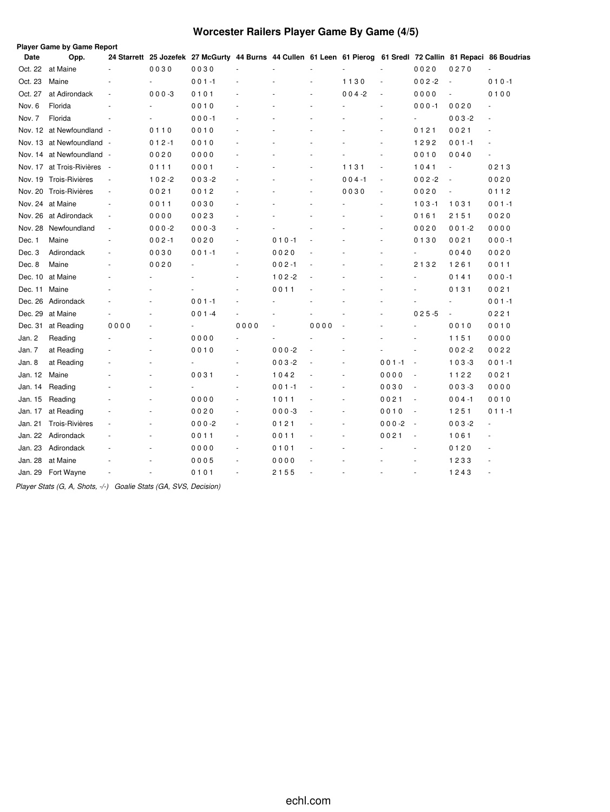# **Worcester Railers Player Game By Game (4/5)**

|         | <b>Player Game by Game Report</b> |                          |                |                                                                                                                 |                          |           |                      |                      |                          |                          |           |           |
|---------|-----------------------------------|--------------------------|----------------|-----------------------------------------------------------------------------------------------------------------|--------------------------|-----------|----------------------|----------------------|--------------------------|--------------------------|-----------|-----------|
| Date    | Opp.                              |                          |                | 24 Starrett 25 Jozefek 27 McGurty 44 Burns 44 Cullen 61 Leen 61 Pierog 61 Sredl 72 Callin 81 Repaci 86 Boudrias |                          |           |                      |                      |                          |                          |           |           |
| Oct. 22 | at Maine                          |                          | 0030           | 0030                                                                                                            | $\ddot{\phantom{1}}$     |           |                      |                      | $\ddot{\phantom{1}}$     | 0020                     | 0270      | ÷.        |
| Oct. 23 | Maine                             |                          |                | $001 - 1$                                                                                                       |                          |           |                      | 1130                 | ÷,                       | $002 - 2$                | ÷,        | $010 - 1$ |
| Oct. 27 | at Adirondack                     | ÷,                       | $000 - 3$      | 0101                                                                                                            |                          |           | ä,                   | $004 - 2$            | ä,                       | 0000                     | ä,        | 0100      |
| Nov. 6  | Florida                           | $\ddot{\phantom{1}}$     |                | 0010                                                                                                            |                          |           | $\ddot{\phantom{1}}$ |                      | ä,                       | $000 - 1$                | 0020      |           |
| Nov. 7  | Florida                           |                          |                | $000 - 1$                                                                                                       |                          |           |                      |                      | ä,                       | $\blacksquare$           | $003 - 2$ |           |
|         | Nov. 12 at Newfoundland -         |                          | 0110           | 0010                                                                                                            |                          |           |                      |                      | $\sim$                   | 0121                     | 0021      |           |
|         | Nov. 13 at Newfoundland -         |                          | $012 - 1$      | 0010                                                                                                            |                          |           |                      |                      | ٠                        | 1292                     | $001 - 1$ |           |
| Nov. 14 | at Newfoundland                   | $\sim$                   | 0020           | 0000                                                                                                            | ä,                       |           | ä,                   |                      | ä,                       | 0010                     | 0040      |           |
|         | Nov. 17 at Trois-Rivières         | $\sim$                   | 0111           | 0001                                                                                                            | ÷,                       |           | ÷,                   | 1131                 | $\sim$                   | 1041                     | ä,        | 0213      |
|         | Nov. 19 Trois-Rivières            | ÷,                       | $102 - 2$      | $003 - 2$                                                                                                       | ÷,                       |           | ä,                   | $004 - 1$            | $\overline{\phantom{a}}$ | $002 - 2$                | ÷,        | 0020      |
|         | Nov. 20 Trois-Rivières            | $\blacksquare$           | 0021           | 0012                                                                                                            | ä,                       |           | ä,                   | 0030                 | $\sim$                   | 0020                     | $\bar{a}$ | 0112      |
|         | Nov. 24 at Maine                  | $\sim$                   | 0011           | 0030                                                                                                            | $\sim$                   |           | ä,                   |                      | ٠                        | $103 - 1$                | 1031      | $001 - 1$ |
|         | Nov. 26 at Adirondack             | $\overline{\phantom{a}}$ | 0000           | 0023                                                                                                            | ä,                       |           |                      |                      | ä,                       | 0161                     | 2151      | 0020      |
| Nov. 28 | Newfoundland                      | ÷,                       | $000 - 2$      | $000-3$                                                                                                         | ä,                       |           |                      |                      | ÷,                       | 0020                     | $001 - 2$ | 0000      |
| Dec. 1  | Maine                             | ٠                        | $002 - 1$      | 0020                                                                                                            | ÷                        | $010 - 1$ |                      |                      | ä,                       | 0130                     | 0021      | $000 - 1$ |
| Dec. 3  | Adirondack                        |                          | 0030           | $001 - 1$                                                                                                       | $\overline{\phantom{a}}$ | 0020      |                      |                      | ä,                       | $\overline{\phantom{a}}$ | 0040      | 0020      |
| Dec. 8  | Maine                             | $\ddot{\phantom{1}}$     | 0020           | ä,                                                                                                              | $\sim$                   | $002 - 1$ |                      |                      | ä,                       | 2132                     | 1261      | 0011      |
| Dec. 10 | at Maine                          |                          | $\overline{a}$ |                                                                                                                 | ä,                       | $102 - 2$ |                      |                      |                          | $\sim$                   | 0141      | $000 - 1$ |
| Dec. 11 | Maine                             |                          |                |                                                                                                                 |                          | 0011      |                      |                      |                          |                          | 0131      | 0021      |
| Dec. 26 | Adirondack                        |                          |                | $001 - 1$                                                                                                       |                          |           |                      |                      |                          |                          | ä,        | $001 - 1$ |
| Dec. 29 | at Maine                          |                          |                | $001 - 4$                                                                                                       | ä,                       | ä,        |                      |                      | ä,                       | $025 - 5$                | ÷,        | 0221      |
| Dec. 31 | at Reading                        | 0000                     |                | ä,                                                                                                              | 0000                     | ä,        | 0000                 | $\ddot{\phantom{1}}$ | $\ddot{\phantom{1}}$     | $\overline{a}$           | 0010      | 0010      |
| Jan. 2  | Reading                           |                          |                | 0000                                                                                                            | ÷.                       | ä,        |                      | ÷.                   |                          |                          | 1151      | 0000      |
| Jan. 7  | at Reading                        |                          |                | 0010                                                                                                            | $\sim$                   | $000 - 2$ |                      | ÷.                   |                          | ÷                        | $002 - 2$ | 0022      |
| Jan. 8  | at Reading                        |                          |                |                                                                                                                 | ä,                       | $003 - 2$ |                      |                      | $001 - 1$                | $\overline{\phantom{a}}$ | $103 - 3$ | $001 - 1$ |
| Jan. 12 | Maine                             |                          |                | 0031                                                                                                            | ÷,                       | 1042      |                      |                      | 0000                     | $\blacksquare$           | 1122      | 0021      |
| Jan. 14 | Reading                           |                          | $\sim$         | $\ddot{\phantom{1}}$                                                                                            | $\sim$                   | $001 - 1$ | $\ddot{\phantom{1}}$ | $\ddot{\phantom{1}}$ | 0030                     | $\overline{\phantom{a}}$ | $003 - 3$ | 0000      |
| Jan. 15 | Reading                           |                          |                | 0000                                                                                                            | $\overline{\phantom{a}}$ | 1011      |                      | ÷,                   | 0021                     | $\overline{\phantom{a}}$ | $004 - 1$ | 0010      |
| Jan. 17 | at Reading                        | ÷.                       |                | 0020                                                                                                            | $\sim$                   | $000 - 3$ |                      | $\ddot{\phantom{1}}$ | 0010                     | $\sim$                   | 1251      | $011 - 1$ |
| Jan. 21 | <b>Trois-Rivières</b>             |                          |                | $000 - 2$                                                                                                       | $\sim$                   | 0121      |                      |                      | $000 -2$                 | $\blacksquare$           | $003 - 2$ |           |
| Jan. 22 | Adirondack                        |                          | $\sim$         | 0011                                                                                                            | $\overline{\phantom{a}}$ | 0011      |                      |                      | 0021                     | ÷,                       | 1061      |           |
| Jan. 23 | Adirondack                        |                          | $\sim$         | 0000                                                                                                            | $\sim$                   | 0101      |                      |                      |                          | $\tilde{\phantom{a}}$    | 0120      | $\sim$    |
| Jan. 28 | at Maine                          |                          |                | 0005                                                                                                            | ÷,                       | 0000      |                      |                      |                          |                          | 1233      |           |
| Jan. 29 | Fort Wayne                        |                          |                | 0101                                                                                                            | ä,                       | 2155      |                      |                      |                          | ä,                       | 1243      |           |